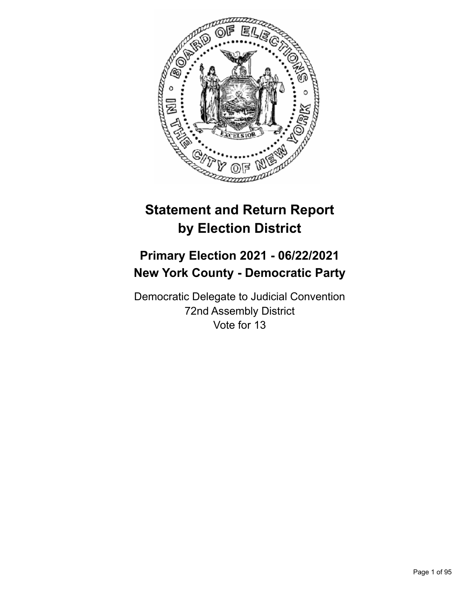

# **Statement and Return Report by Election District**

## **Primary Election 2021 - 06/22/2021 New York County - Democratic Party**

Democratic Delegate to Judicial Convention 72nd Assembly District Vote for 13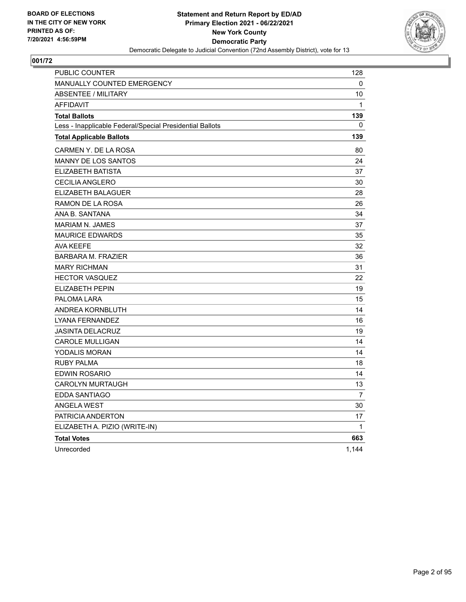

| <b>PUBLIC COUNTER</b>                                    | 128            |
|----------------------------------------------------------|----------------|
| <b>MANUALLY COUNTED EMERGENCY</b>                        | 0              |
| <b>ABSENTEE / MILITARY</b>                               | 10             |
| <b>AFFIDAVIT</b>                                         | 1              |
| <b>Total Ballots</b>                                     | 139            |
| Less - Inapplicable Federal/Special Presidential Ballots | 0              |
| <b>Total Applicable Ballots</b>                          | 139            |
| CARMEN Y. DE LA ROSA                                     | 80             |
| <b>MANNY DE LOS SANTOS</b>                               | 24             |
| ELIZABETH BATISTA                                        | 37             |
| <b>CECILIA ANGLERO</b>                                   | 30             |
| ELIZABETH BALAGUER                                       | 28             |
| RAMON DE LA ROSA                                         | 26             |
| ANA B. SANTANA                                           | 34             |
| <b>MARIAM N. JAMES</b>                                   | 37             |
| <b>MAURICE EDWARDS</b>                                   | 35             |
| <b>AVA KEEFE</b>                                         | 32             |
| <b>BARBARA M. FRAZIER</b>                                | 36             |
| <b>MARY RICHMAN</b>                                      | 31             |
| <b>HECTOR VASQUEZ</b>                                    | 22             |
| <b>ELIZABETH PEPIN</b>                                   | 19             |
| PALOMA LARA                                              | 15             |
| ANDREA KORNBLUTH                                         | 14             |
| LYANA FERNANDEZ                                          | 16             |
| <b>JASINTA DELACRUZ</b>                                  | 19             |
| <b>CAROLE MULLIGAN</b>                                   | 14             |
| <b>YODALIS MORAN</b>                                     | 14             |
| RUBY PALMA                                               | 18             |
| EDWIN ROSARIO                                            | 14             |
| <b>CAROLYN MURTAUGH</b>                                  | 13             |
| EDDA SANTIAGO                                            | $\overline{7}$ |
| <b>ANGELA WEST</b>                                       | 30             |
| PATRICIA ANDERTON                                        | 17             |
| ELIZABETH A. PIZIO (WRITE-IN)                            | 1              |
| <b>Total Votes</b>                                       | 663            |
| Unrecorded                                               | 1,144          |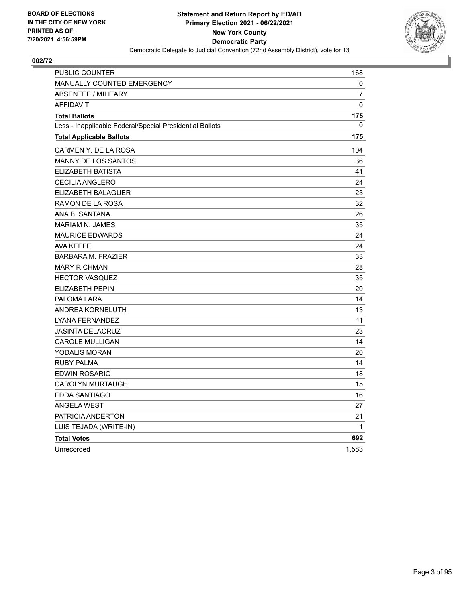

| <b>PUBLIC COUNTER</b>                                    | 168          |
|----------------------------------------------------------|--------------|
| <b>MANUALLY COUNTED EMERGENCY</b>                        | 0            |
| ABSENTEE / MILITARY                                      | 7            |
| <b>AFFIDAVIT</b>                                         | 0            |
| <b>Total Ballots</b>                                     | 175          |
| Less - Inapplicable Federal/Special Presidential Ballots | 0            |
| <b>Total Applicable Ballots</b>                          | 175          |
| CARMEN Y. DE LA ROSA                                     | 104          |
| <b>MANNY DE LOS SANTOS</b>                               | 36           |
| ELIZABETH BATISTA                                        | 41           |
| CECILIA ANGLERO                                          | 24           |
| ELIZABETH BALAGUER                                       | 23           |
| RAMON DE LA ROSA                                         | 32           |
| ANA B. SANTANA                                           | 26           |
| <b>MARIAM N. JAMES</b>                                   | 35           |
| <b>MAURICE EDWARDS</b>                                   | 24           |
| <b>AVA KEEFE</b>                                         | 24           |
| <b>BARBARA M. FRAZIER</b>                                | 33           |
| <b>MARY RICHMAN</b>                                      | 28           |
| <b>HECTOR VASQUEZ</b>                                    | 35           |
| ELIZABETH PEPIN                                          | 20           |
| PALOMA LARA                                              | 14           |
| ANDREA KORNBLUTH                                         | 13           |
| LYANA FERNANDEZ                                          | 11           |
| <b>JASINTA DELACRUZ</b>                                  | 23           |
| <b>CAROLE MULLIGAN</b>                                   | 14           |
| YODALIS MORAN                                            | 20           |
| RUBY PALMA                                               | 14           |
| EDWIN ROSARIO                                            | 18           |
| CAROLYN MURTAUGH                                         | 15           |
| EDDA SANTIAGO                                            | 16           |
| <b>ANGELA WEST</b>                                       | 27           |
| PATRICIA ANDERTON                                        | 21           |
| LUIS TEJADA (WRITE-IN)                                   | $\mathbf{1}$ |
| <b>Total Votes</b>                                       | 692          |
| Unrecorded                                               | 1,583        |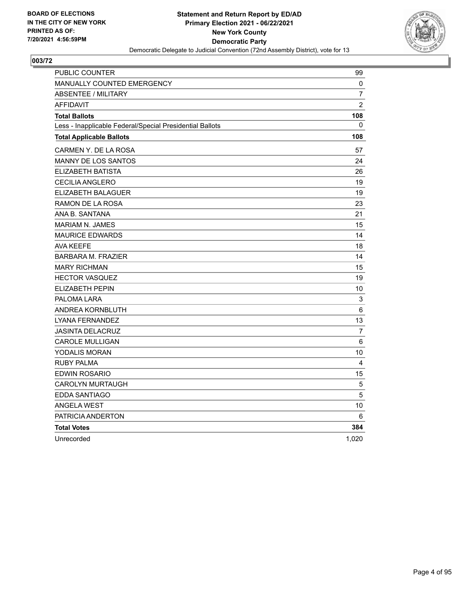

| PUBLIC COUNTER                                           | 99             |
|----------------------------------------------------------|----------------|
| MANUALLY COUNTED EMERGENCY                               | 0              |
| <b>ABSENTEE / MILITARY</b>                               | $\overline{7}$ |
| <b>AFFIDAVIT</b>                                         | $\overline{2}$ |
| <b>Total Ballots</b>                                     | 108            |
| Less - Inapplicable Federal/Special Presidential Ballots | $\mathbf{0}$   |
| <b>Total Applicable Ballots</b>                          | 108            |
| CARMEN Y. DE LA ROSA                                     | 57             |
| MANNY DE LOS SANTOS                                      | 24             |
| ELIZABETH BATISTA                                        | 26             |
| <b>CECILIA ANGLERO</b>                                   | 19             |
| ELIZABETH BALAGUER                                       | 19             |
| RAMON DE LA ROSA                                         | 23             |
| ANA B. SANTANA                                           | 21             |
| <b>MARIAM N. JAMES</b>                                   | 15             |
| <b>MAURICE EDWARDS</b>                                   | 14             |
| <b>AVA KEEFE</b>                                         | 18             |
| <b>BARBARA M. FRAZIER</b>                                | 14             |
| <b>MARY RICHMAN</b>                                      | 15             |
| <b>HECTOR VASQUEZ</b>                                    | 19             |
| ELIZABETH PEPIN                                          | 10             |
| PALOMA LARA                                              | $\mathsf 3$    |
| ANDREA KORNBLUTH                                         | $6\phantom{1}$ |
| LYANA FERNANDEZ                                          | 13             |
| <b>JASINTA DELACRUZ</b>                                  | 7              |
| <b>CAROLE MULLIGAN</b>                                   | 6              |
| <b>YODALIS MORAN</b>                                     | 10             |
| <b>RUBY PALMA</b>                                        | 4              |
| EDWIN ROSARIO                                            | 15             |
| <b>CAROLYN MURTAUGH</b>                                  | 5              |
| <b>EDDA SANTIAGO</b>                                     | 5              |
| <b>ANGELA WEST</b>                                       | 10             |
| PATRICIA ANDERTON                                        | 6              |
| <b>Total Votes</b>                                       | 384            |
| Unrecorded                                               | 1,020          |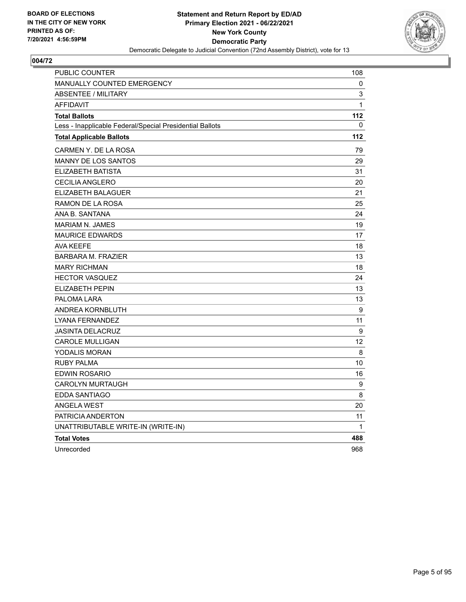

| PUBLIC COUNTER                                           | 108          |
|----------------------------------------------------------|--------------|
| <b>MANUALLY COUNTED EMERGENCY</b>                        | 0            |
| <b>ABSENTEE / MILITARY</b>                               | 3            |
| <b>AFFIDAVIT</b>                                         | $\mathbf{1}$ |
| <b>Total Ballots</b>                                     | 112          |
| Less - Inapplicable Federal/Special Presidential Ballots | 0            |
| <b>Total Applicable Ballots</b>                          | 112          |
| CARMEN Y. DE LA ROSA                                     | 79           |
| MANNY DE LOS SANTOS                                      | 29           |
| ELIZABETH BATISTA                                        | 31           |
| <b>CECILIA ANGLERO</b>                                   | 20           |
| ELIZABETH BALAGUER                                       | 21           |
| RAMON DE LA ROSA                                         | 25           |
| ANA B. SANTANA                                           | 24           |
| <b>MARIAM N. JAMES</b>                                   | 19           |
| <b>MAURICE EDWARDS</b>                                   | 17           |
| <b>AVA KEEFE</b>                                         | 18           |
| <b>BARBARA M. FRAZIER</b>                                | 13           |
| <b>MARY RICHMAN</b>                                      | 18           |
| <b>HECTOR VASQUEZ</b>                                    | 24           |
| <b>ELIZABETH PEPIN</b>                                   | 13           |
| PALOMA LARA                                              | 13           |
| ANDREA KORNBLUTH                                         | 9            |
| LYANA FERNANDEZ                                          | 11           |
| <b>JASINTA DELACRUZ</b>                                  | 9            |
| <b>CAROLE MULLIGAN</b>                                   | 12           |
| YODALIS MORAN                                            | 8            |
| <b>RUBY PALMA</b>                                        | 10           |
| <b>EDWIN ROSARIO</b>                                     | 16           |
| <b>CAROLYN MURTAUGH</b>                                  | 9            |
| EDDA SANTIAGO                                            | 8            |
| <b>ANGELA WEST</b>                                       | 20           |
| PATRICIA ANDERTON                                        | 11           |
| UNATTRIBUTABLE WRITE-IN (WRITE-IN)                       | $\mathbf{1}$ |
| <b>Total Votes</b>                                       | 488          |
| Unrecorded                                               | 968          |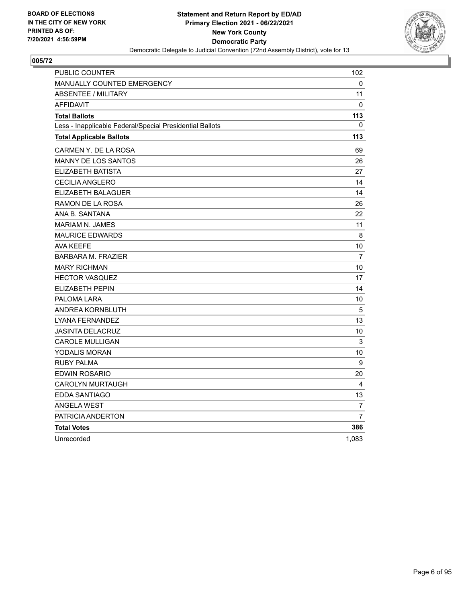

| PUBLIC COUNTER                                           | 102            |
|----------------------------------------------------------|----------------|
| MANUALLY COUNTED EMERGENCY                               | 0              |
| <b>ABSENTEE / MILITARY</b>                               | 11             |
| <b>AFFIDAVIT</b>                                         | 0              |
| <b>Total Ballots</b>                                     | 113            |
| Less - Inapplicable Federal/Special Presidential Ballots | 0              |
| <b>Total Applicable Ballots</b>                          | 113            |
| CARMEN Y. DE LA ROSA                                     | 69             |
| <b>MANNY DE LOS SANTOS</b>                               | 26             |
| ELIZABETH BATISTA                                        | 27             |
| <b>CECILIA ANGLERO</b>                                   | 14             |
| ELIZABETH BALAGUER                                       | 14             |
| RAMON DE LA ROSA                                         | 26             |
| ANA B. SANTANA                                           | 22             |
| <b>MARIAM N. JAMES</b>                                   | 11             |
| <b>MAURICE EDWARDS</b>                                   | 8              |
| AVA KEEFE                                                | 10             |
| <b>BARBARA M. FRAZIER</b>                                | $\overline{7}$ |
| <b>MARY RICHMAN</b>                                      | 10             |
| <b>HECTOR VASQUEZ</b>                                    | 17             |
| <b>ELIZABETH PEPIN</b>                                   | 14             |
| PALOMA LARA                                              | 10             |
| ANDREA KORNBLUTH                                         | 5              |
| LYANA FERNANDEZ                                          | 13             |
| <b>JASINTA DELACRUZ</b>                                  | 10             |
| <b>CAROLE MULLIGAN</b>                                   | 3              |
| YODALIS MORAN                                            | 10             |
| <b>RUBY PALMA</b>                                        | 9              |
| EDWIN ROSARIO                                            | 20             |
| <b>CAROLYN MURTAUGH</b>                                  | 4              |
| EDDA SANTIAGO                                            | 13             |
| <b>ANGELA WEST</b>                                       | 7              |
| PATRICIA ANDERTON                                        | $\overline{7}$ |
| <b>Total Votes</b>                                       | 386            |
| Unrecorded                                               | 1,083          |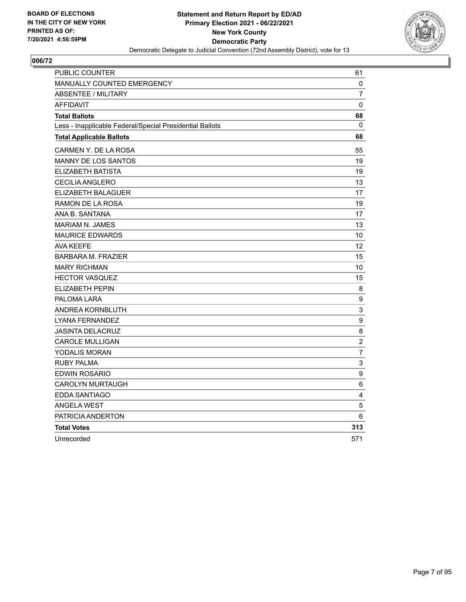

| PUBLIC COUNTER                                           | 61                        |
|----------------------------------------------------------|---------------------------|
| MANUALLY COUNTED EMERGENCY                               | 0                         |
| <b>ABSENTEE / MILITARY</b>                               | $\overline{7}$            |
| <b>AFFIDAVIT</b>                                         | 0                         |
| <b>Total Ballots</b>                                     | 68                        |
| Less - Inapplicable Federal/Special Presidential Ballots | 0                         |
| <b>Total Applicable Ballots</b>                          | 68                        |
| CARMEN Y. DE LA ROSA                                     | 55                        |
| MANNY DE LOS SANTOS                                      | 19                        |
| ELIZABETH BATISTA                                        | 19                        |
| <b>CECILIA ANGLERO</b>                                   | 13                        |
| ELIZABETH BALAGUER                                       | 17                        |
| RAMON DE LA ROSA                                         | 19                        |
| ANA B. SANTANA                                           | 17                        |
| <b>MARIAM N. JAMES</b>                                   | 13                        |
| <b>MAURICE EDWARDS</b>                                   | 10                        |
| <b>AVA KEEFE</b>                                         | $12 \overline{ }$         |
| <b>BARBARA M. FRAZIER</b>                                | 15                        |
| <b>MARY RICHMAN</b>                                      | 10                        |
| <b>HECTOR VASQUEZ</b>                                    | 15                        |
| <b>ELIZABETH PEPIN</b>                                   | 8                         |
| PALOMA LARA                                              | $\boldsymbol{9}$          |
| ANDREA KORNBLUTH                                         | 3                         |
| LYANA FERNANDEZ                                          | $\boldsymbol{9}$          |
| <b>JASINTA DELACRUZ</b>                                  | 8                         |
| <b>CAROLE MULLIGAN</b>                                   | $\overline{2}$            |
| YODALIS MORAN                                            | $\overline{7}$            |
| <b>RUBY PALMA</b>                                        | $\ensuremath{\mathsf{3}}$ |
| <b>EDWIN ROSARIO</b>                                     | 9                         |
| <b>CAROLYN MURTAUGH</b>                                  | $6\phantom{1}$            |
| <b>EDDA SANTIAGO</b>                                     | $\overline{\mathbf{4}}$   |
| <b>ANGELA WEST</b>                                       | 5                         |
| PATRICIA ANDERTON                                        | 6                         |
| <b>Total Votes</b>                                       | 313                       |
| Unrecorded                                               | 571                       |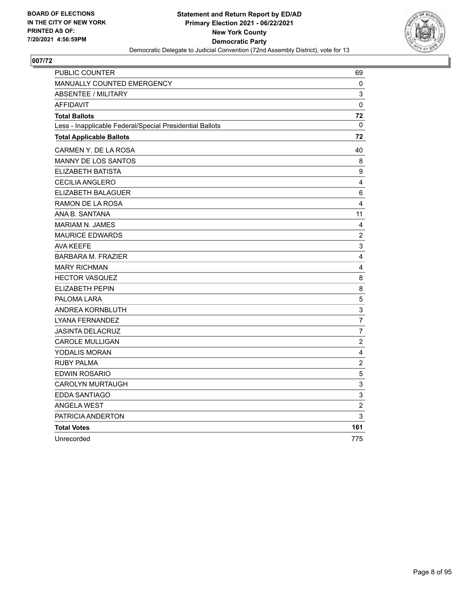

| PUBLIC COUNTER                                           | 69                      |
|----------------------------------------------------------|-------------------------|
| MANUALLY COUNTED EMERGENCY                               | 0                       |
| <b>ABSENTEE / MILITARY</b>                               | 3                       |
| <b>AFFIDAVIT</b>                                         | $\mathbf 0$             |
| <b>Total Ballots</b>                                     | 72                      |
| Less - Inapplicable Federal/Special Presidential Ballots | $\mathbf 0$             |
| <b>Total Applicable Ballots</b>                          | 72                      |
| CARMEN Y. DE LA ROSA                                     | 40                      |
| MANNY DE LOS SANTOS                                      | 8                       |
| ELIZABETH BATISTA                                        | 9                       |
| <b>CECILIA ANGLERO</b>                                   | $\overline{\mathbf{4}}$ |
| ELIZABETH BALAGUER                                       | 6                       |
| RAMON DE LA ROSA                                         | $\overline{4}$          |
| ANA B. SANTANA                                           | 11                      |
| <b>MARIAM N. JAMES</b>                                   | 4                       |
| <b>MAURICE EDWARDS</b>                                   | $\overline{c}$          |
| <b>AVA KEEFE</b>                                         | $\mathsf 3$             |
| <b>BARBARA M. FRAZIER</b>                                | 4                       |
| <b>MARY RICHMAN</b>                                      | 4                       |
| <b>HECTOR VASQUEZ</b>                                    | $\,8\,$                 |
| ELIZABETH PEPIN                                          | 8                       |
| PALOMA LARA                                              | 5                       |
| ANDREA KORNBLUTH                                         | 3                       |
| LYANA FERNANDEZ                                          | $\overline{7}$          |
| <b>JASINTA DELACRUZ</b>                                  | 7                       |
| <b>CAROLE MULLIGAN</b>                                   | $\overline{c}$          |
| YODALIS MORAN                                            | $\overline{\mathbf{4}}$ |
| <b>RUBY PALMA</b>                                        | $\boldsymbol{2}$        |
| <b>EDWIN ROSARIO</b>                                     | $\sqrt{5}$              |
| <b>CAROLYN MURTAUGH</b>                                  | 3                       |
| <b>EDDA SANTIAGO</b>                                     | $\mathbf{3}$            |
| <b>ANGELA WEST</b>                                       | $\overline{c}$          |
| PATRICIA ANDERTON                                        | 3                       |
| <b>Total Votes</b>                                       | 161                     |
| Unrecorded                                               | 775                     |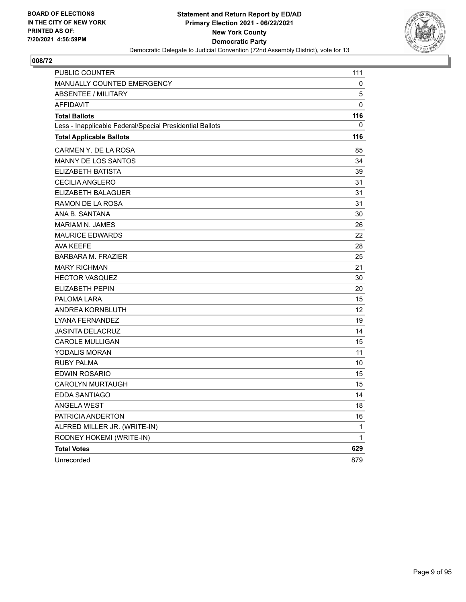

| PUBLIC COUNTER                                           | 111 |
|----------------------------------------------------------|-----|
| MANUALLY COUNTED EMERGENCY                               | 0   |
| <b>ABSENTEE / MILITARY</b>                               | 5   |
| <b>AFFIDAVIT</b>                                         | 0   |
| <b>Total Ballots</b>                                     | 116 |
| Less - Inapplicable Federal/Special Presidential Ballots | 0   |
| <b>Total Applicable Ballots</b>                          | 116 |
| CARMEN Y. DE LA ROSA                                     | 85  |
| <b>MANNY DE LOS SANTOS</b>                               | 34  |
| ELIZABETH BATISTA                                        | 39  |
| <b>CECILIA ANGLERO</b>                                   | 31  |
| <b>ELIZABETH BALAGUER</b>                                | 31  |
| RAMON DE LA ROSA                                         | 31  |
| ANA B. SANTANA                                           | 30  |
| MARIAM N. JAMES                                          | 26  |
| <b>MAURICE EDWARDS</b>                                   | 22  |
| <b>AVA KEEFE</b>                                         | 28  |
| <b>BARBARA M. FRAZIER</b>                                | 25  |
| <b>MARY RICHMAN</b>                                      | 21  |
| <b>HECTOR VASQUEZ</b>                                    | 30  |
| ELIZABETH PEPIN                                          | 20  |
| PALOMA LARA                                              | 15  |
| ANDREA KORNBLUTH                                         | 12  |
| LYANA FERNANDEZ                                          | 19  |
| <b>JASINTA DELACRUZ</b>                                  | 14  |
| <b>CAROLE MULLIGAN</b>                                   | 15  |
| YODALIS MORAN                                            | 11  |
| <b>RUBY PALMA</b>                                        | 10  |
| EDWIN ROSARIO                                            | 15  |
| <b>CAROLYN MURTAUGH</b>                                  | 15  |
| <b>EDDA SANTIAGO</b>                                     | 14  |
| <b>ANGELA WEST</b>                                       | 18  |
| PATRICIA ANDERTON                                        | 16  |
| ALFRED MILLER JR. (WRITE-IN)                             | 1   |
| RODNEY HOKEMI (WRITE-IN)                                 | 1   |
| <b>Total Votes</b>                                       | 629 |
| Unrecorded                                               | 879 |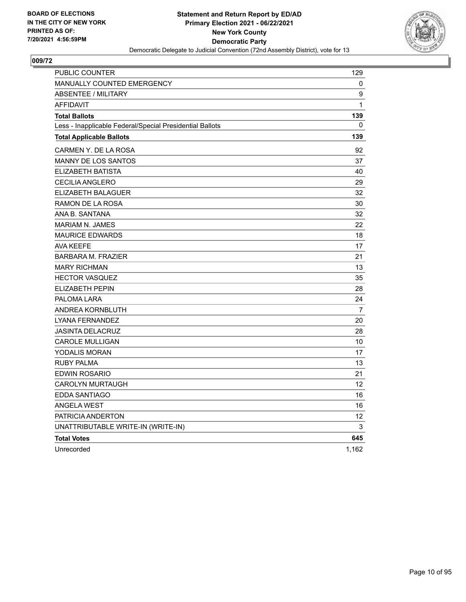

| <b>PUBLIC COUNTER</b>                                    | 129            |
|----------------------------------------------------------|----------------|
| MANUALLY COUNTED EMERGENCY                               | 0              |
| ABSENTEE / MILITARY                                      | 9              |
| <b>AFFIDAVIT</b>                                         | 1              |
| <b>Total Ballots</b>                                     | 139            |
| Less - Inapplicable Federal/Special Presidential Ballots | 0              |
| <b>Total Applicable Ballots</b>                          | 139            |
| CARMEN Y. DE LA ROSA                                     | 92             |
| <b>MANNY DE LOS SANTOS</b>                               | 37             |
| ELIZABETH BATISTA                                        | 40             |
| <b>CECILIA ANGLERO</b>                                   | 29             |
| ELIZABETH BALAGUER                                       | 32             |
| RAMON DE LA ROSA                                         | 30             |
| ANA B. SANTANA                                           | 32             |
| <b>MARIAM N. JAMES</b>                                   | 22             |
| <b>MAURICE EDWARDS</b>                                   | 18             |
| <b>AVA KEEFE</b>                                         | 17             |
| <b>BARBARA M. FRAZIER</b>                                | 21             |
| <b>MARY RICHMAN</b>                                      | 13             |
| <b>HECTOR VASQUEZ</b>                                    | 35             |
| <b>ELIZABETH PEPIN</b>                                   | 28             |
| PALOMA LARA                                              | 24             |
| ANDREA KORNBLUTH                                         | $\overline{7}$ |
| LYANA FERNANDEZ                                          | 20             |
| <b>JASINTA DELACRUZ</b>                                  | 28             |
| <b>CAROLE MULLIGAN</b>                                   | 10             |
| YODALIS MORAN                                            | 17             |
| <b>RUBY PALMA</b>                                        | 13             |
| <b>EDWIN ROSARIO</b>                                     | 21             |
| CAROLYN MURTAUGH                                         | 12             |
| EDDA SANTIAGO                                            | 16             |
| <b>ANGELA WEST</b>                                       | 16             |
| PATRICIA ANDERTON                                        | 12             |
| UNATTRIBUTABLE WRITE-IN (WRITE-IN)                       | 3              |
| <b>Total Votes</b>                                       | 645            |
| Unrecorded                                               | 1,162          |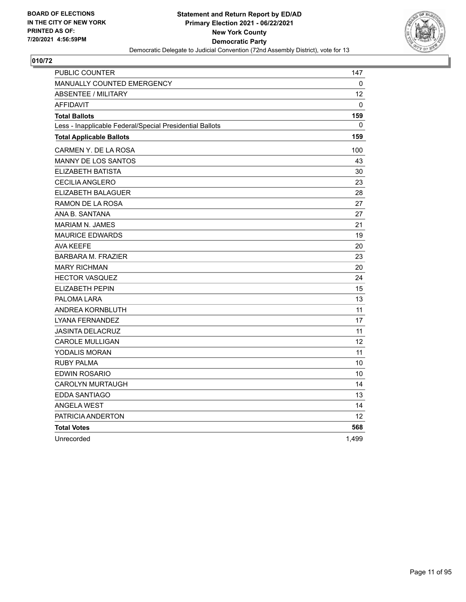

| <b>PUBLIC COUNTER</b>                                    | 147             |
|----------------------------------------------------------|-----------------|
| <b>MANUALLY COUNTED EMERGENCY</b>                        | 0               |
| <b>ABSENTEE / MILITARY</b>                               | 12              |
| <b>AFFIDAVIT</b>                                         | 0               |
| <b>Total Ballots</b>                                     | 159             |
| Less - Inapplicable Federal/Special Presidential Ballots | 0               |
| <b>Total Applicable Ballots</b>                          | 159             |
| CARMEN Y. DE LA ROSA                                     | 100             |
| <b>MANNY DE LOS SANTOS</b>                               | 43              |
| <b>ELIZABETH BATISTA</b>                                 | 30              |
| CECILIA ANGLERO                                          | 23              |
| ELIZABETH BALAGUER                                       | 28              |
| RAMON DE LA ROSA                                         | 27              |
| ANA B. SANTANA                                           | 27              |
| <b>MARIAM N. JAMES</b>                                   | 21              |
| <b>MAURICE EDWARDS</b>                                   | 19              |
| <b>AVA KEEFE</b>                                         | 20              |
| <b>BARBARA M. FRAZIER</b>                                | 23              |
| <b>MARY RICHMAN</b>                                      | 20              |
| <b>HECTOR VASQUEZ</b>                                    | 24              |
| ELIZABETH PEPIN                                          | 15              |
| PALOMA LARA                                              | 13              |
| ANDREA KORNBLUTH                                         | 11              |
| LYANA FERNANDEZ                                          | 17              |
| <b>JASINTA DELACRUZ</b>                                  | 11              |
| <b>CAROLE MULLIGAN</b>                                   | 12              |
| YODALIS MORAN                                            | 11              |
| <b>RUBY PALMA</b>                                        | 10              |
| EDWIN ROSARIO                                            | 10              |
| <b>CAROLYN MURTAUGH</b>                                  | 14              |
| EDDA SANTIAGO                                            | 13              |
| <b>ANGELA WEST</b>                                       | 14              |
| PATRICIA ANDERTON                                        | 12 <sup>2</sup> |
| <b>Total Votes</b>                                       | 568             |
| Unrecorded                                               | 1,499           |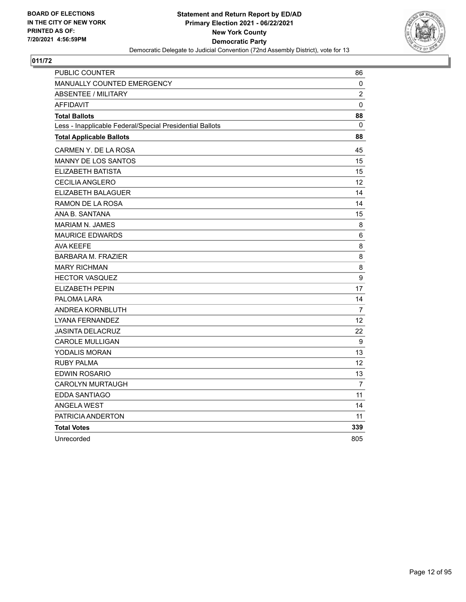

| PUBLIC COUNTER                                           | 86             |
|----------------------------------------------------------|----------------|
| MANUALLY COUNTED EMERGENCY                               | 0              |
| <b>ABSENTEE / MILITARY</b>                               | $\overline{c}$ |
| <b>AFFIDAVIT</b>                                         | 0              |
| <b>Total Ballots</b>                                     | 88             |
| Less - Inapplicable Federal/Special Presidential Ballots | 0              |
| <b>Total Applicable Ballots</b>                          | 88             |
| CARMEN Y. DE LA ROSA                                     | 45             |
| <b>MANNY DE LOS SANTOS</b>                               | 15             |
| ELIZABETH BATISTA                                        | 15             |
| <b>CECILIA ANGLERO</b>                                   | 12             |
| ELIZABETH BALAGUER                                       | 14             |
| RAMON DE LA ROSA                                         | 14             |
| ANA B. SANTANA                                           | 15             |
| <b>MARIAM N. JAMES</b>                                   | 8              |
| <b>MAURICE EDWARDS</b>                                   | 6              |
| AVA KEEFE                                                | 8              |
| <b>BARBARA M. FRAZIER</b>                                | 8              |
| <b>MARY RICHMAN</b>                                      | 8              |
| <b>HECTOR VASQUEZ</b>                                    | 9              |
| <b>ELIZABETH PEPIN</b>                                   | 17             |
| PALOMA LARA                                              | 14             |
| ANDREA KORNBLUTH                                         | 7              |
| LYANA FERNANDEZ                                          | 12             |
| <b>JASINTA DELACRUZ</b>                                  | 22             |
| <b>CAROLE MULLIGAN</b>                                   | 9              |
| YODALIS MORAN                                            | 13             |
| <b>RUBY PALMA</b>                                        | 12             |
| <b>EDWIN ROSARIO</b>                                     | 13             |
| <b>CAROLYN MURTAUGH</b>                                  | $\overline{7}$ |
| <b>EDDA SANTIAGO</b>                                     | 11             |
| <b>ANGELA WEST</b>                                       | 14             |
| PATRICIA ANDERTON                                        | 11             |
| <b>Total Votes</b>                                       | 339            |
| Unrecorded                                               | 805            |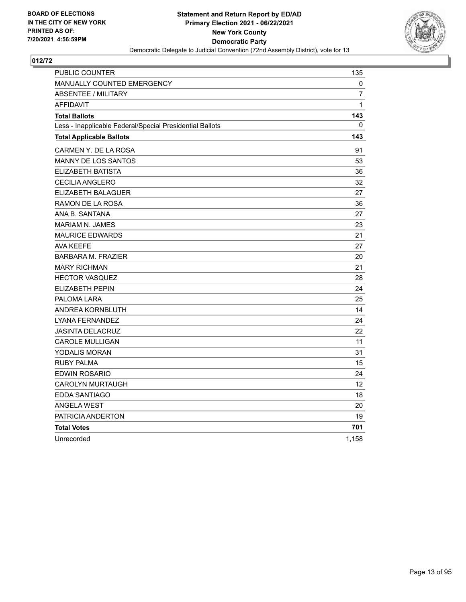

| PUBLIC COUNTER                                           | 135            |
|----------------------------------------------------------|----------------|
| <b>MANUALLY COUNTED EMERGENCY</b>                        | 0              |
| <b>ABSENTEE / MILITARY</b>                               | $\overline{7}$ |
| <b>AFFIDAVIT</b>                                         | $\mathbf{1}$   |
| <b>Total Ballots</b>                                     | 143            |
| Less - Inapplicable Federal/Special Presidential Ballots | 0              |
| <b>Total Applicable Ballots</b>                          | 143            |
| CARMEN Y. DE LA ROSA                                     | 91             |
| <b>MANNY DE LOS SANTOS</b>                               | 53             |
| ELIZABETH BATISTA                                        | 36             |
| <b>CECILIA ANGLERO</b>                                   | 32             |
| ELIZABETH BALAGUER                                       | 27             |
| RAMON DE LA ROSA                                         | 36             |
| ANA B. SANTANA                                           | 27             |
| <b>MARIAM N. JAMES</b>                                   | 23             |
| <b>MAURICE EDWARDS</b>                                   | 21             |
| <b>AVA KEEFE</b>                                         | 27             |
| <b>BARBARA M. FRAZIER</b>                                | 20             |
| <b>MARY RICHMAN</b>                                      | 21             |
| <b>HECTOR VASQUEZ</b>                                    | 28             |
| <b>ELIZABETH PEPIN</b>                                   | 24             |
| PALOMA LARA                                              | 25             |
| ANDREA KORNBLUTH                                         | 14             |
| LYANA FERNANDEZ                                          | 24             |
| <b>JASINTA DELACRUZ</b>                                  | 22             |
| <b>CAROLE MULLIGAN</b>                                   | 11             |
| YODALIS MORAN                                            | 31             |
| <b>RUBY PALMA</b>                                        | 15             |
| <b>EDWIN ROSARIO</b>                                     | 24             |
| <b>CAROLYN MURTAUGH</b>                                  | 12             |
| EDDA SANTIAGO                                            | 18             |
| <b>ANGELA WEST</b>                                       | 20             |
| PATRICIA ANDERTON                                        | 19             |
| <b>Total Votes</b>                                       | 701            |
| Unrecorded                                               | 1,158          |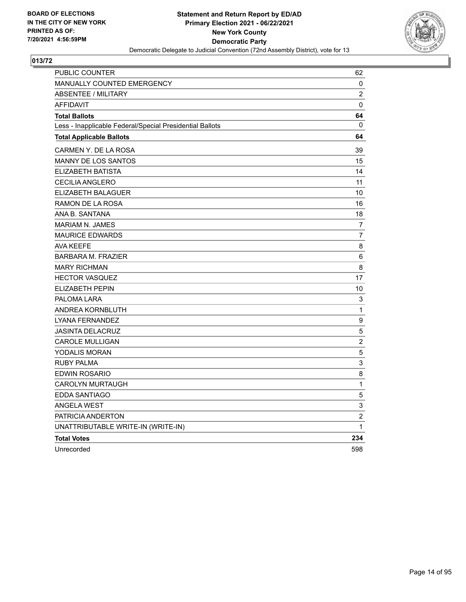

| <b>PUBLIC COUNTER</b>                                    | 62             |
|----------------------------------------------------------|----------------|
| MANUALLY COUNTED EMERGENCY                               | 0              |
| <b>ABSENTEE / MILITARY</b>                               | $\overline{c}$ |
| <b>AFFIDAVIT</b>                                         | 0              |
| <b>Total Ballots</b>                                     | 64             |
| Less - Inapplicable Federal/Special Presidential Ballots | 0              |
| <b>Total Applicable Ballots</b>                          | 64             |
| CARMEN Y. DE LA ROSA                                     | 39             |
| <b>MANNY DE LOS SANTOS</b>                               | 15             |
| ELIZABETH BATISTA                                        | 14             |
| <b>CECILIA ANGLERO</b>                                   | 11             |
| ELIZABETH BALAGUER                                       | 10             |
| RAMON DE LA ROSA                                         | 16             |
| ANA B. SANTANA                                           | 18             |
| <b>MARIAM N. JAMES</b>                                   | 7              |
| <b>MAURICE EDWARDS</b>                                   | $\overline{7}$ |
| <b>AVA KEEFE</b>                                         | 8              |
| <b>BARBARA M. FRAZIER</b>                                | 6              |
| <b>MARY RICHMAN</b>                                      | 8              |
| <b>HECTOR VASQUEZ</b>                                    | 17             |
| <b>ELIZABETH PEPIN</b>                                   | 10             |
| PALOMA LARA                                              | 3              |
| ANDREA KORNBLUTH                                         | 1              |
| LYANA FERNANDEZ                                          | 9              |
| <b>JASINTA DELACRUZ</b>                                  | 5              |
| <b>CAROLE MULLIGAN</b>                                   | $\overline{c}$ |
| <b>YODALIS MORAN</b>                                     | 5              |
| <b>RUBY PALMA</b>                                        | 3              |
| EDWIN ROSARIO                                            | 8              |
| <b>CAROLYN MURTAUGH</b>                                  | 1              |
| EDDA SANTIAGO                                            | 5              |
| <b>ANGELA WEST</b>                                       | 3              |
| PATRICIA ANDERTON                                        | $\overline{c}$ |
| UNATTRIBUTABLE WRITE-IN (WRITE-IN)                       | 1              |
| <b>Total Votes</b>                                       | 234            |
| Unrecorded                                               | 598            |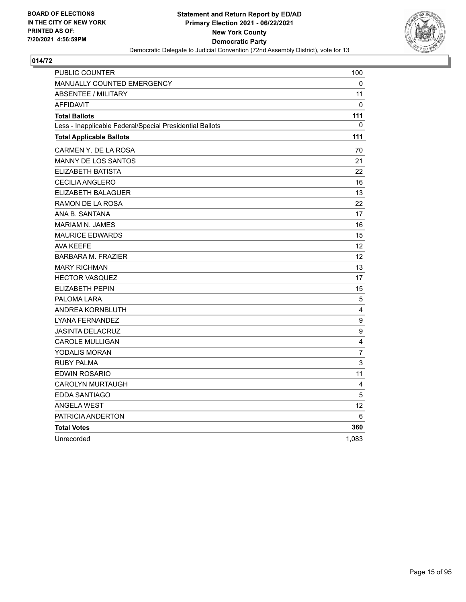

| PUBLIC COUNTER                                           | 100            |
|----------------------------------------------------------|----------------|
| <b>MANUALLY COUNTED EMERGENCY</b>                        | 0              |
| <b>ABSENTEE / MILITARY</b>                               | 11             |
| <b>AFFIDAVIT</b>                                         | 0              |
| <b>Total Ballots</b>                                     | 111            |
| Less - Inapplicable Federal/Special Presidential Ballots | 0              |
| <b>Total Applicable Ballots</b>                          | 111            |
| CARMEN Y. DE LA ROSA                                     | 70             |
| <b>MANNY DE LOS SANTOS</b>                               | 21             |
| ELIZABETH BATISTA                                        | 22             |
| <b>CECILIA ANGLERO</b>                                   | 16             |
| ELIZABETH BALAGUER                                       | 13             |
| RAMON DE LA ROSA                                         | 22             |
| ANA B. SANTANA                                           | 17             |
| <b>MARIAM N. JAMES</b>                                   | 16             |
| <b>MAURICE EDWARDS</b>                                   | 15             |
| <b>AVA KEEFE</b>                                         | 12             |
| <b>BARBARA M. FRAZIER</b>                                | 12             |
| <b>MARY RICHMAN</b>                                      | 13             |
| <b>HECTOR VASQUEZ</b>                                    | 17             |
| <b>ELIZABETH PEPIN</b>                                   | 15             |
| PALOMA LARA                                              | 5              |
| ANDREA KORNBLUTH                                         | 4              |
| <b>LYANA FERNANDEZ</b>                                   | 9              |
| <b>JASINTA DELACRUZ</b>                                  | 9              |
| <b>CAROLE MULLIGAN</b>                                   | 4              |
| YODALIS MORAN                                            | $\overline{7}$ |
| <b>RUBY PALMA</b>                                        | 3              |
| <b>EDWIN ROSARIO</b>                                     | 11             |
| <b>CAROLYN MURTAUGH</b>                                  | 4              |
| EDDA SANTIAGO                                            | 5              |
| <b>ANGELA WEST</b>                                       | 12             |
| PATRICIA ANDERTON                                        | 6              |
| <b>Total Votes</b>                                       | 360            |
| Unrecorded                                               | 1,083          |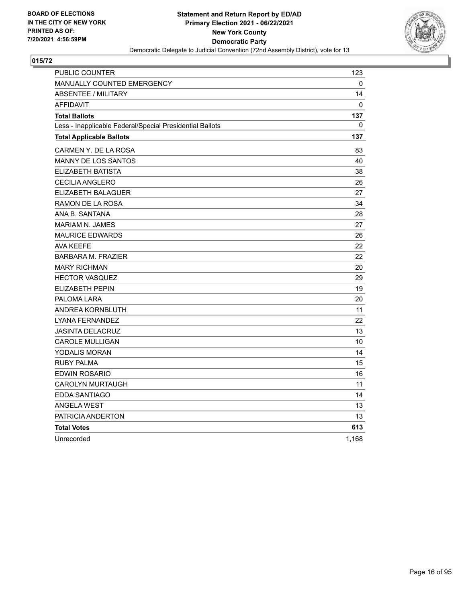

| PUBLIC COUNTER                                           | 123   |
|----------------------------------------------------------|-------|
| <b>MANUALLY COUNTED EMERGENCY</b>                        | 0     |
| <b>ABSENTEE / MILITARY</b>                               | 14    |
| <b>AFFIDAVIT</b>                                         | 0     |
| <b>Total Ballots</b>                                     | 137   |
| Less - Inapplicable Federal/Special Presidential Ballots | 0     |
| <b>Total Applicable Ballots</b>                          | 137   |
| CARMEN Y. DE LA ROSA                                     | 83    |
| <b>MANNY DE LOS SANTOS</b>                               | 40    |
| ELIZABETH BATISTA                                        | 38    |
| <b>CECILIA ANGLERO</b>                                   | 26    |
| ELIZABETH BALAGUER                                       | 27    |
| RAMON DE LA ROSA                                         | 34    |
| ANA B. SANTANA                                           | 28    |
| <b>MARIAM N. JAMES</b>                                   | 27    |
| <b>MAURICE EDWARDS</b>                                   | 26    |
| <b>AVA KEEFE</b>                                         | 22    |
| <b>BARBARA M. FRAZIER</b>                                | 22    |
| <b>MARY RICHMAN</b>                                      | 20    |
| <b>HECTOR VASQUEZ</b>                                    | 29    |
| <b>ELIZABETH PEPIN</b>                                   | 19    |
| PALOMA LARA                                              | 20    |
| ANDREA KORNBLUTH                                         | 11    |
| LYANA FERNANDEZ                                          | 22    |
| <b>JASINTA DELACRUZ</b>                                  | 13    |
| <b>CAROLE MULLIGAN</b>                                   | 10    |
| YODALIS MORAN                                            | 14    |
| <b>RUBY PALMA</b>                                        | 15    |
| <b>EDWIN ROSARIO</b>                                     | 16    |
| <b>CAROLYN MURTAUGH</b>                                  | 11    |
| EDDA SANTIAGO                                            | 14    |
| <b>ANGELA WEST</b>                                       | 13    |
| PATRICIA ANDERTON                                        | 13    |
| <b>Total Votes</b>                                       | 613   |
| Unrecorded                                               | 1,168 |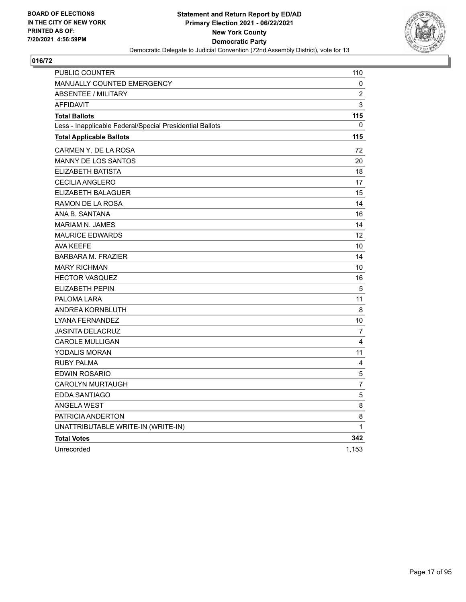

| <b>PUBLIC COUNTER</b>                                    | 110            |
|----------------------------------------------------------|----------------|
| MANUALLY COUNTED EMERGENCY                               | 0              |
| <b>ABSENTEE / MILITARY</b>                               | 2              |
| <b>AFFIDAVIT</b>                                         | 3              |
| <b>Total Ballots</b>                                     | 115            |
| Less - Inapplicable Federal/Special Presidential Ballots | 0              |
| <b>Total Applicable Ballots</b>                          | 115            |
| CARMEN Y. DE LA ROSA                                     | 72             |
| <b>MANNY DE LOS SANTOS</b>                               | 20             |
| ELIZABETH BATISTA                                        | 18             |
| CECILIA ANGLERO                                          | 17             |
| ELIZABETH BALAGUER                                       | 15             |
| RAMON DE LA ROSA                                         | 14             |
| ANA B. SANTANA                                           | 16             |
| <b>MARIAM N. JAMES</b>                                   | 14             |
| <b>MAURICE EDWARDS</b>                                   | 12             |
| <b>AVA KEEFE</b>                                         | 10             |
| <b>BARBARA M. FRAZIER</b>                                | 14             |
| <b>MARY RICHMAN</b>                                      | 10             |
| <b>HECTOR VASQUEZ</b>                                    | 16             |
| <b>ELIZABETH PEPIN</b>                                   | 5              |
| PALOMA LARA                                              | 11             |
| ANDREA KORNBLUTH                                         | 8              |
| LYANA FERNANDEZ                                          | 10             |
| <b>JASINTA DELACRUZ</b>                                  | 7              |
| <b>CAROLE MULLIGAN</b>                                   | 4              |
| YODALIS MORAN                                            | 11             |
| <b>RUBY PALMA</b>                                        | 4              |
| EDWIN ROSARIO                                            | $\mathbf 5$    |
| <b>CAROLYN MURTAUGH</b>                                  | $\overline{7}$ |
| EDDA SANTIAGO                                            | $\mathbf 5$    |
| <b>ANGELA WEST</b>                                       | 8              |
| PATRICIA ANDERTON                                        | 8              |
| UNATTRIBUTABLE WRITE-IN (WRITE-IN)                       | $\mathbf{1}$   |
| <b>Total Votes</b>                                       | 342            |
| Unrecorded                                               | 1,153          |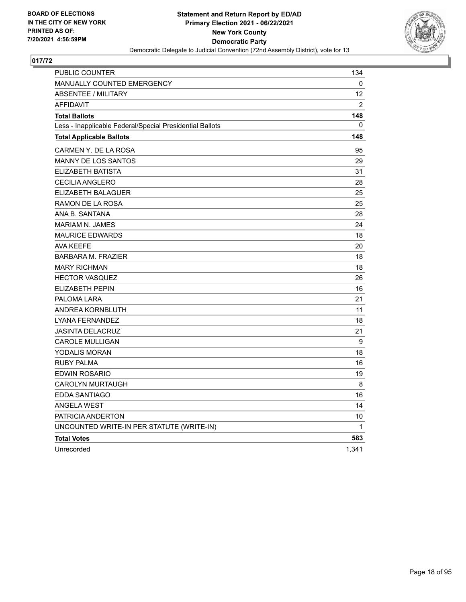

| <b>PUBLIC COUNTER</b>                                    | 134          |
|----------------------------------------------------------|--------------|
| MANUALLY COUNTED EMERGENCY                               | 0            |
| <b>ABSENTEE / MILITARY</b>                               | 12           |
| <b>AFFIDAVIT</b>                                         | 2            |
| <b>Total Ballots</b>                                     | 148          |
| Less - Inapplicable Federal/Special Presidential Ballots | 0            |
| <b>Total Applicable Ballots</b>                          | 148          |
| CARMEN Y. DE LA ROSA                                     | 95           |
| <b>MANNY DE LOS SANTOS</b>                               | 29           |
| ELIZABETH BATISTA                                        | 31           |
| CECILIA ANGLERO                                          | 28           |
| ELIZABETH BALAGUER                                       | 25           |
| RAMON DE LA ROSA                                         | 25           |
| ANA B. SANTANA                                           | 28           |
| <b>MARIAM N. JAMES</b>                                   | 24           |
| <b>MAURICE EDWARDS</b>                                   | 18           |
| <b>AVA KEEFE</b>                                         | 20           |
| <b>BARBARA M. FRAZIER</b>                                | 18           |
| <b>MARY RICHMAN</b>                                      | 18           |
| <b>HECTOR VASQUEZ</b>                                    | 26           |
| ELIZABETH PEPIN                                          | 16           |
| PALOMA LARA                                              | 21           |
| ANDREA KORNBLUTH                                         | 11           |
| <b>LYANA FERNANDEZ</b>                                   | 18           |
| JASINTA DELACRUZ                                         | 21           |
| <b>CAROLE MULLIGAN</b>                                   | 9            |
| YODALIS MORAN                                            | 18           |
| <b>RUBY PALMA</b>                                        | 16           |
| EDWIN ROSARIO                                            | 19           |
| <b>CAROLYN MURTAUGH</b>                                  | 8            |
| EDDA SANTIAGO                                            | 16           |
| <b>ANGELA WEST</b>                                       | 14           |
| PATRICIA ANDERTON                                        | 10           |
| UNCOUNTED WRITE-IN PER STATUTE (WRITE-IN)                | $\mathbf{1}$ |
| <b>Total Votes</b>                                       | 583          |
| Unrecorded                                               | 1,341        |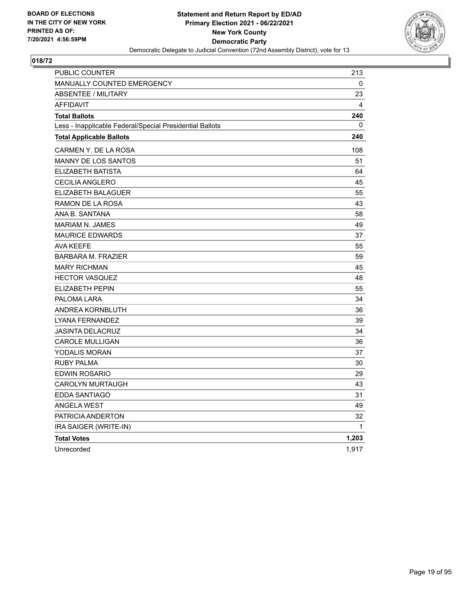

| <b>PUBLIC COUNTER</b>                                    | 213          |
|----------------------------------------------------------|--------------|
| MANUALLY COUNTED EMERGENCY                               | 0            |
| <b>ABSENTEE / MILITARY</b>                               | 23           |
| <b>AFFIDAVIT</b>                                         | 4            |
| <b>Total Ballots</b>                                     | 240          |
| Less - Inapplicable Federal/Special Presidential Ballots | 0            |
| <b>Total Applicable Ballots</b>                          | 240          |
| CARMEN Y. DE LA ROSA                                     | 108          |
| MANNY DE LOS SANTOS                                      | 51           |
| ELIZABETH BATISTA                                        | 64           |
| <b>CECILIA ANGLERO</b>                                   | 45           |
| ELIZABETH BALAGUER                                       | 55           |
| RAMON DE LA ROSA                                         | 43           |
| ANA B. SANTANA                                           | 58           |
| <b>MARIAM N. JAMES</b>                                   | 49           |
| <b>MAURICE EDWARDS</b>                                   | 37           |
| <b>AVA KEEFE</b>                                         | 55           |
| <b>BARBARA M. FRAZIER</b>                                | 59           |
| <b>MARY RICHMAN</b>                                      | 45           |
| <b>HECTOR VASQUEZ</b>                                    | 48           |
| <b>ELIZABETH PEPIN</b>                                   | 55           |
| PALOMA LARA                                              | 34           |
| ANDREA KORNBLUTH                                         | 36           |
| LYANA FERNANDEZ                                          | 39           |
| <b>JASINTA DELACRUZ</b>                                  | 34           |
| <b>CAROLE MULLIGAN</b>                                   | 36           |
| YODALIS MORAN                                            | 37           |
| RUBY PALMA                                               | 30           |
| EDWIN ROSARIO                                            | 29           |
| <b>CAROLYN MURTAUGH</b>                                  | 43           |
| <b>EDDA SANTIAGO</b>                                     | 31           |
| <b>ANGELA WEST</b>                                       | 49           |
| PATRICIA ANDERTON                                        | 32           |
| IRA SAIGER (WRITE-IN)                                    | $\mathbf{1}$ |
| <b>Total Votes</b>                                       | 1,203        |
| Unrecorded                                               | 1,917        |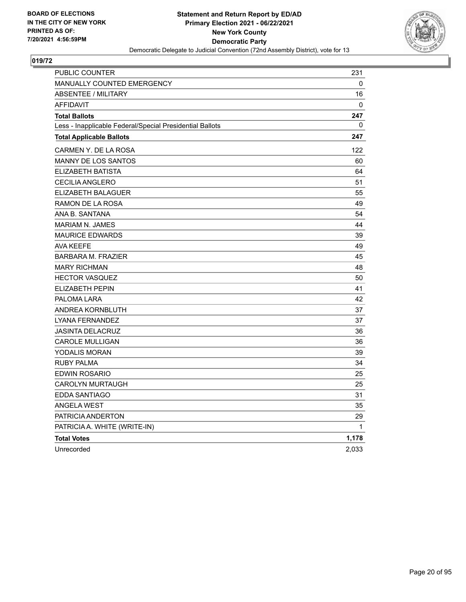

| PUBLIC COUNTER                                           | 231          |
|----------------------------------------------------------|--------------|
| <b>MANUALLY COUNTED EMERGENCY</b>                        | 0            |
| <b>ABSENTEE / MILITARY</b>                               | 16           |
| <b>AFFIDAVIT</b>                                         | $\mathbf{0}$ |
| <b>Total Ballots</b>                                     | 247          |
| Less - Inapplicable Federal/Special Presidential Ballots | 0            |
| <b>Total Applicable Ballots</b>                          | 247          |
| CARMEN Y. DE LA ROSA                                     | 122          |
| MANNY DE LOS SANTOS                                      | 60           |
| ELIZABETH BATISTA                                        | 64           |
| CECILIA ANGLERO                                          | 51           |
| ELIZABETH BALAGUER                                       | 55           |
| RAMON DE LA ROSA                                         | 49           |
| ANA B. SANTANA                                           | 54           |
| <b>MARIAM N. JAMES</b>                                   | 44           |
| <b>MAURICE EDWARDS</b>                                   | 39           |
| <b>AVA KEEFE</b>                                         | 49           |
| <b>BARBARA M. FRAZIER</b>                                | 45           |
| <b>MARY RICHMAN</b>                                      | 48           |
| <b>HECTOR VASQUEZ</b>                                    | 50           |
| <b>ELIZABETH PEPIN</b>                                   | 41           |
| PALOMA LARA                                              | 42           |
| ANDREA KORNBLUTH                                         | 37           |
| LYANA FERNANDEZ                                          | 37           |
| JASINTA DELACRUZ                                         | 36           |
| <b>CAROLE MULLIGAN</b>                                   | 36           |
| YODALIS MORAN                                            | 39           |
| RUBY PALMA                                               | 34           |
| EDWIN ROSARIO                                            | 25           |
| CAROLYN MURTAUGH                                         | 25           |
| EDDA SANTIAGO                                            | 31           |
| <b>ANGELA WEST</b>                                       | 35           |
| PATRICIA ANDERTON                                        | 29           |
| PATRICIA A. WHITE (WRITE-IN)                             | 1            |
| <b>Total Votes</b>                                       | 1,178        |
| Unrecorded                                               | 2,033        |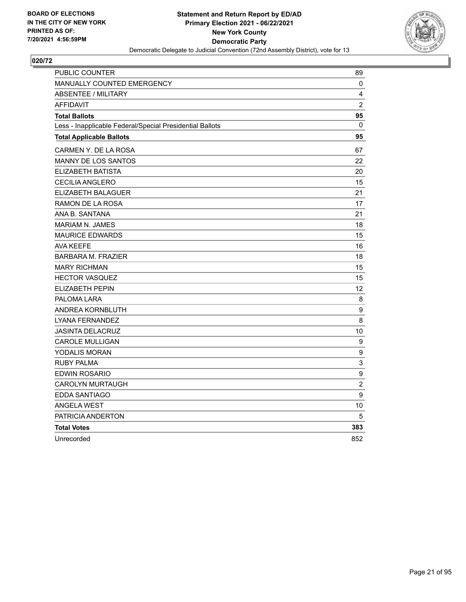

| PUBLIC COUNTER                                           | 89                        |
|----------------------------------------------------------|---------------------------|
| MANUALLY COUNTED EMERGENCY                               | 0                         |
| <b>ABSENTEE / MILITARY</b>                               | 4                         |
| <b>AFFIDAVIT</b>                                         | $\overline{2}$            |
| <b>Total Ballots</b>                                     | 95                        |
| Less - Inapplicable Federal/Special Presidential Ballots | $\mathbf{0}$              |
| <b>Total Applicable Ballots</b>                          | 95                        |
| CARMEN Y. DE LA ROSA                                     | 67                        |
| MANNY DE LOS SANTOS                                      | 22                        |
| ELIZABETH BATISTA                                        | 20                        |
| <b>CECILIA ANGLERO</b>                                   | 15                        |
| ELIZABETH BALAGUER                                       | 21                        |
| RAMON DE LA ROSA                                         | 17                        |
| ANA B. SANTANA                                           | 21                        |
| <b>MARIAM N. JAMES</b>                                   | 18                        |
| <b>MAURICE EDWARDS</b>                                   | 15                        |
| <b>AVA KEEFE</b>                                         | 16                        |
| <b>BARBARA M. FRAZIER</b>                                | 18                        |
| <b>MARY RICHMAN</b>                                      | 15                        |
| <b>HECTOR VASQUEZ</b>                                    | 15                        |
| <b>ELIZABETH PEPIN</b>                                   | 12                        |
| PALOMA LARA                                              | 8                         |
| ANDREA KORNBLUTH                                         | 9                         |
| LYANA FERNANDEZ                                          | 8                         |
| <b>JASINTA DELACRUZ</b>                                  | 10                        |
| <b>CAROLE MULLIGAN</b>                                   | 9                         |
| <b>YODALIS MORAN</b>                                     | 9                         |
| <b>RUBY PALMA</b>                                        | $\ensuremath{\mathsf{3}}$ |
| <b>EDWIN ROSARIO</b>                                     | 9                         |
| <b>CAROLYN MURTAUGH</b>                                  | $\overline{c}$            |
| EDDA SANTIAGO                                            | 9                         |
| <b>ANGELA WEST</b>                                       | 10                        |
| PATRICIA ANDERTON                                        | 5                         |
| <b>Total Votes</b>                                       | 383                       |
| Unrecorded                                               | 852                       |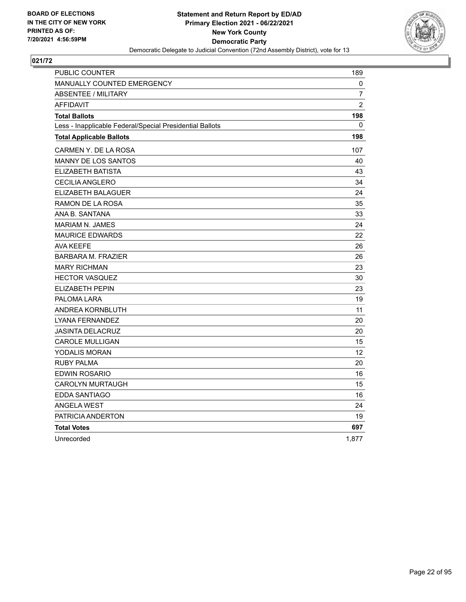

| PUBLIC COUNTER                                           | 189            |
|----------------------------------------------------------|----------------|
| MANUALLY COUNTED EMERGENCY                               | 0              |
| <b>ABSENTEE / MILITARY</b>                               | 7              |
| <b>AFFIDAVIT</b>                                         | $\overline{2}$ |
| <b>Total Ballots</b>                                     | 198            |
| Less - Inapplicable Federal/Special Presidential Ballots | 0              |
| <b>Total Applicable Ballots</b>                          | 198            |
| CARMEN Y. DE LA ROSA                                     | 107            |
| MANNY DE LOS SANTOS                                      | 40             |
| <b>ELIZABETH BATISTA</b>                                 | 43             |
| <b>CECILIA ANGLERO</b>                                   | 34             |
| ELIZABETH BALAGUER                                       | 24             |
| RAMON DE LA ROSA                                         | 35             |
| ANA B. SANTANA                                           | 33             |
| <b>MARIAM N. JAMES</b>                                   | 24             |
| <b>MAURICE EDWARDS</b>                                   | 22             |
| <b>AVA KEEFE</b>                                         | 26             |
| <b>BARBARA M. FRAZIER</b>                                | 26             |
| <b>MARY RICHMAN</b>                                      | 23             |
| <b>HECTOR VASQUEZ</b>                                    | 30             |
| <b>ELIZABETH PEPIN</b>                                   | 23             |
| PALOMA LARA                                              | 19             |
| ANDREA KORNBLUTH                                         | 11             |
| <b>LYANA FERNANDEZ</b>                                   | 20             |
| <b>JASINTA DELACRUZ</b>                                  | 20             |
| <b>CAROLE MULLIGAN</b>                                   | 15             |
| YODALIS MORAN                                            | 12             |
| <b>RUBY PALMA</b>                                        | 20             |
| <b>EDWIN ROSARIO</b>                                     | 16             |
| <b>CAROLYN MURTAUGH</b>                                  | 15             |
| EDDA SANTIAGO                                            | 16             |
| <b>ANGELA WEST</b>                                       | 24             |
| PATRICIA ANDERTON                                        | 19             |
| <b>Total Votes</b>                                       | 697            |
| Unrecorded                                               | 1,877          |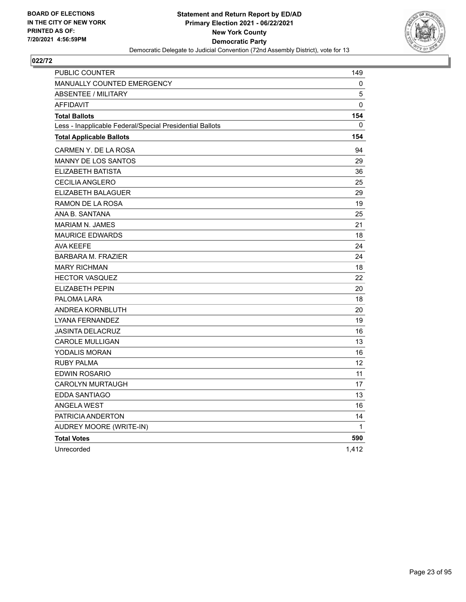

| PUBLIC COUNTER                                           | 149   |
|----------------------------------------------------------|-------|
| MANUALLY COUNTED EMERGENCY                               | 0     |
| <b>ABSENTEE / MILITARY</b>                               | 5     |
| <b>AFFIDAVIT</b>                                         | 0     |
| <b>Total Ballots</b>                                     | 154   |
| Less - Inapplicable Federal/Special Presidential Ballots | 0     |
| <b>Total Applicable Ballots</b>                          | 154   |
| CARMEN Y. DE LA ROSA                                     | 94    |
| <b>MANNY DE LOS SANTOS</b>                               | 29    |
| ELIZABETH BATISTA                                        | 36    |
| <b>CECILIA ANGLERO</b>                                   | 25    |
| ELIZABETH BALAGUER                                       | 29    |
| RAMON DE LA ROSA                                         | 19    |
| ANA B. SANTANA                                           | 25    |
| MARIAM N. JAMES                                          | 21    |
| <b>MAURICE EDWARDS</b>                                   | 18    |
| <b>AVA KEEFE</b>                                         | 24    |
| <b>BARBARA M. FRAZIER</b>                                | 24    |
| <b>MARY RICHMAN</b>                                      | 18    |
| <b>HECTOR VASQUEZ</b>                                    | 22    |
| <b>ELIZABETH PEPIN</b>                                   | 20    |
| PALOMA LARA                                              | 18    |
| ANDREA KORNBLUTH                                         | 20    |
| LYANA FERNANDEZ                                          | 19    |
| <b>JASINTA DELACRUZ</b>                                  | 16    |
| <b>CAROLE MULLIGAN</b>                                   | 13    |
| YODALIS MORAN                                            | 16    |
| <b>RUBY PALMA</b>                                        | 12    |
| EDWIN ROSARIO                                            | 11    |
| <b>CAROLYN MURTAUGH</b>                                  | 17    |
| <b>EDDA SANTIAGO</b>                                     | 13    |
| <b>ANGELA WEST</b>                                       | 16    |
| PATRICIA ANDERTON                                        | 14    |
| AUDREY MOORE (WRITE-IN)                                  | 1     |
| <b>Total Votes</b>                                       | 590   |
| Unrecorded                                               | 1,412 |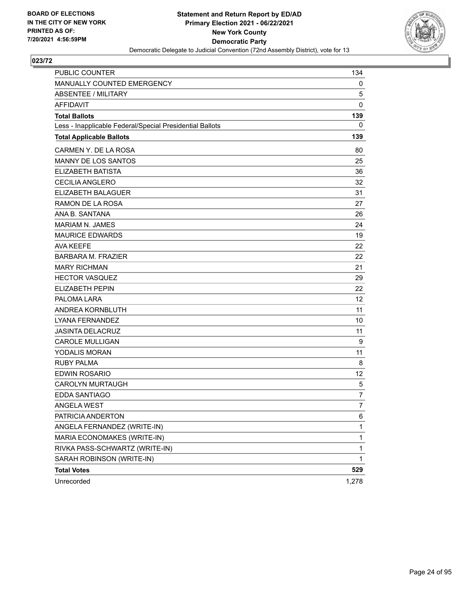

| <b>PUBLIC COUNTER</b>                                    | 134            |
|----------------------------------------------------------|----------------|
| MANUALLY COUNTED EMERGENCY                               | 0              |
| <b>ABSENTEE / MILITARY</b>                               | 5              |
| <b>AFFIDAVIT</b>                                         | 0              |
| <b>Total Ballots</b>                                     | 139            |
| Less - Inapplicable Federal/Special Presidential Ballots | 0              |
| <b>Total Applicable Ballots</b>                          | 139            |
| CARMEN Y. DE LA ROSA                                     | 80             |
| MANNY DE LOS SANTOS                                      | 25             |
| <b>ELIZABETH BATISTA</b>                                 | 36             |
| <b>CECILIA ANGLERO</b>                                   | 32             |
| ELIZABETH BALAGUER                                       | 31             |
| RAMON DE LA ROSA                                         | 27             |
| ANA B. SANTANA                                           | 26             |
| <b>MARIAM N. JAMES</b>                                   | 24             |
| <b>MAURICE EDWARDS</b>                                   | 19             |
| <b>AVA KEEFE</b>                                         | 22             |
| <b>BARBARA M. FRAZIER</b>                                | 22             |
| <b>MARY RICHMAN</b>                                      | 21             |
| <b>HECTOR VASQUEZ</b>                                    | 29             |
| ELIZABETH PEPIN                                          | 22             |
| PALOMA LARA                                              | 12             |
| ANDREA KORNBLUTH                                         | 11             |
| LYANA FERNANDEZ                                          | 10             |
| <b>JASINTA DELACRUZ</b>                                  | 11             |
| <b>CAROLE MULLIGAN</b>                                   | 9              |
| <b>YODALIS MORAN</b>                                     | 11             |
| <b>RUBY PALMA</b>                                        | 8              |
| <b>EDWIN ROSARIO</b>                                     | 12             |
| <b>CAROLYN MURTAUGH</b>                                  | 5              |
| EDDA SANTIAGO                                            | 7              |
| ANGELA WEST                                              | $\overline{7}$ |
| PATRICIA ANDERTON                                        | 6              |
| ANGELA FERNANDEZ (WRITE-IN)                              | 1              |
| MARIA ECONOMAKES (WRITE-IN)                              | 1              |
| RIVKA PASS-SCHWARTZ (WRITE-IN)                           | 1              |
| SARAH ROBINSON (WRITE-IN)                                | 1              |
| <b>Total Votes</b>                                       | 529            |
| Unrecorded                                               | 1,278          |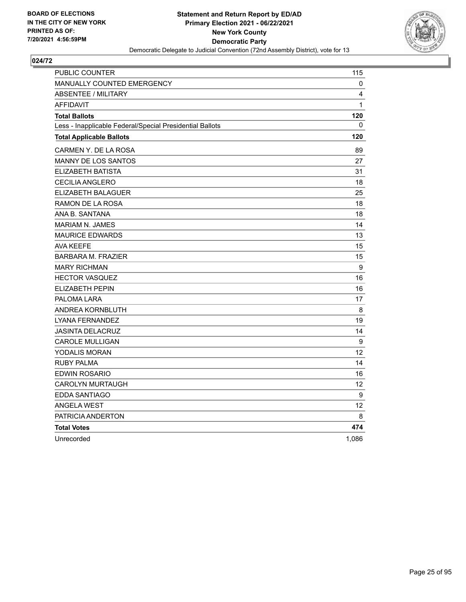

| PUBLIC COUNTER                                           | 115               |
|----------------------------------------------------------|-------------------|
| <b>MANUALLY COUNTED EMERGENCY</b>                        | 0                 |
| ABSENTEE / MILITARY                                      | 4                 |
| <b>AFFIDAVIT</b>                                         | 1                 |
| <b>Total Ballots</b>                                     | 120               |
| Less - Inapplicable Federal/Special Presidential Ballots | 0                 |
| <b>Total Applicable Ballots</b>                          | 120               |
| CARMEN Y. DE LA ROSA                                     | 89                |
| <b>MANNY DE LOS SANTOS</b>                               | 27                |
| ELIZABETH BATISTA                                        | 31                |
| <b>CECILIA ANGLERO</b>                                   | 18                |
| ELIZABETH BALAGUER                                       | 25                |
| RAMON DE LA ROSA                                         | 18                |
| ANA B. SANTANA                                           | 18                |
| <b>MARIAM N. JAMES</b>                                   | 14                |
| <b>MAURICE EDWARDS</b>                                   | 13                |
| <b>AVA KEEFE</b>                                         | 15                |
| <b>BARBARA M. FRAZIER</b>                                | 15                |
| <b>MARY RICHMAN</b>                                      | 9                 |
| <b>HECTOR VASQUEZ</b>                                    | 16                |
| ELIZABETH PEPIN                                          | 16                |
| PALOMA LARA                                              | 17                |
| ANDREA KORNBLUTH                                         | 8                 |
| <b>LYANA FERNANDEZ</b>                                   | 19                |
| <b>JASINTA DELACRUZ</b>                                  | 14                |
| <b>CAROLE MULLIGAN</b>                                   | $\boldsymbol{9}$  |
| YODALIS MORAN                                            | 12                |
| <b>RUBY PALMA</b>                                        | 14                |
| <b>EDWIN ROSARIO</b>                                     | 16                |
| <b>CAROLYN MURTAUGH</b>                                  | 12                |
| EDDA SANTIAGO                                            | 9                 |
| <b>ANGELA WEST</b>                                       | $12 \overline{ }$ |
| PATRICIA ANDERTON                                        | 8                 |
| <b>Total Votes</b>                                       | 474               |
| Unrecorded                                               | 1,086             |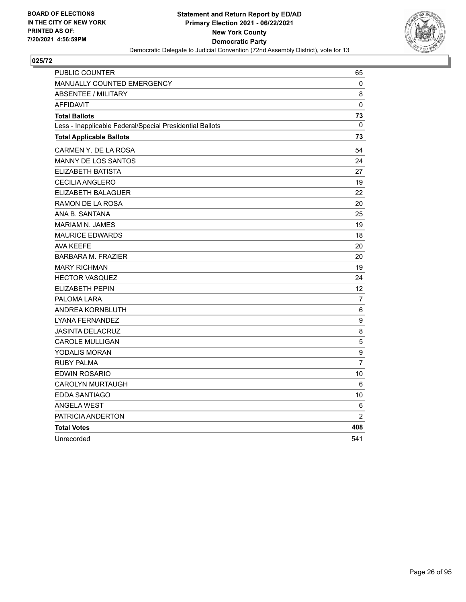

| PUBLIC COUNTER                                           | 65               |
|----------------------------------------------------------|------------------|
| MANUALLY COUNTED EMERGENCY                               | 0                |
| <b>ABSENTEE / MILITARY</b>                               | 8                |
| <b>AFFIDAVIT</b>                                         | 0                |
| <b>Total Ballots</b>                                     | 73               |
| Less - Inapplicable Federal/Special Presidential Ballots | $\Omega$         |
| <b>Total Applicable Ballots</b>                          | 73               |
| CARMEN Y. DE LA ROSA                                     | 54               |
| <b>MANNY DE LOS SANTOS</b>                               | 24               |
| ELIZABETH BATISTA                                        | 27               |
| <b>CECILIA ANGLERO</b>                                   | 19               |
| <b>ELIZABETH BALAGUER</b>                                | 22               |
| RAMON DE LA ROSA                                         | 20               |
| ANA B. SANTANA                                           | 25               |
| <b>MARIAM N. JAMES</b>                                   | 19               |
| <b>MAURICE EDWARDS</b>                                   | 18               |
| <b>AVA KEEFE</b>                                         | 20               |
| <b>BARBARA M. FRAZIER</b>                                | 20               |
| <b>MARY RICHMAN</b>                                      | 19               |
| <b>HECTOR VASQUEZ</b>                                    | 24               |
| <b>ELIZABETH PEPIN</b>                                   | 12               |
| PALOMA LARA                                              | 7                |
| ANDREA KORNBLUTH                                         | 6                |
| LYANA FERNANDEZ                                          | $\boldsymbol{9}$ |
| <b>JASINTA DELACRUZ</b>                                  | 8                |
| <b>CAROLE MULLIGAN</b>                                   | 5                |
| YODALIS MORAN                                            | 9                |
| <b>RUBY PALMA</b>                                        | $\overline{7}$   |
| EDWIN ROSARIO                                            | 10               |
| <b>CAROLYN MURTAUGH</b>                                  | 6                |
| <b>EDDA SANTIAGO</b>                                     | 10               |
| <b>ANGELA WEST</b>                                       | 6                |
| PATRICIA ANDERTON                                        | $\overline{2}$   |
| <b>Total Votes</b>                                       | 408              |
| Unrecorded                                               | 541              |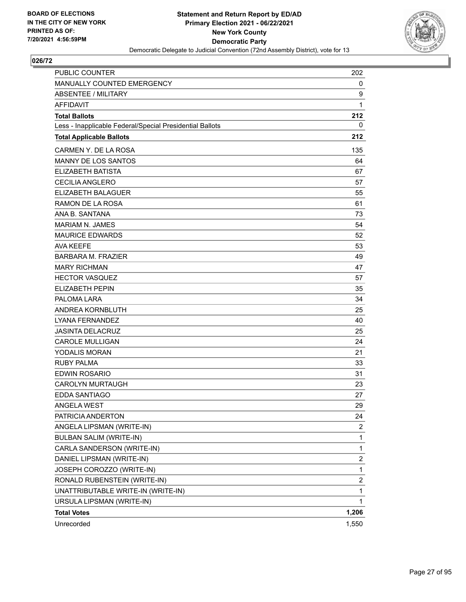

| <b>PUBLIC COUNTER</b>                                    | 202                     |
|----------------------------------------------------------|-------------------------|
| MANUALLY COUNTED EMERGENCY                               | 0                       |
| <b>ABSENTEE / MILITARY</b>                               | 9                       |
| <b>AFFIDAVIT</b>                                         | $\mathbf{1}$            |
| <b>Total Ballots</b>                                     | 212                     |
| Less - Inapplicable Federal/Special Presidential Ballots | 0                       |
| <b>Total Applicable Ballots</b>                          | 212                     |
| CARMEN Y. DE LA ROSA                                     | 135                     |
| <b>MANNY DE LOS SANTOS</b>                               | 64                      |
| <b>ELIZABETH BATISTA</b>                                 | 67                      |
| <b>CECILIA ANGLERO</b>                                   | 57                      |
| ELIZABETH BALAGUER                                       | 55                      |
| RAMON DE LA ROSA                                         | 61                      |
| ANA B. SANTANA                                           | 73                      |
| <b>MARIAM N. JAMES</b>                                   | 54                      |
| <b>MAURICE EDWARDS</b>                                   | 52                      |
| <b>AVA KEEFE</b>                                         | 53                      |
| <b>BARBARA M. FRAZIER</b>                                | 49                      |
| <b>MARY RICHMAN</b>                                      | 47                      |
| <b>HECTOR VASQUEZ</b>                                    | 57                      |
| <b>ELIZABETH PEPIN</b>                                   | 35                      |
| PALOMA LARA                                              | 34                      |
| ANDREA KORNBLUTH                                         | 25                      |
| LYANA FERNANDEZ                                          | 40                      |
| <b>JASINTA DELACRUZ</b>                                  | 25                      |
| <b>CAROLE MULLIGAN</b>                                   | 24                      |
| <b>YODALIS MORAN</b>                                     | 21                      |
| <b>RUBY PALMA</b>                                        | 33                      |
| <b>EDWIN ROSARIO</b>                                     | 31                      |
| <b>CAROLYN MURTAUGH</b>                                  | 23                      |
| EDDA SANTIAGO                                            | 27                      |
| ANGELA WEST                                              | 29                      |
| PATRICIA ANDERTON                                        | 24                      |
| ANGELA LIPSMAN (WRITE-IN)                                | 2                       |
| <b>BULBAN SALIM (WRITE-IN)</b>                           | $\mathbf 1$             |
| CARLA SANDERSON (WRITE-IN)                               | 1                       |
| DANIEL LIPSMAN (WRITE-IN)                                | 2                       |
| JOSEPH COROZZO (WRITE-IN)                                | $\mathbf{1}$            |
| RONALD RUBENSTEIN (WRITE-IN)                             | $\overline{\mathbf{c}}$ |
| UNATTRIBUTABLE WRITE-IN (WRITE-IN)                       | 1                       |
| URSULA LIPSMAN (WRITE-IN)                                | $\mathbf 1$             |
| <b>Total Votes</b>                                       | 1,206                   |
| Unrecorded                                               | 1,550                   |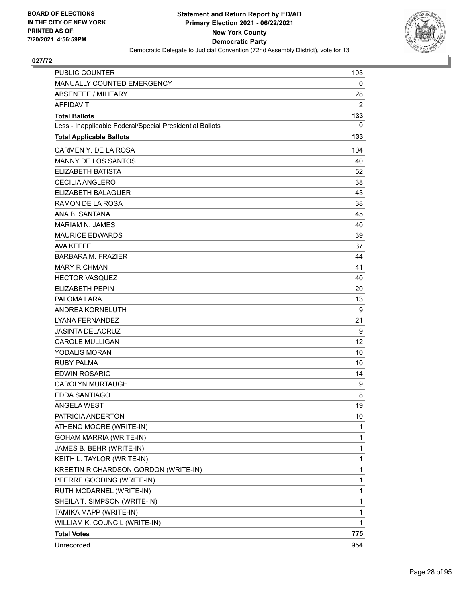

| <b>PUBLIC COUNTER</b>                                    | 103         |
|----------------------------------------------------------|-------------|
| MANUALLY COUNTED EMERGENCY                               | 0           |
| <b>ABSENTEE / MILITARY</b>                               | 28          |
| <b>AFFIDAVIT</b>                                         | 2           |
| <b>Total Ballots</b>                                     | 133         |
| Less - Inapplicable Federal/Special Presidential Ballots | 0           |
| <b>Total Applicable Ballots</b>                          | 133         |
| CARMEN Y. DE LA ROSA                                     | 104         |
| <b>MANNY DE LOS SANTOS</b>                               | 40          |
| <b>ELIZABETH BATISTA</b>                                 | 52          |
| <b>CECILIA ANGLERO</b>                                   | 38          |
| ELIZABETH BALAGUER                                       | 43          |
| RAMON DE LA ROSA                                         | 38          |
| ANA B. SANTANA                                           | 45          |
| <b>MARIAM N. JAMES</b>                                   | 40          |
| <b>MAURICE EDWARDS</b>                                   | 39          |
| <b>AVA KEEFE</b>                                         | 37          |
| <b>BARBARA M. FRAZIER</b>                                | 44          |
| <b>MARY RICHMAN</b>                                      | 41          |
| <b>HECTOR VASQUEZ</b>                                    | 40          |
| <b>ELIZABETH PEPIN</b>                                   | 20          |
| PALOMA LARA                                              | 13          |
| ANDREA KORNBLUTH                                         | 9           |
| LYANA FERNANDEZ                                          | 21          |
| <b>JASINTA DELACRUZ</b>                                  | 9           |
| <b>CAROLE MULLIGAN</b>                                   | 12          |
| <b>YODALIS MORAN</b>                                     | 10          |
| <b>RUBY PALMA</b>                                        | 10          |
| <b>EDWIN ROSARIO</b>                                     | 14          |
| <b>CAROLYN MURTAUGH</b>                                  | 9           |
| <b>EDDA SANTIAGO</b>                                     | 8           |
| ANGELA WEST                                              | 19          |
| PATRICIA ANDERTON                                        | 10          |
| ATHENO MOORE (WRITE-IN)                                  | 1           |
| GOHAM MARRIA (WRITE-IN)                                  | 1           |
| JAMES B. BEHR (WRITE-IN)                                 | 1           |
| KEITH L. TAYLOR (WRITE-IN)                               | 1           |
| KREETIN RICHARDSON GORDON (WRITE-IN)                     | 1           |
| PEERRE GOODING (WRITE-IN)                                | 1           |
| RUTH MCDARNEL (WRITE-IN)                                 | 1           |
| SHEILA T. SIMPSON (WRITE-IN)                             | 1           |
| TAMIKA MAPP (WRITE-IN)                                   | $\mathbf 1$ |
| WILLIAM K. COUNCIL (WRITE-IN)                            | 1           |
| <b>Total Votes</b>                                       | 775         |
| Unrecorded                                               | 954         |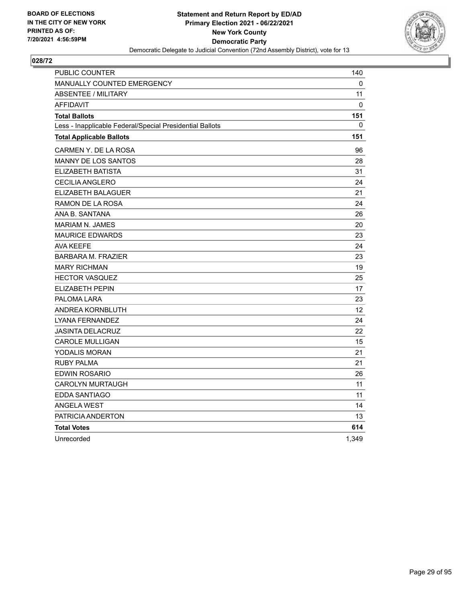

| PUBLIC COUNTER                                           | 140               |
|----------------------------------------------------------|-------------------|
| <b>MANUALLY COUNTED EMERGENCY</b>                        | 0                 |
| <b>ABSENTEE / MILITARY</b>                               | 11                |
| <b>AFFIDAVIT</b>                                         | 0                 |
| <b>Total Ballots</b>                                     | 151               |
| Less - Inapplicable Federal/Special Presidential Ballots | 0                 |
| <b>Total Applicable Ballots</b>                          | 151               |
| CARMEN Y. DE LA ROSA                                     | 96                |
| <b>MANNY DE LOS SANTOS</b>                               | 28                |
| ELIZABETH BATISTA                                        | 31                |
| <b>CECILIA ANGLERO</b>                                   | 24                |
| ELIZABETH BALAGUER                                       | 21                |
| RAMON DE LA ROSA                                         | 24                |
| ANA B. SANTANA                                           | 26                |
| <b>MARIAM N. JAMES</b>                                   | 20                |
| <b>MAURICE EDWARDS</b>                                   | 23                |
| <b>AVA KEEFE</b>                                         | 24                |
| <b>BARBARA M. FRAZIER</b>                                | 23                |
| <b>MARY RICHMAN</b>                                      | 19                |
| <b>HECTOR VASQUEZ</b>                                    | 25                |
| <b>ELIZABETH PEPIN</b>                                   | 17                |
| PALOMA LARA                                              | 23                |
| ANDREA KORNBLUTH                                         | $12 \overline{ }$ |
| LYANA FERNANDEZ                                          | 24                |
| <b>JASINTA DELACRUZ</b>                                  | 22                |
| <b>CAROLE MULLIGAN</b>                                   | 15                |
| YODALIS MORAN                                            | 21                |
| <b>RUBY PALMA</b>                                        | 21                |
| <b>EDWIN ROSARIO</b>                                     | 26                |
| <b>CAROLYN MURTAUGH</b>                                  | 11                |
| EDDA SANTIAGO                                            | 11                |
| <b>ANGELA WEST</b>                                       | 14                |
| PATRICIA ANDERTON                                        | 13                |
| <b>Total Votes</b>                                       | 614               |
| Unrecorded                                               | 1,349             |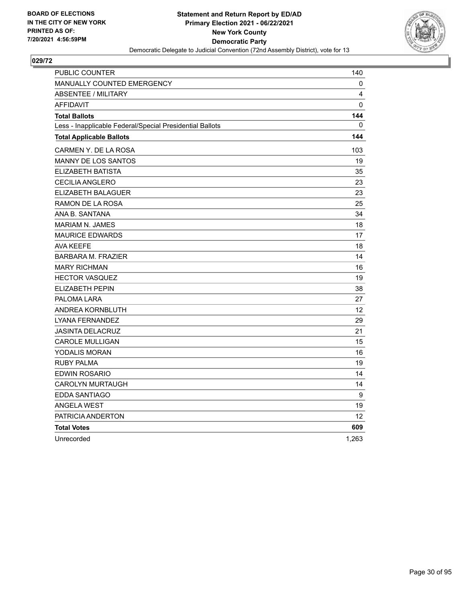

| PUBLIC COUNTER                                           | 140               |
|----------------------------------------------------------|-------------------|
| <b>MANUALLY COUNTED EMERGENCY</b>                        | 0                 |
| <b>ABSENTEE / MILITARY</b>                               | 4                 |
| <b>AFFIDAVIT</b>                                         | 0                 |
| <b>Total Ballots</b>                                     | 144               |
| Less - Inapplicable Federal/Special Presidential Ballots | 0                 |
| <b>Total Applicable Ballots</b>                          | 144               |
| CARMEN Y. DE LA ROSA                                     | 103               |
| <b>MANNY DE LOS SANTOS</b>                               | 19                |
| <b>ELIZABETH BATISTA</b>                                 | 35                |
| <b>CECILIA ANGLERO</b>                                   | 23                |
| ELIZABETH BALAGUER                                       | 23                |
| RAMON DE LA ROSA                                         | 25                |
| ANA B. SANTANA                                           | 34                |
| <b>MARIAM N. JAMES</b>                                   | 18                |
| <b>MAURICE EDWARDS</b>                                   | 17                |
| <b>AVA KEEFE</b>                                         | 18                |
| <b>BARBARA M. FRAZIER</b>                                | 14                |
| <b>MARY RICHMAN</b>                                      | 16                |
| <b>HECTOR VASQUEZ</b>                                    | 19                |
| ELIZABETH PEPIN                                          | 38                |
| PALOMA LARA                                              | 27                |
| ANDREA KORNBLUTH                                         | $12 \overline{ }$ |
| <b>LYANA FERNANDEZ</b>                                   | 29                |
| <b>JASINTA DELACRUZ</b>                                  | 21                |
| <b>CAROLE MULLIGAN</b>                                   | 15                |
| YODALIS MORAN                                            | 16                |
| <b>RUBY PALMA</b>                                        | 19                |
| <b>EDWIN ROSARIO</b>                                     | 14                |
| <b>CAROLYN MURTAUGH</b>                                  | 14                |
| EDDA SANTIAGO                                            | 9                 |
| <b>ANGELA WEST</b>                                       | 19                |
| PATRICIA ANDERTON                                        | 12 <sup>2</sup>   |
| <b>Total Votes</b>                                       | 609               |
| Unrecorded                                               | 1,263             |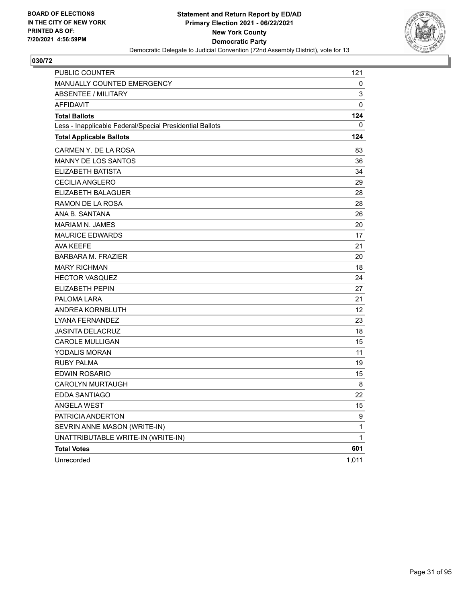

| PUBLIC COUNTER                                           | 121   |
|----------------------------------------------------------|-------|
| MANUALLY COUNTED EMERGENCY                               | 0     |
| <b>ABSENTEE / MILITARY</b>                               | 3     |
| <b>AFFIDAVIT</b>                                         | 0     |
| <b>Total Ballots</b>                                     | 124   |
| Less - Inapplicable Federal/Special Presidential Ballots | 0     |
| <b>Total Applicable Ballots</b>                          | 124   |
| CARMEN Y. DE LA ROSA                                     | 83    |
| <b>MANNY DE LOS SANTOS</b>                               | 36    |
| ELIZABETH BATISTA                                        | 34    |
| CECILIA ANGLERO                                          | 29    |
| ELIZABETH BALAGUER                                       | 28    |
| RAMON DE LA ROSA                                         | 28    |
| ANA B. SANTANA                                           | 26    |
| MARIAM N. JAMES                                          | 20    |
| <b>MAURICE EDWARDS</b>                                   | 17    |
| <b>AVA KEEFE</b>                                         | 21    |
| <b>BARBARA M. FRAZIER</b>                                | 20    |
| <b>MARY RICHMAN</b>                                      | 18    |
| <b>HECTOR VASQUEZ</b>                                    | 24    |
| <b>ELIZABETH PEPIN</b>                                   | 27    |
| PALOMA LARA                                              | 21    |
| ANDREA KORNBLUTH                                         | 12    |
| LYANA FERNANDEZ                                          | 23    |
| <b>JASINTA DELACRUZ</b>                                  | 18    |
| <b>CAROLE MULLIGAN</b>                                   | 15    |
| YODALIS MORAN                                            | 11    |
| <b>RUBY PALMA</b>                                        | 19    |
| EDWIN ROSARIO                                            | 15    |
| <b>CAROLYN MURTAUGH</b>                                  | 8     |
| EDDA SANTIAGO                                            | 22    |
| <b>ANGELA WEST</b>                                       | 15    |
| PATRICIA ANDERTON                                        | 9     |
| SEVRIN ANNE MASON (WRITE-IN)                             | 1     |
| UNATTRIBUTABLE WRITE-IN (WRITE-IN)                       | 1     |
| <b>Total Votes</b>                                       | 601   |
| Unrecorded                                               | 1,011 |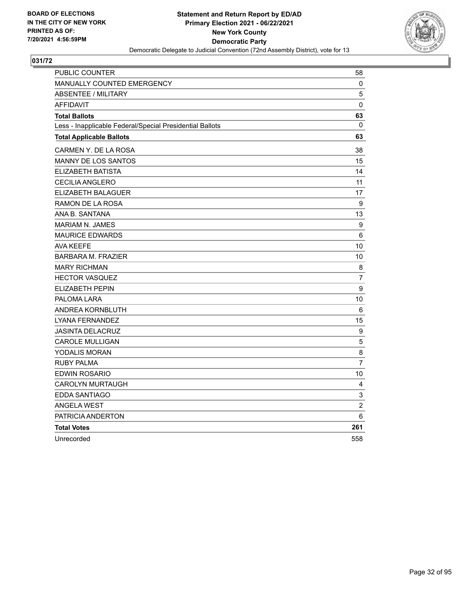

| PUBLIC COUNTER                                           | 58               |
|----------------------------------------------------------|------------------|
| MANUALLY COUNTED EMERGENCY                               | 0                |
| <b>ABSENTEE / MILITARY</b>                               | 5                |
| <b>AFFIDAVIT</b>                                         | $\mathbf 0$      |
| <b>Total Ballots</b>                                     | 63               |
| Less - Inapplicable Federal/Special Presidential Ballots | $\mathbf 0$      |
| <b>Total Applicable Ballots</b>                          | 63               |
| CARMEN Y. DE LA ROSA                                     | 38               |
| MANNY DE LOS SANTOS                                      | 15               |
| ELIZABETH BATISTA                                        | 14               |
| <b>CECILIA ANGLERO</b>                                   | 11               |
| ELIZABETH BALAGUER                                       | 17               |
| RAMON DE LA ROSA                                         | 9                |
| ANA B. SANTANA                                           | 13               |
| <b>MARIAM N. JAMES</b>                                   | 9                |
| <b>MAURICE EDWARDS</b>                                   | 6                |
| <b>AVA KEEFE</b>                                         | 10               |
| <b>BARBARA M. FRAZIER</b>                                | 10               |
| <b>MARY RICHMAN</b>                                      | 8                |
| <b>HECTOR VASQUEZ</b>                                    | $\overline{7}$   |
| <b>ELIZABETH PEPIN</b>                                   | $\boldsymbol{9}$ |
| PALOMA LARA                                              | 10               |
| ANDREA KORNBLUTH                                         | 6                |
| LYANA FERNANDEZ                                          | 15               |
| <b>JASINTA DELACRUZ</b>                                  | 9                |
| <b>CAROLE MULLIGAN</b>                                   | 5                |
| <b>YODALIS MORAN</b>                                     | 8                |
| <b>RUBY PALMA</b>                                        | $\overline{7}$   |
| <b>EDWIN ROSARIO</b>                                     | 10               |
| <b>CAROLYN MURTAUGH</b>                                  | 4                |
| EDDA SANTIAGO                                            | 3                |
| <b>ANGELA WEST</b>                                       | $\overline{c}$   |
| PATRICIA ANDERTON                                        | 6                |
| <b>Total Votes</b>                                       | 261              |
| Unrecorded                                               | 558              |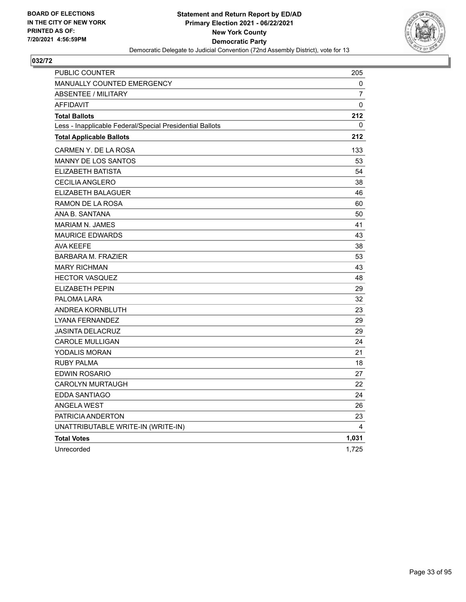

| PUBLIC COUNTER                                           | 205   |
|----------------------------------------------------------|-------|
| MANUALLY COUNTED EMERGENCY                               | 0     |
| ABSENTEE / MILITARY                                      | 7     |
| <b>AFFIDAVIT</b>                                         | 0     |
| <b>Total Ballots</b>                                     | 212   |
| Less - Inapplicable Federal/Special Presidential Ballots | 0     |
| <b>Total Applicable Ballots</b>                          | 212   |
| CARMEN Y. DE LA ROSA                                     | 133   |
| MANNY DE LOS SANTOS                                      | 53    |
| ELIZABETH BATISTA                                        | 54    |
| <b>CECILIA ANGLERO</b>                                   | 38    |
| ELIZABETH BALAGUER                                       | 46    |
| RAMON DE LA ROSA                                         | 60    |
| ANA B. SANTANA                                           | 50    |
| <b>MARIAM N. JAMES</b>                                   | 41    |
| <b>MAURICE EDWARDS</b>                                   | 43    |
| <b>AVA KEEFE</b>                                         | 38    |
| <b>BARBARA M. FRAZIER</b>                                | 53    |
| <b>MARY RICHMAN</b>                                      | 43    |
| <b>HECTOR VASQUEZ</b>                                    | 48    |
| ELIZABETH PEPIN                                          | 29    |
| PALOMA LARA                                              | 32    |
| ANDREA KORNBLUTH                                         | 23    |
| LYANA FERNANDEZ                                          | 29    |
| <b>JASINTA DELACRUZ</b>                                  | 29    |
| <b>CAROLE MULLIGAN</b>                                   | 24    |
| YODALIS MORAN                                            | 21    |
| <b>RUBY PALMA</b>                                        | 18    |
| EDWIN ROSARIO                                            | 27    |
| <b>CAROLYN MURTAUGH</b>                                  | 22    |
| EDDA SANTIAGO                                            | 24    |
| <b>ANGELA WEST</b>                                       | 26    |
| PATRICIA ANDERTON                                        | 23    |
| UNATTRIBUTABLE WRITE-IN (WRITE-IN)                       | 4     |
| <b>Total Votes</b>                                       | 1,031 |
| Unrecorded                                               | 1,725 |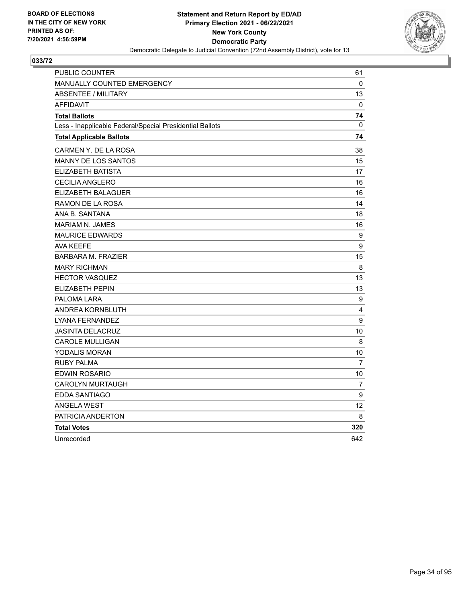

| PUBLIC COUNTER                                           | 61           |
|----------------------------------------------------------|--------------|
| MANUALLY COUNTED EMERGENCY                               | $\mathbf{0}$ |
| <b>ABSENTEE / MILITARY</b>                               | 13           |
| <b>AFFIDAVIT</b>                                         | 0            |
| <b>Total Ballots</b>                                     | 74           |
| Less - Inapplicable Federal/Special Presidential Ballots | $\Omega$     |
| <b>Total Applicable Ballots</b>                          | 74           |
| CARMEN Y. DE LA ROSA                                     | 38           |
| <b>MANNY DE LOS SANTOS</b>                               | 15           |
| ELIZABETH BATISTA                                        | 17           |
| <b>CECILIA ANGLERO</b>                                   | 16           |
| ELIZABETH BALAGUER                                       | 16           |
| RAMON DE LA ROSA                                         | 14           |
| ANA B. SANTANA                                           | 18           |
| <b>MARIAM N. JAMES</b>                                   | 16           |
| <b>MAURICE EDWARDS</b>                                   | 9            |
| AVA KEEFE                                                | 9            |
| <b>BARBARA M. FRAZIER</b>                                | 15           |
| <b>MARY RICHMAN</b>                                      | 8            |
| <b>HECTOR VASQUEZ</b>                                    | 13           |
| <b>ELIZABETH PEPIN</b>                                   | 13           |
| PALOMA LARA                                              | 9            |
| ANDREA KORNBLUTH                                         | 4            |
| <b>LYANA FERNANDEZ</b>                                   | 9            |
| <b>JASINTA DELACRUZ</b>                                  | 10           |
| <b>CAROLE MULLIGAN</b>                                   | 8            |
| YODALIS MORAN                                            | 10           |
| <b>RUBY PALMA</b>                                        | 7            |
| <b>EDWIN ROSARIO</b>                                     | 10           |
| <b>CAROLYN MURTAUGH</b>                                  | 7            |
| EDDA SANTIAGO                                            | 9            |
| <b>ANGELA WEST</b>                                       | 12           |
| PATRICIA ANDERTON                                        | 8            |
| <b>Total Votes</b>                                       | 320          |
| Unrecorded                                               | 642          |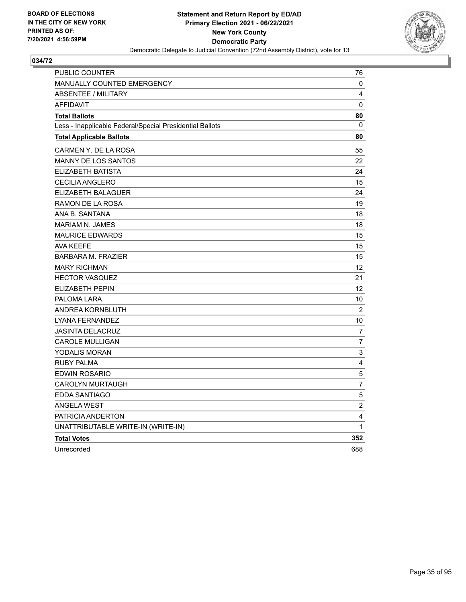

| PUBLIC COUNTER                                           | 76                      |
|----------------------------------------------------------|-------------------------|
| <b>MANUALLY COUNTED EMERGENCY</b>                        | 0                       |
| <b>ABSENTEE / MILITARY</b>                               | 4                       |
| <b>AFFIDAVIT</b>                                         | 0                       |
| <b>Total Ballots</b>                                     | 80                      |
| Less - Inapplicable Federal/Special Presidential Ballots | 0                       |
| <b>Total Applicable Ballots</b>                          | 80                      |
| CARMEN Y. DE LA ROSA                                     | 55                      |
| MANNY DE LOS SANTOS                                      | 22                      |
| ELIZABETH BATISTA                                        | 24                      |
| <b>CECILIA ANGLERO</b>                                   | 15                      |
| ELIZABETH BALAGUER                                       | 24                      |
| RAMON DE LA ROSA                                         | 19                      |
| ANA B. SANTANA                                           | 18                      |
| <b>MARIAM N. JAMES</b>                                   | 18                      |
| <b>MAURICE EDWARDS</b>                                   | 15                      |
| <b>AVA KEEFE</b>                                         | 15                      |
| <b>BARBARA M. FRAZIER</b>                                | 15                      |
| <b>MARY RICHMAN</b>                                      | 12                      |
| <b>HECTOR VASQUEZ</b>                                    | 21                      |
| ELIZABETH PEPIN                                          | 12                      |
| PALOMA LARA                                              | 10                      |
| ANDREA KORNBLUTH                                         | 2                       |
| LYANA FERNANDEZ                                          | 10                      |
| <b>JASINTA DELACRUZ</b>                                  | 7                       |
| CAROLE MULLIGAN                                          | 7                       |
| YODALIS MORAN                                            | 3                       |
| <b>RUBY PALMA</b>                                        | $\overline{\mathbf{4}}$ |
| <b>EDWIN ROSARIO</b>                                     | $\mathbf 5$             |
| <b>CAROLYN MURTAUGH</b>                                  | $\overline{7}$          |
| EDDA SANTIAGO                                            | $\mathbf 5$             |
| <b>ANGELA WEST</b>                                       | $\overline{c}$          |
| PATRICIA ANDERTON                                        | 4                       |
| UNATTRIBUTABLE WRITE-IN (WRITE-IN)                       | $\mathbf{1}$            |
| <b>Total Votes</b>                                       | 352                     |
| Unrecorded                                               | 688                     |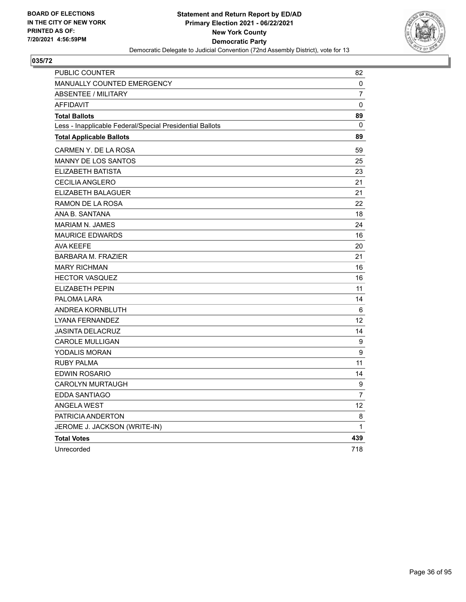

| PUBLIC COUNTER                                           | 82               |
|----------------------------------------------------------|------------------|
| <b>MANUALLY COUNTED EMERGENCY</b>                        | 0                |
| <b>ABSENTEE / MILITARY</b>                               | $\overline{7}$   |
| <b>AFFIDAVIT</b>                                         | 0                |
| <b>Total Ballots</b>                                     | 89               |
| Less - Inapplicable Federal/Special Presidential Ballots | 0                |
| <b>Total Applicable Ballots</b>                          | 89               |
| CARMEN Y. DE LA ROSA                                     | 59               |
| MANNY DE LOS SANTOS                                      | 25               |
| ELIZABETH BATISTA                                        | 23               |
| <b>CECILIA ANGLERO</b>                                   | 21               |
| ELIZABETH BALAGUER                                       | 21               |
| RAMON DE LA ROSA                                         | 22               |
| ANA B. SANTANA                                           | 18               |
| <b>MARIAM N. JAMES</b>                                   | 24               |
| <b>MAURICE EDWARDS</b>                                   | 16               |
| <b>AVA KEEFE</b>                                         | 20               |
| <b>BARBARA M. FRAZIER</b>                                | 21               |
| <b>MARY RICHMAN</b>                                      | 16               |
| <b>HECTOR VASQUEZ</b>                                    | 16               |
| <b>ELIZABETH PEPIN</b>                                   | 11               |
| PALOMA LARA                                              | 14               |
| ANDREA KORNBLUTH                                         | 6                |
| LYANA FERNANDEZ                                          | 12               |
| <b>JASINTA DELACRUZ</b>                                  | 14               |
| <b>CAROLE MULLIGAN</b>                                   | 9                |
| YODALIS MORAN                                            | $\boldsymbol{9}$ |
| <b>RUBY PALMA</b>                                        | 11               |
| <b>EDWIN ROSARIO</b>                                     | 14               |
| <b>CAROLYN MURTAUGH</b>                                  | 9                |
| EDDA SANTIAGO                                            | $\overline{7}$   |
| <b>ANGELA WEST</b>                                       | 12               |
| PATRICIA ANDERTON                                        | 8                |
| JEROME J. JACKSON (WRITE-IN)                             | 1                |
| <b>Total Votes</b>                                       | 439              |
| Unrecorded                                               | 718              |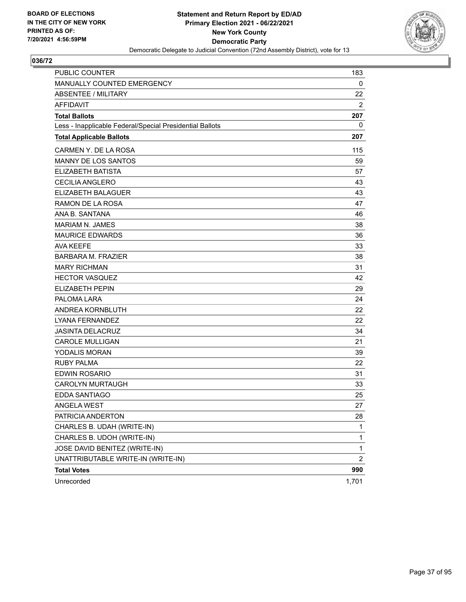

| <b>PUBLIC COUNTER</b>                                    | 183            |
|----------------------------------------------------------|----------------|
| MANUALLY COUNTED EMERGENCY                               | 0              |
| <b>ABSENTEE / MILITARY</b>                               | 22             |
| <b>AFFIDAVIT</b>                                         | 2              |
| <b>Total Ballots</b>                                     | 207            |
| Less - Inapplicable Federal/Special Presidential Ballots | 0              |
| <b>Total Applicable Ballots</b>                          | 207            |
| CARMEN Y. DE LA ROSA                                     | 115            |
| <b>MANNY DE LOS SANTOS</b>                               | 59             |
| <b>ELIZABETH BATISTA</b>                                 | 57             |
| <b>CECILIA ANGLERO</b>                                   | 43             |
| <b>ELIZABETH BALAGUER</b>                                | 43             |
| RAMON DE LA ROSA                                         | 47             |
| ANA B. SANTANA                                           | 46             |
| <b>MARIAM N. JAMES</b>                                   | 38             |
| <b>MAURICE EDWARDS</b>                                   | 36             |
| <b>AVA KEEFE</b>                                         | 33             |
| <b>BARBARA M. FRAZIER</b>                                | 38             |
| <b>MARY RICHMAN</b>                                      | 31             |
| <b>HECTOR VASQUEZ</b>                                    | 42             |
| <b>ELIZABETH PEPIN</b>                                   | 29             |
| PALOMA LARA                                              | 24             |
| ANDREA KORNBLUTH                                         | 22             |
| <b>LYANA FERNANDEZ</b>                                   | 22             |
| <b>JASINTA DELACRUZ</b>                                  | 34             |
| <b>CAROLE MULLIGAN</b>                                   | 21             |
| YODALIS MORAN                                            | 39             |
| <b>RUBY PALMA</b>                                        | 22             |
| <b>EDWIN ROSARIO</b>                                     | 31             |
| <b>CAROLYN MURTAUGH</b>                                  | 33             |
| EDDA SANTIAGO                                            | 25             |
| ANGELA WEST                                              | 27             |
| PATRICIA ANDERTON                                        | 28             |
| CHARLES B. UDAH (WRITE-IN)                               | 1              |
| CHARLES B. UDOH (WRITE-IN)                               | 1              |
| JOSE DAVID BENITEZ (WRITE-IN)                            | 1              |
| UNATTRIBUTABLE WRITE-IN (WRITE-IN)                       | $\overline{c}$ |
| <b>Total Votes</b>                                       | 990            |
| Unrecorded                                               | 1,701          |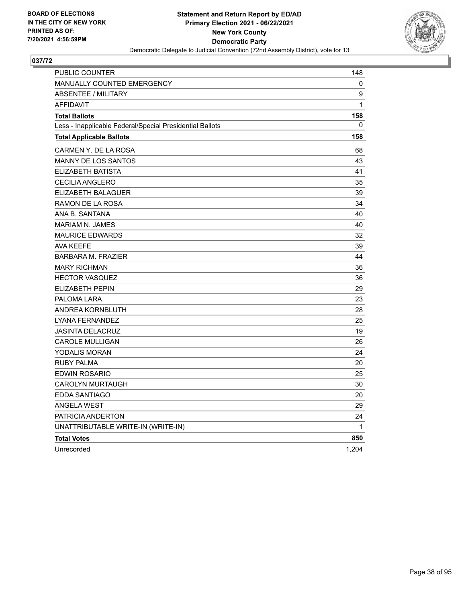

| <b>PUBLIC COUNTER</b>                                    | 148   |
|----------------------------------------------------------|-------|
| <b>MANUALLY COUNTED EMERGENCY</b>                        | 0     |
| ABSENTEE / MILITARY                                      | 9     |
| <b>AFFIDAVIT</b>                                         | 1     |
| <b>Total Ballots</b>                                     | 158   |
| Less - Inapplicable Federal/Special Presidential Ballots | 0     |
| <b>Total Applicable Ballots</b>                          | 158   |
| CARMEN Y. DE LA ROSA                                     | 68    |
| <b>MANNY DE LOS SANTOS</b>                               | 43    |
| ELIZABETH BATISTA                                        | 41    |
| CECILIA ANGLERO                                          | 35    |
| ELIZABETH BALAGUER                                       | 39    |
| RAMON DE LA ROSA                                         | 34    |
| ANA B. SANTANA                                           | 40    |
| <b>MARIAM N. JAMES</b>                                   | 40    |
| <b>MAURICE EDWARDS</b>                                   | 32    |
| <b>AVA KEEFE</b>                                         | 39    |
| <b>BARBARA M. FRAZIER</b>                                | 44    |
| <b>MARY RICHMAN</b>                                      | 36    |
| <b>HECTOR VASQUEZ</b>                                    | 36    |
| <b>ELIZABETH PEPIN</b>                                   | 29    |
| PALOMA LARA                                              | 23    |
| ANDREA KORNBLUTH                                         | 28    |
| <b>LYANA FERNANDEZ</b>                                   | 25    |
| <b>JASINTA DELACRUZ</b>                                  | 19    |
| <b>CAROLE MULLIGAN</b>                                   | 26    |
| YODALIS MORAN                                            | 24    |
| RUBY PALMA                                               | 20    |
| EDWIN ROSARIO                                            | 25    |
| <b>CAROLYN MURTAUGH</b>                                  | 30    |
| <b>EDDA SANTIAGO</b>                                     | 20    |
| <b>ANGELA WEST</b>                                       | 29    |
| PATRICIA ANDERTON                                        | 24    |
| UNATTRIBUTABLE WRITE-IN (WRITE-IN)                       | 1     |
| <b>Total Votes</b>                                       | 850   |
| Unrecorded                                               | 1,204 |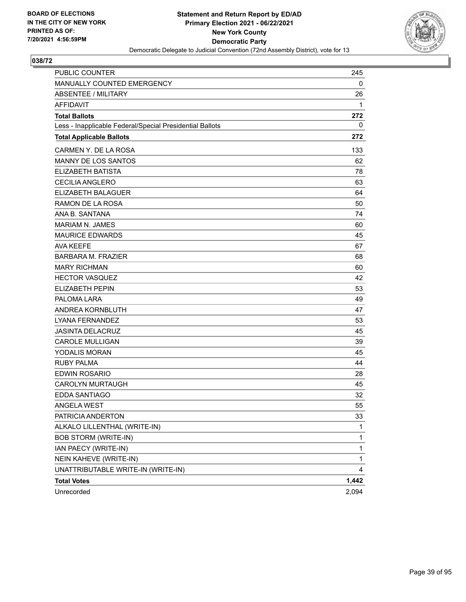

| <b>PUBLIC COUNTER</b>                                    | 245   |
|----------------------------------------------------------|-------|
| MANUALLY COUNTED EMERGENCY                               | 0     |
| ABSENTEE / MILITARY                                      | 26    |
| <b>AFFIDAVIT</b>                                         | 1     |
| <b>Total Ballots</b>                                     | 272   |
| Less - Inapplicable Federal/Special Presidential Ballots | 0     |
| <b>Total Applicable Ballots</b>                          | 272   |
| CARMEN Y. DE LA ROSA                                     | 133   |
| MANNY DE LOS SANTOS                                      | 62    |
| ELIZABETH BATISTA                                        | 78    |
| <b>CECILIA ANGLERO</b>                                   | 63    |
| ELIZABETH BALAGUER                                       | 64    |
| RAMON DE LA ROSA                                         | 50    |
| ANA B. SANTANA                                           | 74    |
| <b>MARIAM N. JAMES</b>                                   | 60    |
| <b>MAURICE EDWARDS</b>                                   | 45    |
| <b>AVA KEEFE</b>                                         | 67    |
| <b>BARBARA M. FRAZIER</b>                                | 68    |
| <b>MARY RICHMAN</b>                                      | 60    |
| <b>HECTOR VASQUEZ</b>                                    | 42    |
| <b>ELIZABETH PEPIN</b>                                   | 53    |
| PALOMA LARA                                              | 49    |
| ANDREA KORNBLUTH                                         | 47    |
| LYANA FERNANDEZ                                          | 53    |
| <b>JASINTA DELACRUZ</b>                                  | 45    |
| <b>CAROLE MULLIGAN</b>                                   | 39    |
| YODALIS MORAN                                            | 45    |
| <b>RUBY PALMA</b>                                        | 44    |
| <b>EDWIN ROSARIO</b>                                     | 28    |
| <b>CAROLYN MURTAUGH</b>                                  | 45    |
| <b>EDDA SANTIAGO</b>                                     | 32    |
| ANGELA WEST                                              | 55    |
| PATRICIA ANDERTON                                        | 33    |
| ALKALO LILLENTHAL (WRITE-IN)                             | 1     |
| BOB STORM (WRITE-IN)                                     | 1     |
| IAN PAECY (WRITE-IN)                                     | 1     |
| NEIN KAHEVE (WRITE-IN)                                   | 1     |
| UNATTRIBUTABLE WRITE-IN (WRITE-IN)                       | 4     |
| <b>Total Votes</b>                                       | 1,442 |
| Unrecorded                                               | 2,094 |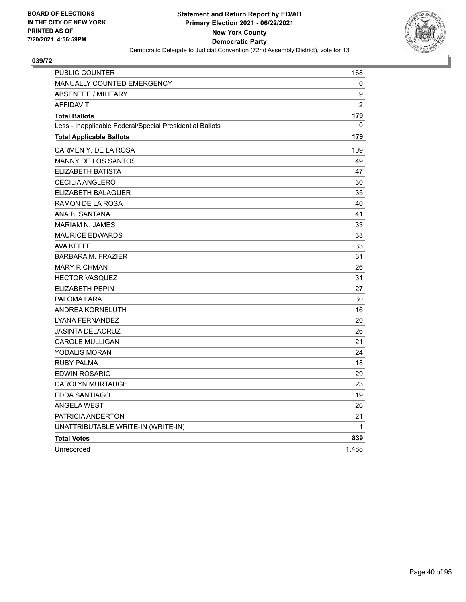

| PUBLIC COUNTER                                           | 168            |
|----------------------------------------------------------|----------------|
| <b>MANUALLY COUNTED EMERGENCY</b>                        | 0              |
| <b>ABSENTEE / MILITARY</b>                               | 9              |
| <b>AFFIDAVIT</b>                                         | $\overline{2}$ |
| <b>Total Ballots</b>                                     | 179            |
| Less - Inapplicable Federal/Special Presidential Ballots | 0              |
| <b>Total Applicable Ballots</b>                          | 179            |
| CARMEN Y. DE LA ROSA                                     | 109            |
| <b>MANNY DE LOS SANTOS</b>                               | 49             |
| ELIZABETH BATISTA                                        | 47             |
| <b>CECILIA ANGLERO</b>                                   | 30             |
| <b>ELIZABETH BALAGUER</b>                                | 35             |
| RAMON DE LA ROSA                                         | 40             |
| ANA B. SANTANA                                           | 41             |
| <b>MARIAM N. JAMES</b>                                   | 33             |
| <b>MAURICE EDWARDS</b>                                   | 33             |
| <b>AVA KEEFE</b>                                         | 33             |
| <b>BARBARA M. FRAZIER</b>                                | 31             |
| <b>MARY RICHMAN</b>                                      | 26             |
| <b>HECTOR VASQUEZ</b>                                    | 31             |
| ELIZABETH PEPIN                                          | 27             |
| PALOMA LARA                                              | 30             |
| ANDREA KORNBLUTH                                         | 16             |
| LYANA FERNANDEZ                                          | 20             |
| <b>JASINTA DELACRUZ</b>                                  | 26             |
| <b>CAROLE MULLIGAN</b>                                   | 21             |
| <b>YODALIS MORAN</b>                                     | 24             |
| RUBY PALMA                                               | 18             |
| EDWIN ROSARIO                                            | 29             |
| <b>CAROLYN MURTAUGH</b>                                  | 23             |
| EDDA SANTIAGO                                            | 19             |
| <b>ANGELA WEST</b>                                       | 26             |
| PATRICIA ANDERTON                                        | 21             |
| UNATTRIBUTABLE WRITE-IN (WRITE-IN)                       | 1              |
| <b>Total Votes</b>                                       | 839            |
| Unrecorded                                               | 1,488          |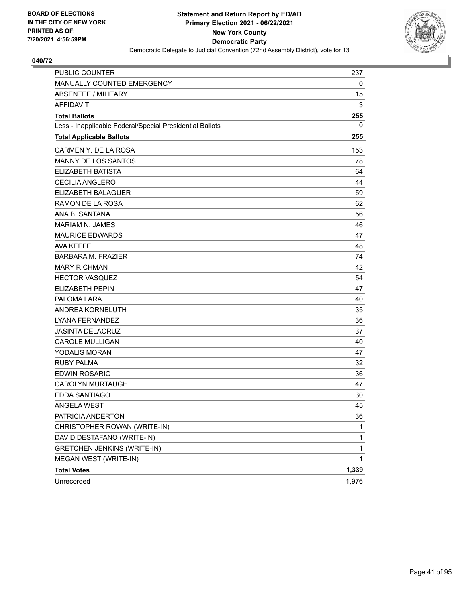

| <b>PUBLIC COUNTER</b>                                    | 237   |
|----------------------------------------------------------|-------|
| MANUALLY COUNTED EMERGENCY                               | 0     |
| <b>ABSENTEE / MILITARY</b>                               | 15    |
| <b>AFFIDAVIT</b>                                         | 3     |
| <b>Total Ballots</b>                                     | 255   |
| Less - Inapplicable Federal/Special Presidential Ballots | 0     |
| <b>Total Applicable Ballots</b>                          | 255   |
| CARMEN Y. DE LA ROSA                                     | 153   |
| <b>MANNY DE LOS SANTOS</b>                               | 78    |
| <b>ELIZABETH BATISTA</b>                                 | 64    |
| <b>CECILIA ANGLERO</b>                                   | 44    |
| ELIZABETH BALAGUER                                       | 59    |
| RAMON DE LA ROSA                                         | 62    |
| ANA B. SANTANA                                           | 56    |
| <b>MARIAM N. JAMES</b>                                   | 46    |
| <b>MAURICE EDWARDS</b>                                   | 47    |
| <b>AVA KEEFE</b>                                         | 48    |
| <b>BARBARA M. FRAZIER</b>                                | 74    |
| <b>MARY RICHMAN</b>                                      | 42    |
| <b>HECTOR VASQUEZ</b>                                    | 54    |
| <b>ELIZABETH PEPIN</b>                                   | 47    |
| PALOMA LARA                                              | 40    |
| ANDREA KORNBLUTH                                         | 35    |
| LYANA FERNANDEZ                                          | 36    |
| <b>JASINTA DELACRUZ</b>                                  | 37    |
| <b>CAROLE MULLIGAN</b>                                   | 40    |
| <b>YODALIS MORAN</b>                                     | 47    |
| <b>RUBY PALMA</b>                                        | 32    |
| <b>EDWIN ROSARIO</b>                                     | 36    |
| <b>CAROLYN MURTAUGH</b>                                  | 47    |
| <b>EDDA SANTIAGO</b>                                     | 30    |
| ANGELA WEST                                              | 45    |
| PATRICIA ANDERTON                                        | 36    |
| CHRISTOPHER ROWAN (WRITE-IN)                             | 1     |
| DAVID DESTAFANO (WRITE-IN)                               | 1     |
| <b>GRETCHEN JENKINS (WRITE-IN)</b>                       | 1     |
| MEGAN WEST (WRITE-IN)                                    | 1     |
| <b>Total Votes</b>                                       | 1,339 |
| Unrecorded                                               | 1,976 |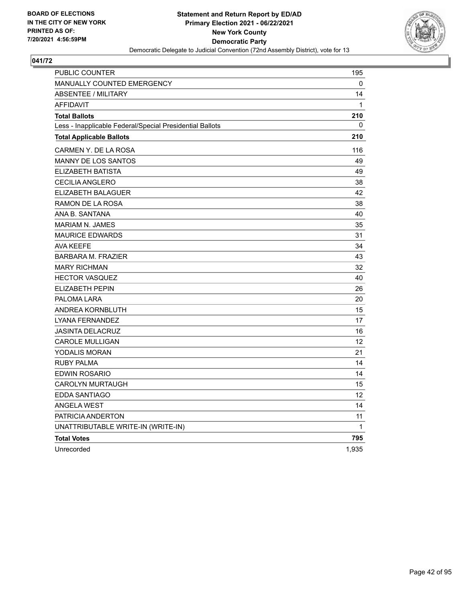

| <b>PUBLIC COUNTER</b>                                    | 195   |
|----------------------------------------------------------|-------|
| <b>MANUALLY COUNTED EMERGENCY</b>                        | 0     |
| <b>ABSENTEE / MILITARY</b>                               | 14    |
| <b>AFFIDAVIT</b>                                         | 1     |
| <b>Total Ballots</b>                                     | 210   |
| Less - Inapplicable Federal/Special Presidential Ballots | 0     |
| <b>Total Applicable Ballots</b>                          | 210   |
| CARMEN Y. DE LA ROSA                                     | 116   |
| <b>MANNY DE LOS SANTOS</b>                               | 49    |
| ELIZABETH BATISTA                                        | 49    |
| CECILIA ANGLERO                                          | 38    |
| ELIZABETH BALAGUER                                       | 42    |
| RAMON DE LA ROSA                                         | 38    |
| ANA B. SANTANA                                           | 40    |
| <b>MARIAM N. JAMES</b>                                   | 35    |
| <b>MAURICE EDWARDS</b>                                   | 31    |
| <b>AVA KEEFE</b>                                         | 34    |
| <b>BARBARA M. FRAZIER</b>                                | 43    |
| <b>MARY RICHMAN</b>                                      | 32    |
| <b>HECTOR VASQUEZ</b>                                    | 40    |
| <b>ELIZABETH PEPIN</b>                                   | 26    |
| PALOMA LARA                                              | 20    |
| ANDREA KORNBLUTH                                         | 15    |
| <b>LYANA FERNANDEZ</b>                                   | 17    |
| <b>JASINTA DELACRUZ</b>                                  | 16    |
| <b>CAROLE MULLIGAN</b>                                   | 12    |
| YODALIS MORAN                                            | 21    |
| <b>RUBY PALMA</b>                                        | 14    |
| <b>EDWIN ROSARIO</b>                                     | 14    |
| <b>CAROLYN MURTAUGH</b>                                  | 15    |
| <b>EDDA SANTIAGO</b>                                     | 12    |
| <b>ANGELA WEST</b>                                       | 14    |
| PATRICIA ANDERTON                                        | 11    |
| UNATTRIBUTABLE WRITE-IN (WRITE-IN)                       | 1     |
| <b>Total Votes</b>                                       | 795   |
| Unrecorded                                               | 1,935 |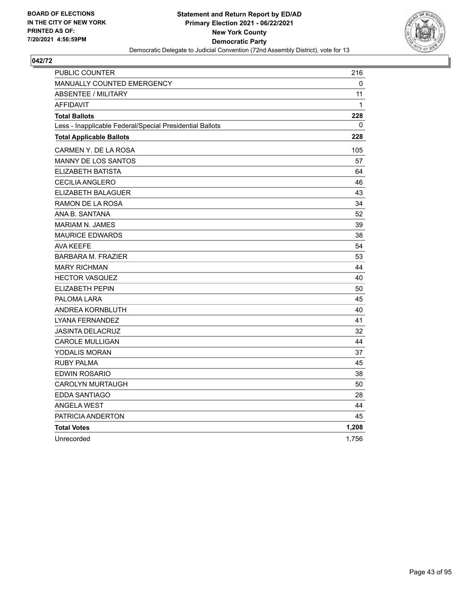

| PUBLIC COUNTER                                           | 216   |
|----------------------------------------------------------|-------|
| MANUALLY COUNTED EMERGENCY                               | 0     |
| <b>ABSENTEE / MILITARY</b>                               | 11    |
| <b>AFFIDAVIT</b>                                         | 1     |
| <b>Total Ballots</b>                                     | 228   |
| Less - Inapplicable Federal/Special Presidential Ballots | 0     |
| <b>Total Applicable Ballots</b>                          | 228   |
| CARMEN Y. DE LA ROSA                                     | 105   |
| MANNY DE LOS SANTOS                                      | 57    |
| ELIZABETH BATISTA                                        | 64    |
| <b>CECILIA ANGLERO</b>                                   | 46    |
| ELIZABETH BALAGUER                                       | 43    |
| RAMON DE LA ROSA                                         | 34    |
| ANA B. SANTANA                                           | 52    |
| <b>MARIAM N. JAMES</b>                                   | 39    |
| <b>MAURICE EDWARDS</b>                                   | 38    |
| AVA KEEFE                                                | 54    |
| <b>BARBARA M. FRAZIER</b>                                | 53    |
| <b>MARY RICHMAN</b>                                      | 44    |
| <b>HECTOR VASQUEZ</b>                                    | 40    |
| <b>ELIZABETH PEPIN</b>                                   | 50    |
| PALOMA LARA                                              | 45    |
| ANDREA KORNBLUTH                                         | 40    |
| LYANA FERNANDEZ                                          | 41    |
| <b>JASINTA DELACRUZ</b>                                  | 32    |
| <b>CAROLE MULLIGAN</b>                                   | 44    |
| YODALIS MORAN                                            | 37    |
| <b>RUBY PALMA</b>                                        | 45    |
| EDWIN ROSARIO                                            | 38    |
| <b>CAROLYN MURTAUGH</b>                                  | 50    |
| EDDA SANTIAGO                                            | 28    |
| <b>ANGELA WEST</b>                                       | 44    |
| PATRICIA ANDERTON                                        | 45    |
| <b>Total Votes</b>                                       | 1,208 |
| Unrecorded                                               | 1,756 |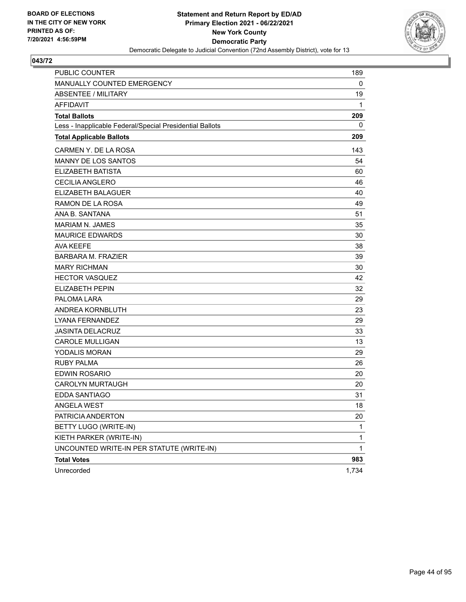

| <b>PUBLIC COUNTER</b>                                    | 189          |
|----------------------------------------------------------|--------------|
| MANUALLY COUNTED EMERGENCY                               | 0            |
| <b>ABSENTEE / MILITARY</b>                               | 19           |
| <b>AFFIDAVIT</b>                                         | 1            |
| <b>Total Ballots</b>                                     | 209          |
| Less - Inapplicable Federal/Special Presidential Ballots | 0            |
| <b>Total Applicable Ballots</b>                          | 209          |
| CARMEN Y. DE LA ROSA                                     | 143          |
| <b>MANNY DE LOS SANTOS</b>                               | 54           |
| <b>ELIZABETH BATISTA</b>                                 | 60           |
| <b>CECILIA ANGLERO</b>                                   | 46           |
| ELIZABETH BALAGUER                                       | 40           |
| RAMON DE LA ROSA                                         | 49           |
| ANA B. SANTANA                                           | 51           |
| <b>MARIAM N. JAMES</b>                                   | 35           |
| <b>MAURICE EDWARDS</b>                                   | 30           |
| <b>AVA KEEFE</b>                                         | 38           |
| <b>BARBARA M. FRAZIER</b>                                | 39           |
| <b>MARY RICHMAN</b>                                      | 30           |
| <b>HECTOR VASQUEZ</b>                                    | 42           |
| <b>ELIZABETH PEPIN</b>                                   | 32           |
| PALOMA LARA                                              | 29           |
| ANDREA KORNBLUTH                                         | 23           |
| LYANA FERNANDEZ                                          | 29           |
| <b>JASINTA DELACRUZ</b>                                  | 33           |
| <b>CAROLE MULLIGAN</b>                                   | 13           |
| <b>YODALIS MORAN</b>                                     | 29           |
| <b>RUBY PALMA</b>                                        | 26           |
| <b>EDWIN ROSARIO</b>                                     | 20           |
| <b>CAROLYN MURTAUGH</b>                                  | 20           |
| <b>EDDA SANTIAGO</b>                                     | 31           |
| ANGELA WEST                                              | 18           |
| PATRICIA ANDERTON                                        | 20           |
| BETTY LUGO (WRITE-IN)                                    | 1            |
| KIETH PARKER (WRITE-IN)                                  | $\mathbf{1}$ |
| UNCOUNTED WRITE-IN PER STATUTE (WRITE-IN)                | 1            |
| <b>Total Votes</b>                                       | 983          |
| Unrecorded                                               | 1,734        |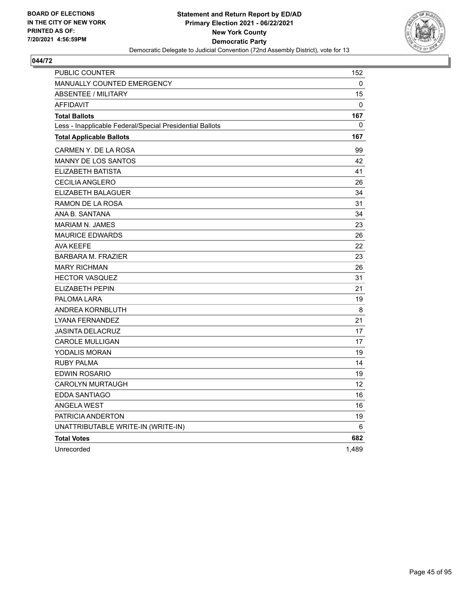

| <b>PUBLIC COUNTER</b>                                    | 152   |
|----------------------------------------------------------|-------|
| <b>MANUALLY COUNTED EMERGENCY</b>                        | 0     |
| ABSENTEE / MILITARY                                      | 15    |
| <b>AFFIDAVIT</b>                                         | 0     |
| <b>Total Ballots</b>                                     | 167   |
| Less - Inapplicable Federal/Special Presidential Ballots | 0     |
| <b>Total Applicable Ballots</b>                          | 167   |
| CARMEN Y. DE LA ROSA                                     | 99    |
| <b>MANNY DE LOS SANTOS</b>                               | 42    |
| ELIZABETH BATISTA                                        | 41    |
| CECILIA ANGLERO                                          | 26    |
| ELIZABETH BALAGUER                                       | 34    |
| RAMON DE LA ROSA                                         | 31    |
| ANA B. SANTANA                                           | 34    |
| <b>MARIAM N. JAMES</b>                                   | 23    |
| <b>MAURICE EDWARDS</b>                                   | 26    |
| <b>AVA KEEFE</b>                                         | 22    |
| <b>BARBARA M. FRAZIER</b>                                | 23    |
| <b>MARY RICHMAN</b>                                      | 26    |
| <b>HECTOR VASQUEZ</b>                                    | 31    |
| <b>ELIZABETH PEPIN</b>                                   | 21    |
| PALOMA LARA                                              | 19    |
| ANDREA KORNBLUTH                                         | 8     |
| <b>LYANA FERNANDEZ</b>                                   | 21    |
| <b>JASINTA DELACRUZ</b>                                  | 17    |
| <b>CAROLE MULLIGAN</b>                                   | 17    |
| YODALIS MORAN                                            | 19    |
| RUBY PALMA                                               | 14    |
| EDWIN ROSARIO                                            | 19    |
| <b>CAROLYN MURTAUGH</b>                                  | 12    |
| <b>EDDA SANTIAGO</b>                                     | 16    |
| <b>ANGELA WEST</b>                                       | 16    |
| PATRICIA ANDERTON                                        | 19    |
| UNATTRIBUTABLE WRITE-IN (WRITE-IN)                       | 6     |
| <b>Total Votes</b>                                       | 682   |
| Unrecorded                                               | 1,489 |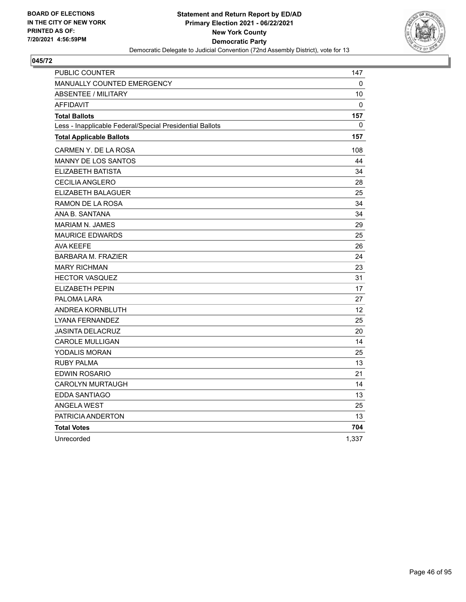

| PUBLIC COUNTER                                           | 147   |
|----------------------------------------------------------|-------|
| MANUALLY COUNTED EMERGENCY                               | 0     |
| <b>ABSENTEE / MILITARY</b>                               | 10    |
| <b>AFFIDAVIT</b>                                         | 0     |
| <b>Total Ballots</b>                                     | 157   |
| Less - Inapplicable Federal/Special Presidential Ballots | 0     |
| <b>Total Applicable Ballots</b>                          | 157   |
| CARMEN Y. DE LA ROSA                                     | 108   |
| <b>MANNY DE LOS SANTOS</b>                               | 44    |
| ELIZABETH BATISTA                                        | 34    |
| <b>CECILIA ANGLERO</b>                                   | 28    |
| ELIZABETH BALAGUER                                       | 25    |
| RAMON DE LA ROSA                                         | 34    |
| ANA B. SANTANA                                           | 34    |
| <b>MARIAM N. JAMES</b>                                   | 29    |
| <b>MAURICE EDWARDS</b>                                   | 25    |
| AVA KEEFE                                                | 26    |
| <b>BARBARA M. FRAZIER</b>                                | 24    |
| <b>MARY RICHMAN</b>                                      | 23    |
| <b>HECTOR VASQUEZ</b>                                    | 31    |
| <b>ELIZABETH PEPIN</b>                                   | 17    |
| PALOMA LARA                                              | 27    |
| ANDREA KORNBLUTH                                         | 12    |
| LYANA FERNANDEZ                                          | 25    |
| <b>JASINTA DELACRUZ</b>                                  | 20    |
| <b>CAROLE MULLIGAN</b>                                   | 14    |
| YODALIS MORAN                                            | 25    |
| <b>RUBY PALMA</b>                                        | 13    |
| EDWIN ROSARIO                                            | 21    |
| <b>CAROLYN MURTAUGH</b>                                  | 14    |
| <b>EDDA SANTIAGO</b>                                     | 13    |
| <b>ANGELA WEST</b>                                       | 25    |
| PATRICIA ANDERTON                                        | 13    |
| <b>Total Votes</b>                                       | 704   |
| Unrecorded                                               | 1,337 |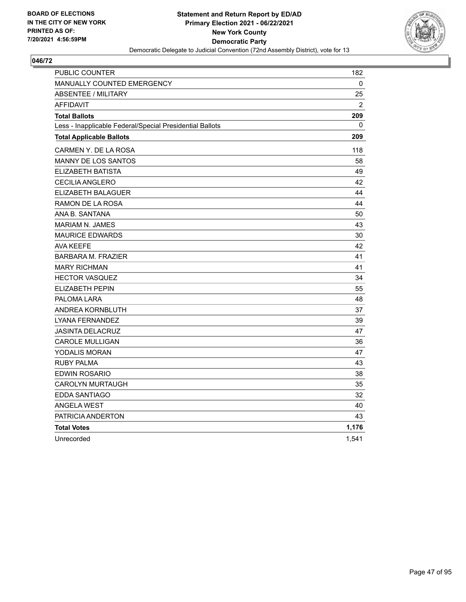

| PUBLIC COUNTER                                           | 182            |
|----------------------------------------------------------|----------------|
| MANUALLY COUNTED EMERGENCY                               | 0              |
| <b>ABSENTEE / MILITARY</b>                               | 25             |
| <b>AFFIDAVIT</b>                                         | $\overline{2}$ |
| <b>Total Ballots</b>                                     | 209            |
| Less - Inapplicable Federal/Special Presidential Ballots | 0              |
| <b>Total Applicable Ballots</b>                          | 209            |
| CARMEN Y. DE LA ROSA                                     | 118            |
| <b>MANNY DE LOS SANTOS</b>                               | 58             |
| ELIZABETH BATISTA                                        | 49             |
| <b>CECILIA ANGLERO</b>                                   | 42             |
| ELIZABETH BALAGUER                                       | 44             |
| <b>RAMON DE LA ROSA</b>                                  | 44             |
| ANA B. SANTANA                                           | 50             |
| <b>MARIAM N. JAMES</b>                                   | 43             |
| <b>MAURICE EDWARDS</b>                                   | 30             |
| AVA KEEFE                                                | 42             |
| <b>BARBARA M. FRAZIER</b>                                | 41             |
| <b>MARY RICHMAN</b>                                      | 41             |
| <b>HECTOR VASQUEZ</b>                                    | 34             |
| <b>ELIZABETH PEPIN</b>                                   | 55             |
| PALOMA LARA                                              | 48             |
| ANDREA KORNBLUTH                                         | 37             |
| <b>LYANA FERNANDEZ</b>                                   | 39             |
| <b>JASINTA DELACRUZ</b>                                  | 47             |
| <b>CAROLE MULLIGAN</b>                                   | 36             |
| YODALIS MORAN                                            | 47             |
| <b>RUBY PALMA</b>                                        | 43             |
| EDWIN ROSARIO                                            | 38             |
| <b>CAROLYN MURTAUGH</b>                                  | 35             |
| EDDA SANTIAGO                                            | 32             |
| <b>ANGELA WEST</b>                                       | 40             |
| PATRICIA ANDERTON                                        | 43             |
| <b>Total Votes</b>                                       | 1,176          |
| Unrecorded                                               | 1,541          |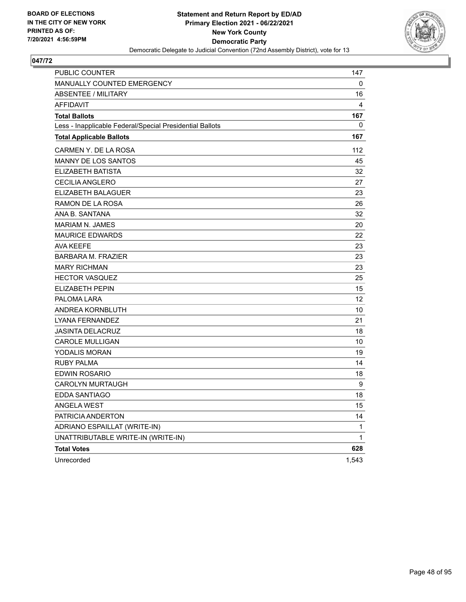

| <b>PUBLIC COUNTER</b>                                    | 147         |
|----------------------------------------------------------|-------------|
| MANUALLY COUNTED EMERGENCY                               | 0           |
| <b>ABSENTEE / MILITARY</b>                               | 16          |
| <b>AFFIDAVIT</b>                                         | 4           |
| <b>Total Ballots</b>                                     | 167         |
| Less - Inapplicable Federal/Special Presidential Ballots | 0           |
| <b>Total Applicable Ballots</b>                          | 167         |
| CARMEN Y. DE LA ROSA                                     | 112         |
| <b>MANNY DE LOS SANTOS</b>                               | 45          |
| ELIZABETH BATISTA                                        | 32          |
| <b>CECILIA ANGLERO</b>                                   | 27          |
| ELIZABETH BALAGUER                                       | 23          |
| RAMON DE LA ROSA                                         | 26          |
| ANA B. SANTANA                                           | 32          |
| MARIAM N. JAMES                                          | 20          |
| <b>MAURICE EDWARDS</b>                                   | 22          |
| <b>AVA KEEFE</b>                                         | 23          |
| <b>BARBARA M. FRAZIER</b>                                | 23          |
| <b>MARY RICHMAN</b>                                      | 23          |
| <b>HECTOR VASQUEZ</b>                                    | 25          |
| <b>ELIZABETH PEPIN</b>                                   | 15          |
| PALOMA LARA                                              | 12          |
| ANDREA KORNBLUTH                                         | 10          |
| LYANA FERNANDEZ                                          | 21          |
| <b>JASINTA DELACRUZ</b>                                  | 18          |
| <b>CAROLE MULLIGAN</b>                                   | 10          |
| YODALIS MORAN                                            | 19          |
| <b>RUBY PALMA</b>                                        | 14          |
| EDWIN ROSARIO                                            | 18          |
| <b>CAROLYN MURTAUGH</b>                                  | 9           |
| <b>EDDA SANTIAGO</b>                                     | 18          |
| <b>ANGELA WEST</b>                                       | 15          |
| PATRICIA ANDERTON                                        | 14          |
| ADRIANO ESPAILLAT (WRITE-IN)                             | 1           |
| UNATTRIBUTABLE WRITE-IN (WRITE-IN)                       | $\mathbf 1$ |
| <b>Total Votes</b>                                       | 628         |
| Unrecorded                                               | 1,543       |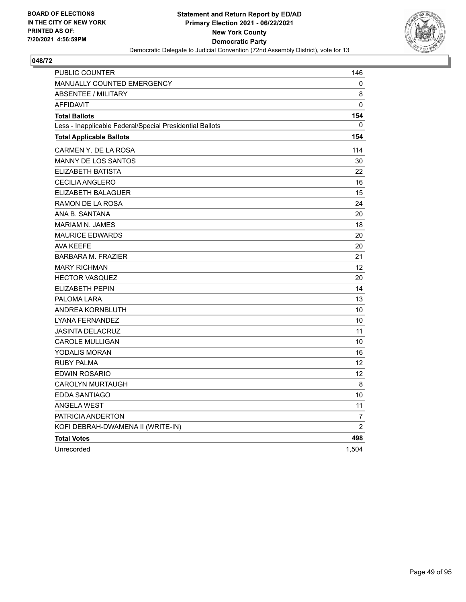

| <b>PUBLIC COUNTER</b>                                    | 146            |
|----------------------------------------------------------|----------------|
| <b>MANUALLY COUNTED EMERGENCY</b>                        | 0              |
| <b>ABSENTEE / MILITARY</b>                               | 8              |
| <b>AFFIDAVIT</b>                                         | 0              |
| <b>Total Ballots</b>                                     | 154            |
| Less - Inapplicable Federal/Special Presidential Ballots | 0              |
| <b>Total Applicable Ballots</b>                          | 154            |
| CARMEN Y. DE LA ROSA                                     | 114            |
| MANNY DE LOS SANTOS                                      | 30             |
| ELIZABETH BATISTA                                        | 22             |
| <b>CECILIA ANGLERO</b>                                   | 16             |
| ELIZABETH BALAGUER                                       | 15             |
| RAMON DE LA ROSA                                         | 24             |
| ANA B. SANTANA                                           | 20             |
| <b>MARIAM N. JAMES</b>                                   | 18             |
| <b>MAURICE EDWARDS</b>                                   | 20             |
| <b>AVA KEEFE</b>                                         | 20             |
| <b>BARBARA M. FRAZIER</b>                                | 21             |
| <b>MARY RICHMAN</b>                                      | 12             |
| <b>HECTOR VASQUEZ</b>                                    | 20             |
| <b>ELIZABETH PEPIN</b>                                   | 14             |
| PALOMA LARA                                              | 13             |
| ANDREA KORNBLUTH                                         | 10             |
| LYANA FERNANDEZ                                          | 10             |
| <b>JASINTA DELACRUZ</b>                                  | 11             |
| <b>CAROLE MULLIGAN</b>                                   | 10             |
| YODALIS MORAN                                            | 16             |
| <b>RUBY PALMA</b>                                        | 12             |
| <b>EDWIN ROSARIO</b>                                     | 12             |
| <b>CAROLYN MURTAUGH</b>                                  | 8              |
| EDDA SANTIAGO                                            | 10             |
| <b>ANGELA WEST</b>                                       | 11             |
| PATRICIA ANDERTON                                        | $\overline{7}$ |
| KOFI DEBRAH-DWAMENA II (WRITE-IN)                        | $\overline{2}$ |
| <b>Total Votes</b>                                       | 498            |
| Unrecorded                                               | 1,504          |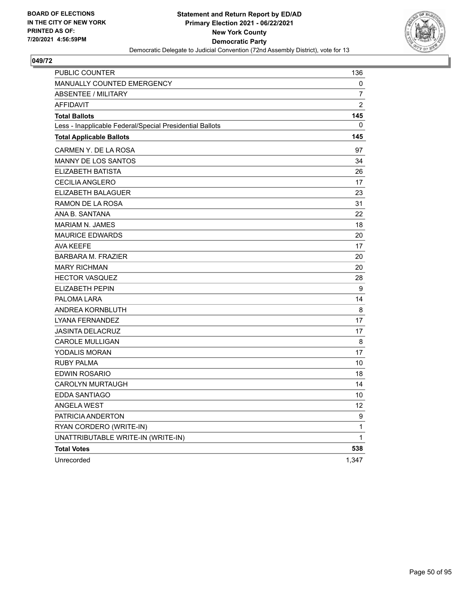

| <b>PUBLIC COUNTER</b>                                    | 136            |
|----------------------------------------------------------|----------------|
| MANUALLY COUNTED EMERGENCY                               | 0              |
| <b>ABSENTEE / MILITARY</b>                               | 7              |
| <b>AFFIDAVIT</b>                                         | $\overline{2}$ |
| <b>Total Ballots</b>                                     | 145            |
| Less - Inapplicable Federal/Special Presidential Ballots | 0              |
| <b>Total Applicable Ballots</b>                          | 145            |
| CARMEN Y. DE LA ROSA                                     | 97             |
| <b>MANNY DE LOS SANTOS</b>                               | 34             |
| ELIZABETH BATISTA                                        | 26             |
| <b>CECILIA ANGLERO</b>                                   | 17             |
| ELIZABETH BALAGUER                                       | 23             |
| RAMON DE LA ROSA                                         | 31             |
| ANA B. SANTANA                                           | 22             |
| MARIAM N. JAMES                                          | 18             |
| <b>MAURICE EDWARDS</b>                                   | 20             |
| <b>AVA KEEFE</b>                                         | 17             |
| <b>BARBARA M. FRAZIER</b>                                | 20             |
| <b>MARY RICHMAN</b>                                      | 20             |
| <b>HECTOR VASQUEZ</b>                                    | 28             |
| <b>ELIZABETH PEPIN</b>                                   | 9              |
| PALOMA LARA                                              | 14             |
| ANDREA KORNBLUTH                                         | 8              |
| LYANA FERNANDEZ                                          | 17             |
| <b>JASINTA DELACRUZ</b>                                  | 17             |
| <b>CAROLE MULLIGAN</b>                                   | 8              |
| YODALIS MORAN                                            | 17             |
| <b>RUBY PALMA</b>                                        | 10             |
| EDWIN ROSARIO                                            | 18             |
| <b>CAROLYN MURTAUGH</b>                                  | 14             |
| <b>EDDA SANTIAGO</b>                                     | 10             |
| <b>ANGELA WEST</b>                                       | 12             |
| PATRICIA ANDERTON                                        | 9              |
| RYAN CORDERO (WRITE-IN)                                  | 1              |
| UNATTRIBUTABLE WRITE-IN (WRITE-IN)                       | $\mathbf 1$    |
| <b>Total Votes</b>                                       | 538            |
| Unrecorded                                               | 1,347          |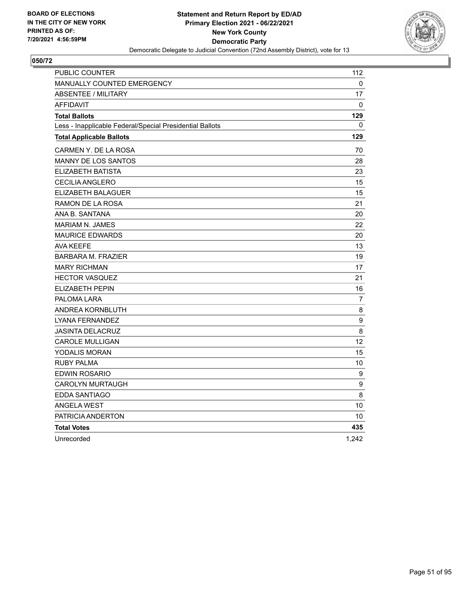

| PUBLIC COUNTER                                           | 112              |
|----------------------------------------------------------|------------------|
| MANUALLY COUNTED EMERGENCY                               | 0                |
| <b>ABSENTEE / MILITARY</b>                               | 17               |
| <b>AFFIDAVIT</b>                                         | 0                |
| <b>Total Ballots</b>                                     | 129              |
| Less - Inapplicable Federal/Special Presidential Ballots | 0                |
| <b>Total Applicable Ballots</b>                          | 129              |
| CARMEN Y. DE LA ROSA                                     | 70               |
| <b>MANNY DE LOS SANTOS</b>                               | 28               |
| ELIZABETH BATISTA                                        | 23               |
| <b>CECILIA ANGLERO</b>                                   | 15               |
| ELIZABETH BALAGUER                                       | 15               |
| RAMON DE LA ROSA                                         | 21               |
| ANA B. SANTANA                                           | 20               |
| <b>MARIAM N. JAMES</b>                                   | 22               |
| <b>MAURICE EDWARDS</b>                                   | 20               |
| AVA KEEFE                                                | 13               |
| <b>BARBARA M. FRAZIER</b>                                | 19               |
| <b>MARY RICHMAN</b>                                      | 17               |
| <b>HECTOR VASQUEZ</b>                                    | 21               |
| <b>ELIZABETH PEPIN</b>                                   | 16               |
| PALOMA LARA                                              | $\overline{7}$   |
| ANDREA KORNBLUTH                                         | 8                |
| LYANA FERNANDEZ                                          | $\boldsymbol{9}$ |
| <b>JASINTA DELACRUZ</b>                                  | $\,8\,$          |
| <b>CAROLE MULLIGAN</b>                                   | 12               |
| YODALIS MORAN                                            | 15               |
| <b>RUBY PALMA</b>                                        | 10               |
| EDWIN ROSARIO                                            | 9                |
| <b>CAROLYN MURTAUGH</b>                                  | $\boldsymbol{9}$ |
| EDDA SANTIAGO                                            | 8                |
| <b>ANGELA WEST</b>                                       | 10               |
| PATRICIA ANDERTON                                        | 10               |
| <b>Total Votes</b>                                       | 435              |
| Unrecorded                                               | 1,242            |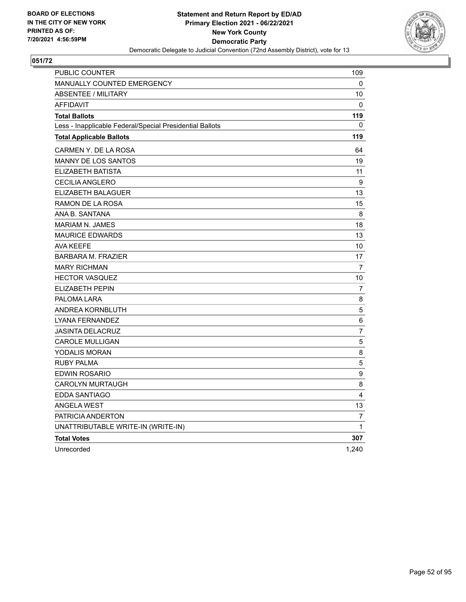

| PUBLIC COUNTER                                           | 109            |
|----------------------------------------------------------|----------------|
| <b>MANUALLY COUNTED EMERGENCY</b>                        | 0              |
| <b>ABSENTEE / MILITARY</b>                               | 10             |
| <b>AFFIDAVIT</b>                                         | 0              |
| <b>Total Ballots</b>                                     | 119            |
| Less - Inapplicable Federal/Special Presidential Ballots | 0              |
| <b>Total Applicable Ballots</b>                          | 119            |
| CARMEN Y. DE LA ROSA                                     | 64             |
| MANNY DE LOS SANTOS                                      | 19             |
| ELIZABETH BATISTA                                        | 11             |
| <b>CECILIA ANGLERO</b>                                   | 9              |
| ELIZABETH BALAGUER                                       | 13             |
| RAMON DE LA ROSA                                         | 15             |
| ANA B. SANTANA                                           | 8              |
| <b>MARIAM N. JAMES</b>                                   | 18             |
| <b>MAURICE EDWARDS</b>                                   | 13             |
| <b>AVA KEEFE</b>                                         | 10             |
| <b>BARBARA M. FRAZIER</b>                                | 17             |
| <b>MARY RICHMAN</b>                                      | $\overline{7}$ |
| <b>HECTOR VASQUEZ</b>                                    | 10             |
| <b>ELIZABETH PEPIN</b>                                   | 7              |
| PALOMA LARA                                              | 8              |
| ANDREA KORNBLUTH                                         | 5              |
| LYANA FERNANDEZ                                          | 6              |
| <b>JASINTA DELACRUZ</b>                                  | $\overline{7}$ |
| <b>CAROLE MULLIGAN</b>                                   | 5              |
| YODALIS MORAN                                            | 8              |
| <b>RUBY PALMA</b>                                        | 5              |
| <b>EDWIN ROSARIO</b>                                     | 9              |
| <b>CAROLYN MURTAUGH</b>                                  | 8              |
| EDDA SANTIAGO                                            | 4              |
| <b>ANGELA WEST</b>                                       | 13             |
| PATRICIA ANDERTON                                        | $\overline{7}$ |
| UNATTRIBUTABLE WRITE-IN (WRITE-IN)                       | $\mathbf 1$    |
| <b>Total Votes</b>                                       | 307            |
| Unrecorded                                               | 1,240          |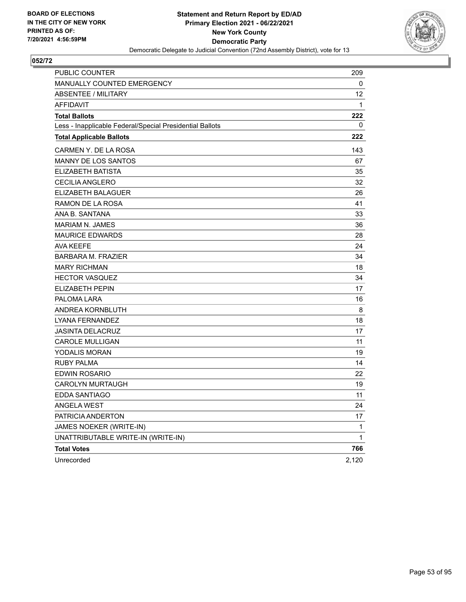

| <b>PUBLIC COUNTER</b>                                    | 209      |
|----------------------------------------------------------|----------|
| MANUALLY COUNTED EMERGENCY                               | 0        |
| <b>ABSENTEE / MILITARY</b>                               | 12       |
| <b>AFFIDAVIT</b>                                         | 1        |
| <b>Total Ballots</b>                                     | 222      |
| Less - Inapplicable Federal/Special Presidential Ballots | $\Omega$ |
| <b>Total Applicable Ballots</b>                          | 222      |
| CARMEN Y. DE LA ROSA                                     | 143      |
| <b>MANNY DE LOS SANTOS</b>                               | 67       |
| ELIZABETH BATISTA                                        | 35       |
| <b>CECILIA ANGLERO</b>                                   | 32       |
| ELIZABETH BALAGUER                                       | 26       |
| RAMON DE LA ROSA                                         | 41       |
| ANA B. SANTANA                                           | 33       |
| MARIAM N. JAMES                                          | 36       |
| <b>MAURICE EDWARDS</b>                                   | 28       |
| <b>AVA KEEFE</b>                                         | 24       |
| <b>BARBARA M. FRAZIER</b>                                | 34       |
| <b>MARY RICHMAN</b>                                      | 18       |
| <b>HECTOR VASQUEZ</b>                                    | 34       |
| <b>ELIZABETH PEPIN</b>                                   | 17       |
| PALOMA LARA                                              | 16       |
| ANDREA KORNBLUTH                                         | 8        |
| LYANA FERNANDEZ                                          | 18       |
| <b>JASINTA DELACRUZ</b>                                  | 17       |
| <b>CAROLE MULLIGAN</b>                                   | 11       |
| YODALIS MORAN                                            | 19       |
| <b>RUBY PALMA</b>                                        | 14       |
| EDWIN ROSARIO                                            | 22       |
| <b>CAROLYN MURTAUGH</b>                                  | 19       |
| EDDA SANTIAGO                                            | 11       |
| <b>ANGELA WEST</b>                                       | 24       |
| PATRICIA ANDERTON                                        | 17       |
| JAMES NOEKER (WRITE-IN)                                  | 1        |
| UNATTRIBUTABLE WRITE-IN (WRITE-IN)                       | 1        |
| <b>Total Votes</b>                                       | 766      |
| Unrecorded                                               | 2,120    |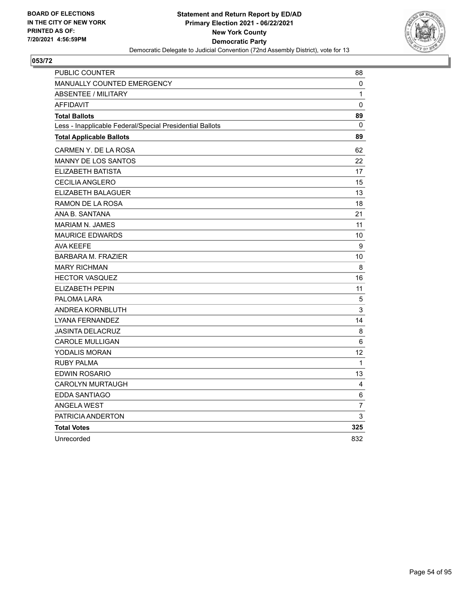

| PUBLIC COUNTER                                           | 88             |
|----------------------------------------------------------|----------------|
| MANUALLY COUNTED EMERGENCY                               | 0              |
| <b>ABSENTEE / MILITARY</b>                               | $\mathbf{1}$   |
| <b>AFFIDAVIT</b>                                         | 0              |
| <b>Total Ballots</b>                                     | 89             |
| Less - Inapplicable Federal/Special Presidential Ballots | $\mathbf{0}$   |
| <b>Total Applicable Ballots</b>                          | 89             |
| CARMEN Y. DE LA ROSA                                     | 62             |
| MANNY DE LOS SANTOS                                      | 22             |
| ELIZABETH BATISTA                                        | 17             |
| <b>CECILIA ANGLERO</b>                                   | 15             |
| ELIZABETH BALAGUER                                       | 13             |
| RAMON DE LA ROSA                                         | 18             |
| ANA B. SANTANA                                           | 21             |
| <b>MARIAM N. JAMES</b>                                   | 11             |
| <b>MAURICE EDWARDS</b>                                   | 10             |
| <b>AVA KEEFE</b>                                         | 9              |
| <b>BARBARA M. FRAZIER</b>                                | 10             |
| <b>MARY RICHMAN</b>                                      | 8              |
| <b>HECTOR VASQUEZ</b>                                    | 16             |
| <b>ELIZABETH PEPIN</b>                                   | 11             |
| PALOMA LARA                                              | 5              |
| ANDREA KORNBLUTH                                         | 3              |
| <b>LYANA FERNANDEZ</b>                                   | 14             |
| <b>JASINTA DELACRUZ</b>                                  | 8              |
| <b>CAROLE MULLIGAN</b>                                   | 6              |
| <b>YODALIS MORAN</b>                                     | 12             |
| <b>RUBY PALMA</b>                                        | $\mathbf{1}$   |
| <b>EDWIN ROSARIO</b>                                     | 13             |
| <b>CAROLYN MURTAUGH</b>                                  | 4              |
| <b>EDDA SANTIAGO</b>                                     | 6              |
| <b>ANGELA WEST</b>                                       | $\overline{7}$ |
| PATRICIA ANDERTON                                        | 3              |
| <b>Total Votes</b>                                       | 325            |
| Unrecorded                                               | 832            |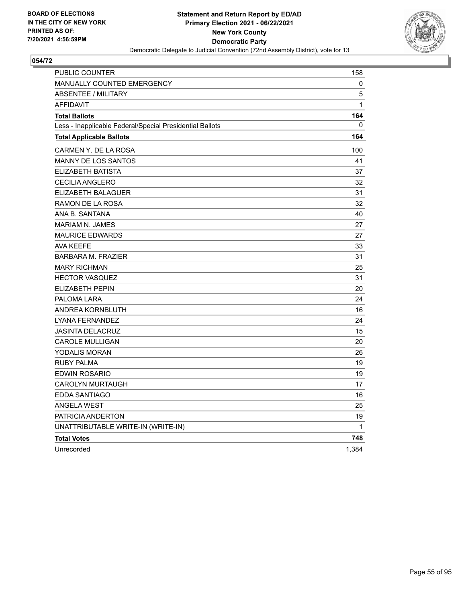

| PUBLIC COUNTER                                           | 158          |
|----------------------------------------------------------|--------------|
| <b>MANUALLY COUNTED EMERGENCY</b>                        | 0            |
| <b>ABSENTEE / MILITARY</b>                               | 5            |
| <b>AFFIDAVIT</b>                                         | $\mathbf{1}$ |
| <b>Total Ballots</b>                                     | 164          |
| Less - Inapplicable Federal/Special Presidential Ballots | 0            |
| <b>Total Applicable Ballots</b>                          | 164          |
| CARMEN Y. DE LA ROSA                                     | 100          |
| <b>MANNY DE LOS SANTOS</b>                               | 41           |
| ELIZABETH BATISTA                                        | 37           |
| <b>CECILIA ANGLERO</b>                                   | 32           |
| <b>ELIZABETH BALAGUER</b>                                | 31           |
| RAMON DE LA ROSA                                         | 32           |
| ANA B. SANTANA                                           | 40           |
| <b>MARIAM N. JAMES</b>                                   | 27           |
| <b>MAURICE EDWARDS</b>                                   | 27           |
| <b>AVA KEEFE</b>                                         | 33           |
| <b>BARBARA M. FRAZIER</b>                                | 31           |
| <b>MARY RICHMAN</b>                                      | 25           |
| <b>HECTOR VASQUEZ</b>                                    | 31           |
| ELIZABETH PEPIN                                          | 20           |
| PALOMA LARA                                              | 24           |
| ANDREA KORNBLUTH                                         | 16           |
| LYANA FERNANDEZ                                          | 24           |
| <b>JASINTA DELACRUZ</b>                                  | 15           |
| <b>CAROLE MULLIGAN</b>                                   | 20           |
| <b>YODALIS MORAN</b>                                     | 26           |
| RUBY PALMA                                               | 19           |
| EDWIN ROSARIO                                            | 19           |
| <b>CAROLYN MURTAUGH</b>                                  | 17           |
| EDDA SANTIAGO                                            | 16           |
| <b>ANGELA WEST</b>                                       | 25           |
| PATRICIA ANDERTON                                        | 19           |
| UNATTRIBUTABLE WRITE-IN (WRITE-IN)                       | 1            |
| <b>Total Votes</b>                                       | 748          |
| Unrecorded                                               | 1,384        |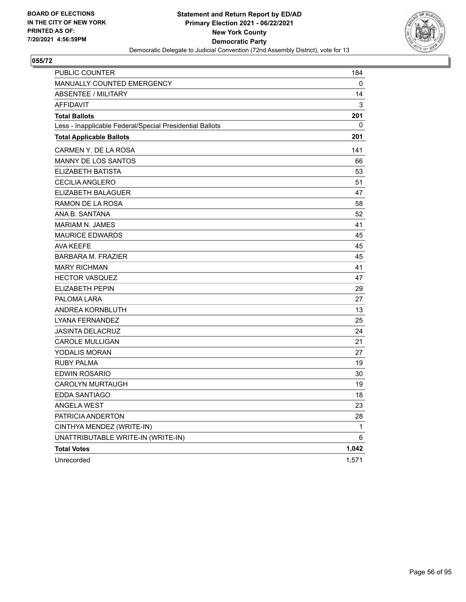

| PUBLIC COUNTER                                           | 184   |
|----------------------------------------------------------|-------|
| <b>MANUALLY COUNTED EMERGENCY</b>                        | 0     |
| <b>ABSENTEE / MILITARY</b>                               | 14    |
| <b>AFFIDAVIT</b>                                         | 3     |
| <b>Total Ballots</b>                                     | 201   |
| Less - Inapplicable Federal/Special Presidential Ballots | 0     |
| <b>Total Applicable Ballots</b>                          | 201   |
| CARMEN Y. DE LA ROSA                                     | 141   |
| MANNY DE LOS SANTOS                                      | 66    |
| <b>ELIZABETH BATISTA</b>                                 | 53    |
| <b>CECILIA ANGLERO</b>                                   | 51    |
| ELIZABETH BALAGUER                                       | 47    |
| RAMON DE LA ROSA                                         | 58    |
| ANA B. SANTANA                                           | 52    |
| <b>MARIAM N. JAMES</b>                                   | 41    |
| <b>MAURICE EDWARDS</b>                                   | 45    |
| AVA KEEFE                                                | 45    |
| <b>BARBARA M. FRAZIER</b>                                | 45    |
| <b>MARY RICHMAN</b>                                      | 41    |
| <b>HECTOR VASQUEZ</b>                                    | 47    |
| ELIZABETH PEPIN                                          | 29    |
| PALOMA LARA                                              | 27    |
| ANDREA KORNBLUTH                                         | 13    |
| LYANA FERNANDEZ                                          | 25    |
| <b>JASINTA DELACRUZ</b>                                  | 24    |
| <b>CAROLE MULLIGAN</b>                                   | 21    |
| YODALIS MORAN                                            | 27    |
| <b>RUBY PALMA</b>                                        | 19    |
| EDWIN ROSARIO                                            | 30    |
| <b>CAROLYN MURTAUGH</b>                                  | 19    |
| <b>EDDA SANTIAGO</b>                                     | 18    |
| <b>ANGELA WEST</b>                                       | 23    |
| PATRICIA ANDERTON                                        | 28    |
| CINTHYA MENDEZ (WRITE-IN)                                | 1     |
| UNATTRIBUTABLE WRITE-IN (WRITE-IN)                       | 6     |
| <b>Total Votes</b>                                       | 1,042 |
| Unrecorded                                               | 1,571 |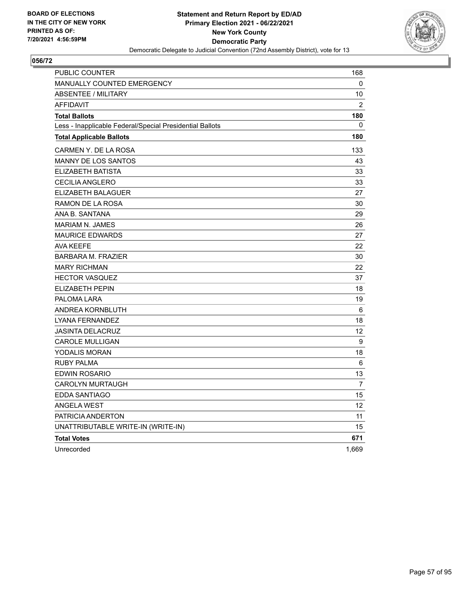

| <b>PUBLIC COUNTER</b>                                    | 168   |
|----------------------------------------------------------|-------|
| MANUALLY COUNTED EMERGENCY                               | 0     |
| ABSENTEE / MILITARY                                      | 10    |
| <b>AFFIDAVIT</b>                                         | 2     |
| <b>Total Ballots</b>                                     | 180   |
| Less - Inapplicable Federal/Special Presidential Ballots | 0     |
| <b>Total Applicable Ballots</b>                          | 180   |
| CARMEN Y. DE LA ROSA                                     | 133   |
| <b>MANNY DE LOS SANTOS</b>                               | 43    |
| ELIZABETH BATISTA                                        | 33    |
| <b>CECILIA ANGLERO</b>                                   | 33    |
| <b>ELIZABETH BALAGUER</b>                                | 27    |
| RAMON DE LA ROSA                                         | 30    |
| ANA B. SANTANA                                           | 29    |
| <b>MARIAM N. JAMES</b>                                   | 26    |
| <b>MAURICE EDWARDS</b>                                   | 27    |
| <b>AVA KEEFE</b>                                         | 22    |
| <b>BARBARA M. FRAZIER</b>                                | 30    |
| <b>MARY RICHMAN</b>                                      | 22    |
| <b>HECTOR VASQUEZ</b>                                    | 37    |
| ELIZABETH PEPIN                                          | 18    |
| PALOMA LARA                                              | 19    |
| ANDREA KORNBLUTH                                         | 6     |
| LYANA FERNANDEZ                                          | 18    |
| <b>JASINTA DELACRUZ</b>                                  | 12    |
| <b>CAROLE MULLIGAN</b>                                   | 9     |
| YODALIS MORAN                                            | 18    |
| <b>RUBY PALMA</b>                                        | 6     |
| <b>EDWIN ROSARIO</b>                                     | 13    |
| CAROLYN MURTAUGH                                         | 7     |
| EDDA SANTIAGO                                            | 15    |
| <b>ANGELA WEST</b>                                       | 12    |
| PATRICIA ANDERTON                                        | 11    |
| UNATTRIBUTABLE WRITE-IN (WRITE-IN)                       | 15    |
| <b>Total Votes</b>                                       | 671   |
| Unrecorded                                               | 1,669 |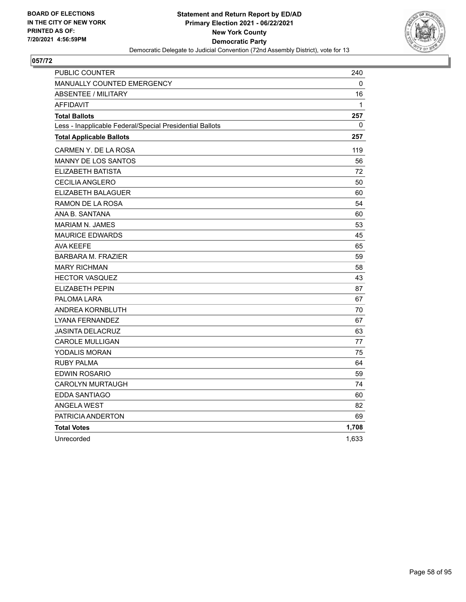

| PUBLIC COUNTER                                           | 240   |
|----------------------------------------------------------|-------|
| MANUALLY COUNTED EMERGENCY                               | 0     |
| <b>ABSENTEE / MILITARY</b>                               | 16    |
| <b>AFFIDAVIT</b>                                         | 1     |
| <b>Total Ballots</b>                                     | 257   |
| Less - Inapplicable Federal/Special Presidential Ballots | 0     |
| <b>Total Applicable Ballots</b>                          | 257   |
| CARMEN Y. DE LA ROSA                                     | 119   |
| <b>MANNY DE LOS SANTOS</b>                               | 56    |
| ELIZABETH BATISTA                                        | 72    |
| <b>CECILIA ANGLERO</b>                                   | 50    |
| ELIZABETH BALAGUER                                       | 60    |
| <b>RAMON DE LA ROSA</b>                                  | 54    |
| ANA B. SANTANA                                           | 60    |
| <b>MARIAM N. JAMES</b>                                   | 53    |
| <b>MAURICE EDWARDS</b>                                   | 45    |
| AVA KEEFE                                                | 65    |
| <b>BARBARA M. FRAZIER</b>                                | 59    |
| <b>MARY RICHMAN</b>                                      | 58    |
| <b>HECTOR VASQUEZ</b>                                    | 43    |
| <b>ELIZABETH PEPIN</b>                                   | 87    |
| PALOMA LARA                                              | 67    |
| ANDREA KORNBLUTH                                         | 70    |
| LYANA FERNANDEZ                                          | 67    |
| <b>JASINTA DELACRUZ</b>                                  | 63    |
| <b>CAROLE MULLIGAN</b>                                   | 77    |
| YODALIS MORAN                                            | 75    |
| <b>RUBY PALMA</b>                                        | 64    |
| EDWIN ROSARIO                                            | 59    |
| <b>CAROLYN MURTAUGH</b>                                  | 74    |
| EDDA SANTIAGO                                            | 60    |
| <b>ANGELA WEST</b>                                       | 82    |
| PATRICIA ANDERTON                                        | 69    |
| <b>Total Votes</b>                                       | 1,708 |
| Unrecorded                                               | 1,633 |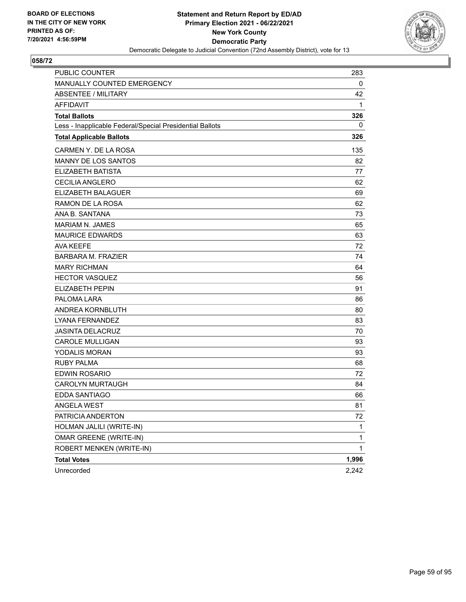

| <b>PUBLIC COUNTER</b>                                    | 283          |
|----------------------------------------------------------|--------------|
| MANUALLY COUNTED EMERGENCY                               | 0            |
| <b>ABSENTEE / MILITARY</b>                               | 42           |
| <b>AFFIDAVIT</b>                                         | 1            |
| <b>Total Ballots</b>                                     | 326          |
| Less - Inapplicable Federal/Special Presidential Ballots | 0            |
| <b>Total Applicable Ballots</b>                          | 326          |
| CARMEN Y. DE LA ROSA                                     | 135          |
| <b>MANNY DE LOS SANTOS</b>                               | 82           |
| <b>ELIZABETH BATISTA</b>                                 | 77           |
| <b>CECILIA ANGLERO</b>                                   | 62           |
| ELIZABETH BALAGUER                                       | 69           |
| RAMON DE LA ROSA                                         | 62           |
| ANA B. SANTANA                                           | 73           |
| <b>MARIAM N. JAMES</b>                                   | 65           |
| <b>MAURICE EDWARDS</b>                                   | 63           |
| <b>AVA KEEFE</b>                                         | 72           |
| <b>BARBARA M. FRAZIER</b>                                | 74           |
| <b>MARY RICHMAN</b>                                      | 64           |
| <b>HECTOR VASQUEZ</b>                                    | 56           |
| <b>ELIZABETH PEPIN</b>                                   | 91           |
| PALOMA LARA                                              | 86           |
| ANDREA KORNBLUTH                                         | 80           |
| LYANA FERNANDEZ                                          | 83           |
| <b>JASINTA DELACRUZ</b>                                  | 70           |
| <b>CAROLE MULLIGAN</b>                                   | 93           |
| <b>YODALIS MORAN</b>                                     | 93           |
| <b>RUBY PALMA</b>                                        | 68           |
| <b>EDWIN ROSARIO</b>                                     | 72           |
| <b>CAROLYN MURTAUGH</b>                                  | 84           |
| <b>EDDA SANTIAGO</b>                                     | 66           |
| ANGELA WEST                                              | 81           |
| PATRICIA ANDERTON                                        | 72           |
| HOLMAN JALILI (WRITE-IN)                                 | 1            |
| <b>OMAR GREENE (WRITE-IN)</b>                            | 1            |
| ROBERT MENKEN (WRITE-IN)                                 | $\mathbf{1}$ |
| <b>Total Votes</b>                                       | 1,996        |
| Unrecorded                                               | 2,242        |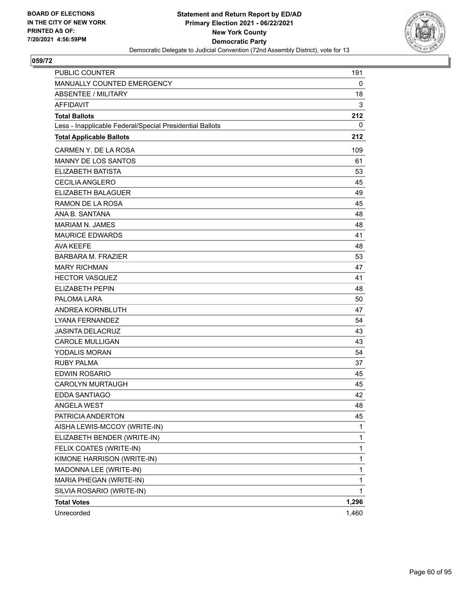

| <b>PUBLIC COUNTER</b>                                    | 191   |
|----------------------------------------------------------|-------|
| MANUALLY COUNTED EMERGENCY                               | 0     |
| <b>ABSENTEE / MILITARY</b>                               | 18    |
| <b>AFFIDAVIT</b>                                         | 3     |
| <b>Total Ballots</b>                                     | 212   |
| Less - Inapplicable Federal/Special Presidential Ballots | 0     |
| <b>Total Applicable Ballots</b>                          | 212   |
| CARMEN Y. DE LA ROSA                                     | 109   |
| <b>MANNY DE LOS SANTOS</b>                               | 61    |
| <b>ELIZABETH BATISTA</b>                                 | 53    |
| <b>CECILIA ANGLERO</b>                                   | 45    |
| ELIZABETH BALAGUER                                       | 49    |
| RAMON DE LA ROSA                                         | 45    |
| ANA B. SANTANA                                           | 48    |
| <b>MARIAM N. JAMES</b>                                   | 48    |
| <b>MAURICE EDWARDS</b>                                   | 41    |
| <b>AVA KEEFE</b>                                         | 48    |
| <b>BARBARA M. FRAZIER</b>                                | 53    |
| <b>MARY RICHMAN</b>                                      | 47    |
| <b>HECTOR VASQUEZ</b>                                    | 41    |
| <b>ELIZABETH PEPIN</b>                                   | 48    |
| PALOMA LARA                                              | 50    |
| ANDREA KORNBLUTH                                         | 47    |
| LYANA FERNANDEZ                                          | 54    |
| <b>JASINTA DELACRUZ</b>                                  | 43    |
| <b>CAROLE MULLIGAN</b>                                   | 43    |
| <b>YODALIS MORAN</b>                                     | 54    |
| <b>RUBY PALMA</b>                                        | 37    |
| <b>EDWIN ROSARIO</b>                                     | 45    |
| <b>CAROLYN MURTAUGH</b>                                  | 45    |
| <b>EDDA SANTIAGO</b>                                     | 42    |
| ANGELA WEST                                              | 48    |
| PATRICIA ANDERTON                                        | 45    |
| AISHA LEWIS-MCCOY (WRITE-IN)                             | 1     |
| ELIZABETH BENDER (WRITE-IN)                              | 1     |
| FELIX COATES (WRITE-IN)                                  | 1     |
| KIMONE HARRISON (WRITE-IN)                               | 1     |
| MADONNA LEE (WRITE-IN)                                   | 1     |
| MARIA PHEGAN (WRITE-IN)                                  | 1     |
| SILVIA ROSARIO (WRITE-IN)                                | 1     |
| <b>Total Votes</b>                                       | 1,296 |
| Unrecorded                                               | 1,460 |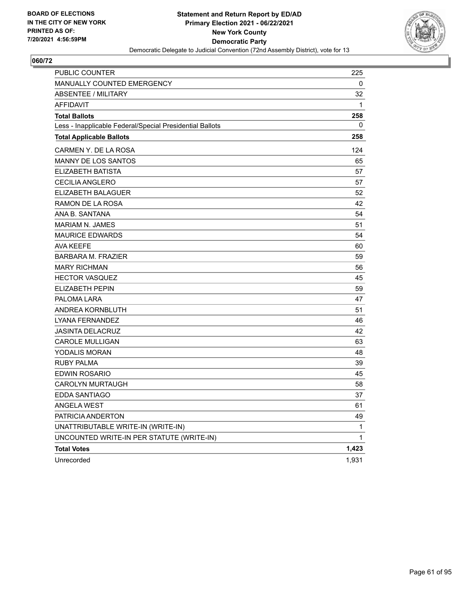

| <b>PUBLIC COUNTER</b>                                    | 225          |
|----------------------------------------------------------|--------------|
| MANUALLY COUNTED EMERGENCY                               | 0            |
| <b>ABSENTEE / MILITARY</b>                               | 32           |
| <b>AFFIDAVIT</b>                                         | $\mathbf{1}$ |
| <b>Total Ballots</b>                                     | 258          |
| Less - Inapplicable Federal/Special Presidential Ballots | 0            |
| <b>Total Applicable Ballots</b>                          | 258          |
| CARMEN Y. DE LA ROSA                                     | 124          |
| MANNY DE LOS SANTOS                                      | 65           |
| ELIZABETH BATISTA                                        | 57           |
| <b>CECILIA ANGLERO</b>                                   | 57           |
| ELIZABETH BALAGUER                                       | 52           |
| RAMON DE LA ROSA                                         | 42           |
| ANA B. SANTANA                                           | 54           |
| <b>MARIAM N. JAMES</b>                                   | 51           |
| <b>MAURICE EDWARDS</b>                                   | 54           |
| <b>AVA KEEFE</b>                                         | 60           |
| <b>BARBARA M. FRAZIER</b>                                | 59           |
| <b>MARY RICHMAN</b>                                      | 56           |
| <b>HECTOR VASQUEZ</b>                                    | 45           |
| ELIZABETH PEPIN                                          | 59           |
| PALOMA LARA                                              | 47           |
| ANDREA KORNBLUTH                                         | 51           |
| LYANA FERNANDEZ                                          | 46           |
| <b>JASINTA DELACRUZ</b>                                  | 42           |
| <b>CAROLE MULLIGAN</b>                                   | 63           |
| YODALIS MORAN                                            | 48           |
| <b>RUBY PALMA</b>                                        | 39           |
| <b>EDWIN ROSARIO</b>                                     | 45           |
| <b>CAROLYN MURTAUGH</b>                                  | 58           |
| <b>EDDA SANTIAGO</b>                                     | 37           |
| <b>ANGELA WEST</b>                                       | 61           |
| PATRICIA ANDERTON                                        | 49           |
| UNATTRIBUTABLE WRITE-IN (WRITE-IN)                       | 1            |
| UNCOUNTED WRITE-IN PER STATUTE (WRITE-IN)                | 1            |
| <b>Total Votes</b>                                       | 1,423        |
| Unrecorded                                               | 1,931        |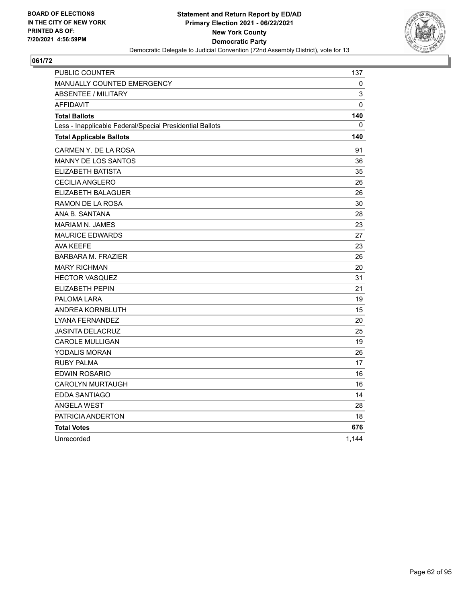

| PUBLIC COUNTER                                           | 137      |
|----------------------------------------------------------|----------|
| MANUALLY COUNTED EMERGENCY                               | 0        |
| <b>ABSENTEE / MILITARY</b>                               | 3        |
| <b>AFFIDAVIT</b>                                         | $\Omega$ |
| <b>Total Ballots</b>                                     | 140      |
| Less - Inapplicable Federal/Special Presidential Ballots | 0        |
| <b>Total Applicable Ballots</b>                          | 140      |
| CARMEN Y. DE LA ROSA                                     | 91       |
| MANNY DE LOS SANTOS                                      | 36       |
| <b>ELIZABETH BATISTA</b>                                 | 35       |
| <b>CECILIA ANGLERO</b>                                   | 26       |
| ELIZABETH BALAGUER                                       | 26       |
| RAMON DE LA ROSA                                         | 30       |
| ANA B. SANTANA                                           | 28       |
| <b>MARIAM N. JAMES</b>                                   | 23       |
| <b>MAURICE EDWARDS</b>                                   | 27       |
| <b>AVA KEEFE</b>                                         | 23       |
| <b>BARBARA M. FRAZIER</b>                                | 26       |
| <b>MARY RICHMAN</b>                                      | 20       |
| <b>HECTOR VASQUEZ</b>                                    | 31       |
| <b>ELIZABETH PEPIN</b>                                   | 21       |
| PALOMA LARA                                              | 19       |
| ANDREA KORNBLUTH                                         | 15       |
| <b>LYANA FERNANDEZ</b>                                   | 20       |
| <b>JASINTA DELACRUZ</b>                                  | 25       |
| <b>CAROLE MULLIGAN</b>                                   | 19       |
| YODALIS MORAN                                            | 26       |
| <b>RUBY PALMA</b>                                        | 17       |
| <b>EDWIN ROSARIO</b>                                     | 16       |
| <b>CAROLYN MURTAUGH</b>                                  | 16       |
| EDDA SANTIAGO                                            | 14       |
| <b>ANGELA WEST</b>                                       | 28       |
| PATRICIA ANDERTON                                        | 18       |
| <b>Total Votes</b>                                       | 676      |
| Unrecorded                                               | 1,144    |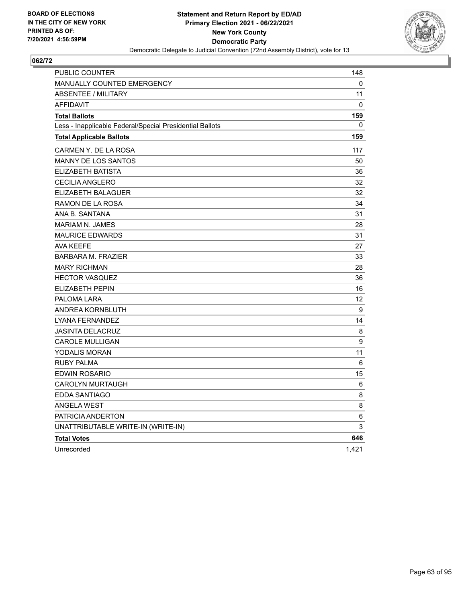

| PUBLIC COUNTER                                           | 148   |
|----------------------------------------------------------|-------|
| MANUALLY COUNTED EMERGENCY                               | 0     |
| <b>ABSENTEE / MILITARY</b>                               | 11    |
| <b>AFFIDAVIT</b>                                         | 0     |
| <b>Total Ballots</b>                                     | 159   |
| Less - Inapplicable Federal/Special Presidential Ballots | 0     |
| <b>Total Applicable Ballots</b>                          | 159   |
| CARMEN Y. DE LA ROSA                                     | 117   |
| <b>MANNY DE LOS SANTOS</b>                               | 50    |
| ELIZABETH BATISTA                                        | 36    |
| CECILIA ANGLERO                                          | 32    |
| ELIZABETH BALAGUER                                       | 32    |
| RAMON DE LA ROSA                                         | 34    |
| ANA B. SANTANA                                           | 31    |
| MARIAM N. JAMES                                          | 28    |
| <b>MAURICE EDWARDS</b>                                   | 31    |
| <b>AVA KEEFE</b>                                         | 27    |
| <b>BARBARA M. FRAZIER</b>                                | 33    |
| <b>MARY RICHMAN</b>                                      | 28    |
| <b>HECTOR VASQUEZ</b>                                    | 36    |
| <b>ELIZABETH PEPIN</b>                                   | 16    |
| PALOMA LARA                                              | 12    |
| ANDREA KORNBLUTH                                         | 9     |
| LYANA FERNANDEZ                                          | 14    |
| <b>JASINTA DELACRUZ</b>                                  | 8     |
| <b>CAROLE MULLIGAN</b>                                   | 9     |
| YODALIS MORAN                                            | 11    |
| <b>RUBY PALMA</b>                                        | 6     |
| EDWIN ROSARIO                                            | 15    |
| <b>CAROLYN MURTAUGH</b>                                  | 6     |
| <b>EDDA SANTIAGO</b>                                     | 8     |
| <b>ANGELA WEST</b>                                       | 8     |
| PATRICIA ANDERTON                                        | 6     |
| UNATTRIBUTABLE WRITE-IN (WRITE-IN)                       | 3     |
| <b>Total Votes</b>                                       | 646   |
| Unrecorded                                               | 1,421 |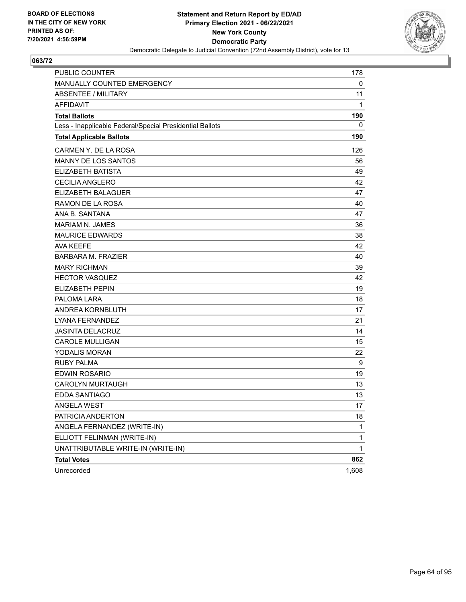

| <b>PUBLIC COUNTER</b>                                    | 178   |
|----------------------------------------------------------|-------|
| MANUALLY COUNTED EMERGENCY                               | 0     |
| <b>ABSENTEE / MILITARY</b>                               | 11    |
| <b>AFFIDAVIT</b>                                         | 1     |
| <b>Total Ballots</b>                                     | 190   |
| Less - Inapplicable Federal/Special Presidential Ballots | 0     |
| <b>Total Applicable Ballots</b>                          | 190   |
| CARMEN Y. DE LA ROSA                                     | 126   |
| <b>MANNY DE LOS SANTOS</b>                               | 56    |
| <b>ELIZABETH BATISTA</b>                                 | 49    |
| <b>CECILIA ANGLERO</b>                                   | 42    |
| ELIZABETH BALAGUER                                       | 47    |
| RAMON DE LA ROSA                                         | 40    |
| ANA B. SANTANA                                           | 47    |
| <b>MARIAM N. JAMES</b>                                   | 36    |
| <b>MAURICE EDWARDS</b>                                   | 38    |
| <b>AVA KEEFE</b>                                         | 42    |
| <b>BARBARA M. FRAZIER</b>                                | 40    |
| <b>MARY RICHMAN</b>                                      | 39    |
| <b>HECTOR VASQUEZ</b>                                    | 42    |
| <b>ELIZABETH PEPIN</b>                                   | 19    |
| PALOMA LARA                                              | 18    |
| ANDREA KORNBLUTH                                         | 17    |
| LYANA FERNANDEZ                                          | 21    |
| <b>JASINTA DELACRUZ</b>                                  | 14    |
| <b>CAROLE MULLIGAN</b>                                   | 15    |
| <b>YODALIS MORAN</b>                                     | 22    |
| <b>RUBY PALMA</b>                                        | 9     |
| <b>EDWIN ROSARIO</b>                                     | 19    |
| <b>CAROLYN MURTAUGH</b>                                  | 13    |
| EDDA SANTIAGO                                            | 13    |
| ANGELA WEST                                              | 17    |
| PATRICIA ANDERTON                                        | 18    |
| ANGELA FERNANDEZ (WRITE-IN)                              | 1     |
| ELLIOTT FELINMAN (WRITE-IN)                              | 1     |
| UNATTRIBUTABLE WRITE-IN (WRITE-IN)                       | 1     |
| <b>Total Votes</b>                                       | 862   |
| Unrecorded                                               | 1,608 |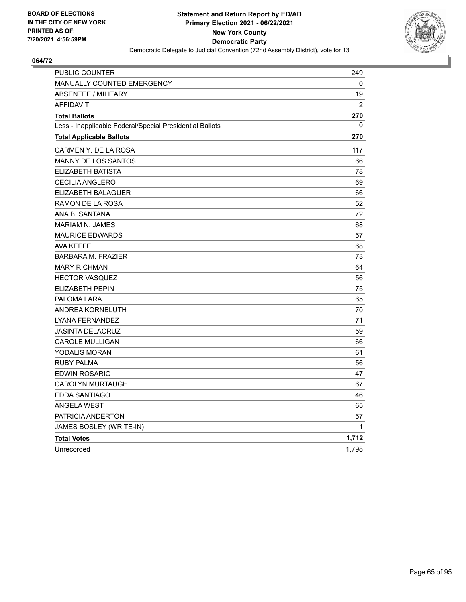

| PUBLIC COUNTER                                           | 249         |
|----------------------------------------------------------|-------------|
| <b>MANUALLY COUNTED EMERGENCY</b>                        | 0           |
| <b>ABSENTEE / MILITARY</b>                               | 19          |
| <b>AFFIDAVIT</b>                                         | 2           |
| <b>Total Ballots</b>                                     | 270         |
| Less - Inapplicable Federal/Special Presidential Ballots | 0           |
| <b>Total Applicable Ballots</b>                          | 270         |
| CARMEN Y. DE LA ROSA                                     | 117         |
| MANNY DE LOS SANTOS                                      | 66          |
| ELIZABETH BATISTA                                        | 78          |
| <b>CECILIA ANGLERO</b>                                   | 69          |
| ELIZABETH BALAGUER                                       | 66          |
| RAMON DE LA ROSA                                         | 52          |
| ANA B. SANTANA                                           | 72          |
| <b>MARIAM N. JAMES</b>                                   | 68          |
| <b>MAURICE EDWARDS</b>                                   | 57          |
| <b>AVA KEEFE</b>                                         | 68          |
| <b>BARBARA M. FRAZIER</b>                                | 73          |
| <b>MARY RICHMAN</b>                                      | 64          |
| <b>HECTOR VASQUEZ</b>                                    | 56          |
| ELIZABETH PEPIN                                          | 75          |
| PALOMA LARA                                              | 65          |
| ANDREA KORNBLUTH                                         | 70          |
| LYANA FERNANDEZ                                          | 71          |
| <b>JASINTA DELACRUZ</b>                                  | 59          |
| <b>CAROLE MULLIGAN</b>                                   | 66          |
| YODALIS MORAN                                            | 61          |
| <b>RUBY PALMA</b>                                        | 56          |
| <b>EDWIN ROSARIO</b>                                     | 47          |
| <b>CAROLYN MURTAUGH</b>                                  | 67          |
| EDDA SANTIAGO                                            | 46          |
| <b>ANGELA WEST</b>                                       | 65          |
| PATRICIA ANDERTON                                        | 57          |
| JAMES BOSLEY (WRITE-IN)                                  | $\mathbf 1$ |
| <b>Total Votes</b>                                       | 1,712       |
| Unrecorded                                               | 1,798       |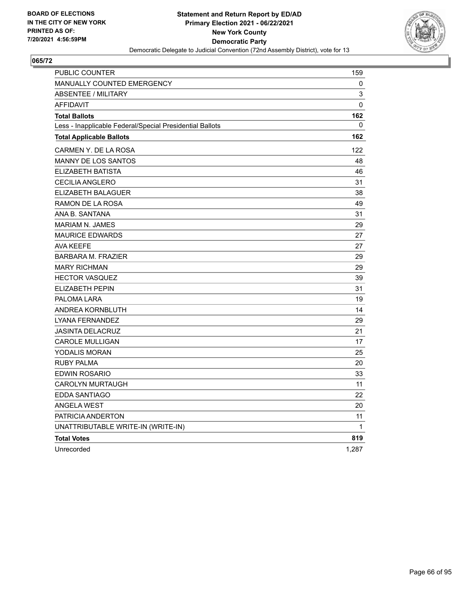

| PUBLIC COUNTER                                           | 159   |
|----------------------------------------------------------|-------|
| <b>MANUALLY COUNTED EMERGENCY</b>                        | 0     |
| <b>ABSENTEE / MILITARY</b>                               | 3     |
| <b>AFFIDAVIT</b>                                         | 0     |
| <b>Total Ballots</b>                                     | 162   |
| Less - Inapplicable Federal/Special Presidential Ballots | 0     |
| <b>Total Applicable Ballots</b>                          | 162   |
| CARMEN Y. DE LA ROSA                                     | 122   |
| <b>MANNY DE LOS SANTOS</b>                               | 48    |
| ELIZABETH BATISTA                                        | 46    |
| <b>CECILIA ANGLERO</b>                                   | 31    |
| <b>ELIZABETH BALAGUER</b>                                | 38    |
| RAMON DE LA ROSA                                         | 49    |
| ANA B. SANTANA                                           | 31    |
| <b>MARIAM N. JAMES</b>                                   | 29    |
| <b>MAURICE EDWARDS</b>                                   | 27    |
| <b>AVA KEEFE</b>                                         | 27    |
| <b>BARBARA M. FRAZIER</b>                                | 29    |
| <b>MARY RICHMAN</b>                                      | 29    |
| <b>HECTOR VASQUEZ</b>                                    | 39    |
| ELIZABETH PEPIN                                          | 31    |
| PALOMA LARA                                              | 19    |
| ANDREA KORNBLUTH                                         | 14    |
| LYANA FERNANDEZ                                          | 29    |
| <b>JASINTA DELACRUZ</b>                                  | 21    |
| <b>CAROLE MULLIGAN</b>                                   | 17    |
| <b>YODALIS MORAN</b>                                     | 25    |
| RUBY PALMA                                               | 20    |
| EDWIN ROSARIO                                            | 33    |
| <b>CAROLYN MURTAUGH</b>                                  | 11    |
| EDDA SANTIAGO                                            | 22    |
| <b>ANGELA WEST</b>                                       | 20    |
| PATRICIA ANDERTON                                        | 11    |
| UNATTRIBUTABLE WRITE-IN (WRITE-IN)                       | 1     |
| <b>Total Votes</b>                                       | 819   |
| Unrecorded                                               | 1,287 |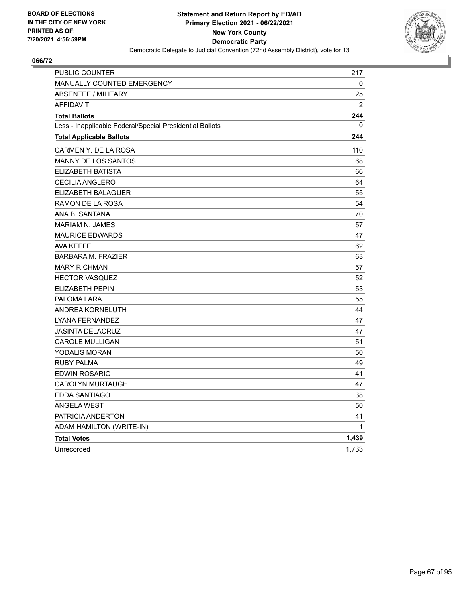

| PUBLIC COUNTER                                           | 217          |
|----------------------------------------------------------|--------------|
| <b>MANUALLY COUNTED EMERGENCY</b>                        | 0            |
| ABSENTEE / MILITARY                                      | 25           |
| <b>AFFIDAVIT</b>                                         | 2            |
| <b>Total Ballots</b>                                     | 244          |
| Less - Inapplicable Federal/Special Presidential Ballots | $\Omega$     |
| <b>Total Applicable Ballots</b>                          | 244          |
| CARMEN Y. DE LA ROSA                                     | 110          |
| MANNY DE LOS SANTOS                                      | 68           |
| ELIZABETH BATISTA                                        | 66           |
| CECILIA ANGLERO                                          | 64           |
| ELIZABETH BALAGUER                                       | 55           |
| RAMON DE LA ROSA                                         | 54           |
| ANA B. SANTANA                                           | 70           |
| <b>MARIAM N. JAMES</b>                                   | 57           |
| <b>MAURICE EDWARDS</b>                                   | 47           |
| <b>AVA KEEFE</b>                                         | 62           |
| <b>BARBARA M. FRAZIER</b>                                | 63           |
| <b>MARY RICHMAN</b>                                      | 57           |
| <b>HECTOR VASQUEZ</b>                                    | 52           |
| <b>ELIZABETH PEPIN</b>                                   | 53           |
| PALOMA LARA                                              | 55           |
| ANDREA KORNBLUTH                                         | 44           |
| LYANA FERNANDEZ                                          | 47           |
| <b>JASINTA DELACRUZ</b>                                  | 47           |
| <b>CAROLE MULLIGAN</b>                                   | 51           |
| <b>YODALIS MORAN</b>                                     | 50           |
| <b>RUBY PALMA</b>                                        | 49           |
| EDWIN ROSARIO                                            | 41           |
| <b>CAROLYN MURTAUGH</b>                                  | 47           |
| EDDA SANTIAGO                                            | 38           |
| <b>ANGELA WEST</b>                                       | 50           |
| PATRICIA ANDERTON                                        | 41           |
| ADAM HAMILTON (WRITE-IN)                                 | $\mathbf{1}$ |
| <b>Total Votes</b>                                       | 1,439        |
| Unrecorded                                               | 1,733        |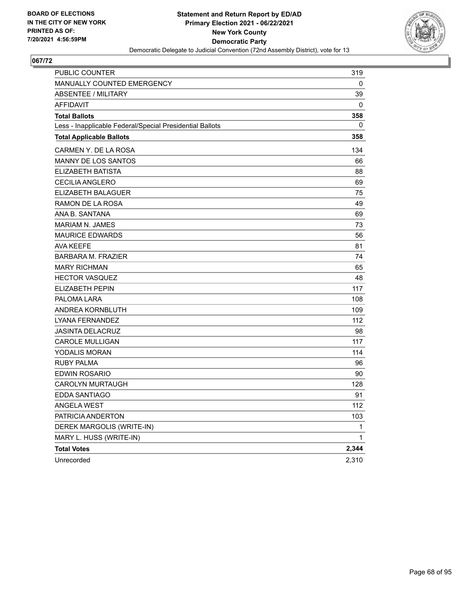

| PUBLIC COUNTER                                           | 319         |
|----------------------------------------------------------|-------------|
| <b>MANUALLY COUNTED EMERGENCY</b>                        | 0           |
| <b>ABSENTEE / MILITARY</b>                               | 39          |
| <b>AFFIDAVIT</b>                                         | 0           |
| <b>Total Ballots</b>                                     | 358         |
| Less - Inapplicable Federal/Special Presidential Ballots | 0           |
| <b>Total Applicable Ballots</b>                          | 358         |
| CARMEN Y. DE LA ROSA                                     | 134         |
| <b>MANNY DE LOS SANTOS</b>                               | 66          |
| ELIZABETH BATISTA                                        | 88          |
| <b>CECILIA ANGLERO</b>                                   | 69          |
| <b>ELIZABETH BALAGUER</b>                                | 75          |
| RAMON DE LA ROSA                                         | 49          |
| ANA B. SANTANA                                           | 69          |
| <b>MARIAM N. JAMES</b>                                   | 73          |
| <b>MAURICE EDWARDS</b>                                   | 56          |
| AVA KEEFE                                                | 81          |
| <b>BARBARA M. FRAZIER</b>                                | 74          |
| <b>MARY RICHMAN</b>                                      | 65          |
| <b>HECTOR VASQUEZ</b>                                    | 48          |
| ELIZABETH PEPIN                                          | 117         |
| PALOMA LARA                                              | 108         |
| ANDREA KORNBLUTH                                         | 109         |
| LYANA FERNANDEZ                                          | 112         |
| <b>JASINTA DELACRUZ</b>                                  | 98          |
| <b>CAROLE MULLIGAN</b>                                   | 117         |
| YODALIS MORAN                                            | 114         |
| <b>RUBY PALMA</b>                                        | 96          |
| <b>EDWIN ROSARIO</b>                                     | 90          |
| <b>CAROLYN MURTAUGH</b>                                  | 128         |
| EDDA SANTIAGO                                            | 91          |
| <b>ANGELA WEST</b>                                       | 112         |
| PATRICIA ANDERTON                                        | 103         |
| DEREK MARGOLIS (WRITE-IN)                                | 1           |
| MARY L. HUSS (WRITE-IN)                                  | $\mathbf 1$ |
| <b>Total Votes</b>                                       | 2,344       |
| Unrecorded                                               | 2,310       |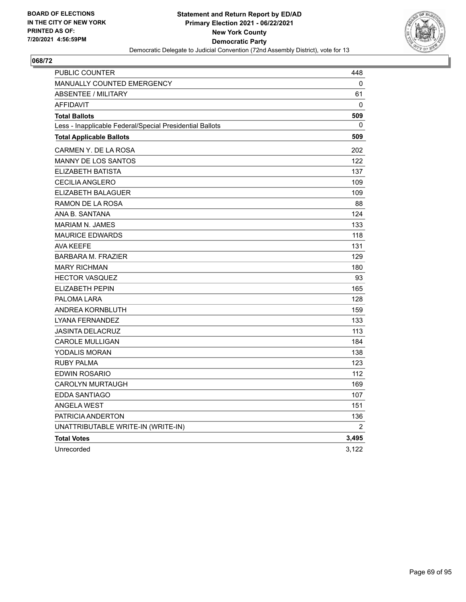

| PUBLIC COUNTER                                           | 448            |
|----------------------------------------------------------|----------------|
| MANUALLY COUNTED EMERGENCY                               | 0              |
| ABSENTEE / MILITARY                                      | 61             |
| <b>AFFIDAVIT</b>                                         | 0              |
| <b>Total Ballots</b>                                     | 509            |
| Less - Inapplicable Federal/Special Presidential Ballots | 0              |
| <b>Total Applicable Ballots</b>                          | 509            |
| CARMEN Y. DE LA ROSA                                     | 202            |
| <b>MANNY DE LOS SANTOS</b>                               | 122            |
| ELIZABETH BATISTA                                        | 137            |
| <b>CECILIA ANGLERO</b>                                   | 109            |
| ELIZABETH BALAGUER                                       | 109            |
| RAMON DE LA ROSA                                         | 88             |
| ANA B. SANTANA                                           | 124            |
| <b>MARIAM N. JAMES</b>                                   | 133            |
| <b>MAURICE EDWARDS</b>                                   | 118            |
| <b>AVA KEEFE</b>                                         | 131            |
| <b>BARBARA M. FRAZIER</b>                                | 129            |
| <b>MARY RICHMAN</b>                                      | 180            |
| <b>HECTOR VASQUEZ</b>                                    | 93             |
| ELIZABETH PEPIN                                          | 165            |
| PALOMA LARA                                              | 128            |
| ANDREA KORNBLUTH                                         | 159            |
| LYANA FERNANDEZ                                          | 133            |
| <b>JASINTA DELACRUZ</b>                                  | 113            |
| <b>CAROLE MULLIGAN</b>                                   | 184            |
| YODALIS MORAN                                            | 138            |
| <b>RUBY PALMA</b>                                        | 123            |
| <b>EDWIN ROSARIO</b>                                     | 112            |
| <b>CAROLYN MURTAUGH</b>                                  | 169            |
| EDDA SANTIAGO                                            | 107            |
| <b>ANGELA WEST</b>                                       | 151            |
| PATRICIA ANDERTON                                        | 136            |
| UNATTRIBUTABLE WRITE-IN (WRITE-IN)                       | $\overline{2}$ |
| <b>Total Votes</b>                                       | 3,495          |
| Unrecorded                                               | 3,122          |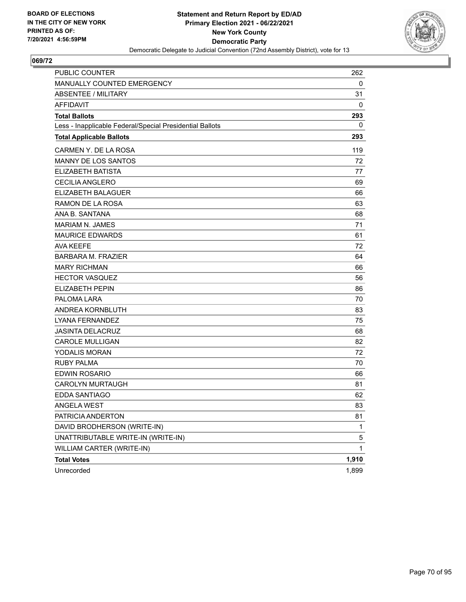

| <b>PUBLIC COUNTER</b>                                    | 262          |
|----------------------------------------------------------|--------------|
| MANUALLY COUNTED EMERGENCY                               | 0            |
| <b>ABSENTEE / MILITARY</b>                               | 31           |
| <b>AFFIDAVIT</b>                                         | 0            |
| <b>Total Ballots</b>                                     | 293          |
| Less - Inapplicable Federal/Special Presidential Ballots | 0            |
| <b>Total Applicable Ballots</b>                          | 293          |
| CARMEN Y. DE LA ROSA                                     | 119          |
| <b>MANNY DE LOS SANTOS</b>                               | 72           |
| <b>ELIZABETH BATISTA</b>                                 | 77           |
| <b>CECILIA ANGLERO</b>                                   | 69           |
| <b>ELIZABETH BALAGUER</b>                                | 66           |
| RAMON DE LA ROSA                                         | 63           |
| ANA B. SANTANA                                           | 68           |
| <b>MARIAM N. JAMES</b>                                   | 71           |
| <b>MAURICE EDWARDS</b>                                   | 61           |
| <b>AVA KEEFE</b>                                         | 72           |
| <b>BARBARA M. FRAZIER</b>                                | 64           |
| <b>MARY RICHMAN</b>                                      | 66           |
| <b>HECTOR VASQUEZ</b>                                    | 56           |
| <b>ELIZABETH PEPIN</b>                                   | 86           |
| PALOMA LARA                                              | 70           |
| ANDREA KORNBLUTH                                         | 83           |
| <b>LYANA FERNANDEZ</b>                                   | 75           |
| <b>JASINTA DELACRUZ</b>                                  | 68           |
| <b>CAROLE MULLIGAN</b>                                   | 82           |
| <b>YODALIS MORAN</b>                                     | 72           |
| <b>RUBY PALMA</b>                                        | 70           |
| <b>EDWIN ROSARIO</b>                                     | 66           |
| <b>CAROLYN MURTAUGH</b>                                  | 81           |
| <b>EDDA SANTIAGO</b>                                     | 62           |
| ANGELA WEST                                              | 83           |
| PATRICIA ANDERTON                                        | 81           |
| DAVID BRODHERSON (WRITE-IN)                              | 1            |
| UNATTRIBUTABLE WRITE-IN (WRITE-IN)                       | 5            |
| WILLIAM CARTER (WRITE-IN)                                | $\mathbf{1}$ |
| <b>Total Votes</b>                                       | 1,910        |
| Unrecorded                                               | 1,899        |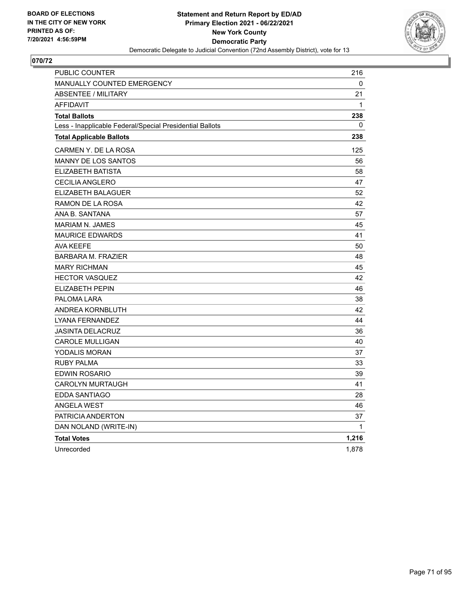

| PUBLIC COUNTER                                           | 216   |
|----------------------------------------------------------|-------|
| MANUALLY COUNTED EMERGENCY                               | 0     |
| <b>ABSENTEE / MILITARY</b>                               | 21    |
| <b>AFFIDAVIT</b>                                         | 1     |
| <b>Total Ballots</b>                                     | 238   |
| Less - Inapplicable Federal/Special Presidential Ballots | 0     |
| <b>Total Applicable Ballots</b>                          | 238   |
| CARMEN Y. DE LA ROSA                                     | 125   |
| <b>MANNY DE LOS SANTOS</b>                               | 56    |
| ELIZABETH BATISTA                                        | 58    |
| CECILIA ANGLERO                                          | 47    |
| ELIZABETH BALAGUER                                       | 52    |
| RAMON DE LA ROSA                                         | 42    |
| ANA B. SANTANA                                           | 57    |
| MARIAM N. JAMES                                          | 45    |
| <b>MAURICE EDWARDS</b>                                   | 41    |
| <b>AVA KEEFE</b>                                         | 50    |
| <b>BARBARA M. FRAZIER</b>                                | 48    |
| <b>MARY RICHMAN</b>                                      | 45    |
| <b>HECTOR VASQUEZ</b>                                    | 42    |
| <b>ELIZABETH PEPIN</b>                                   | 46    |
| PALOMA LARA                                              | 38    |
| ANDREA KORNBLUTH                                         | 42    |
| LYANA FERNANDEZ                                          | 44    |
| <b>JASINTA DELACRUZ</b>                                  | 36    |
| <b>CAROLE MULLIGAN</b>                                   | 40    |
| YODALIS MORAN                                            | 37    |
| <b>RUBY PALMA</b>                                        | 33    |
| EDWIN ROSARIO                                            | 39    |
| <b>CAROLYN MURTAUGH</b>                                  | 41    |
| <b>EDDA SANTIAGO</b>                                     | 28    |
| <b>ANGELA WEST</b>                                       | 46    |
| PATRICIA ANDERTON                                        | 37    |
| DAN NOLAND (WRITE-IN)                                    | 1     |
| <b>Total Votes</b>                                       | 1,216 |
| Unrecorded                                               | 1,878 |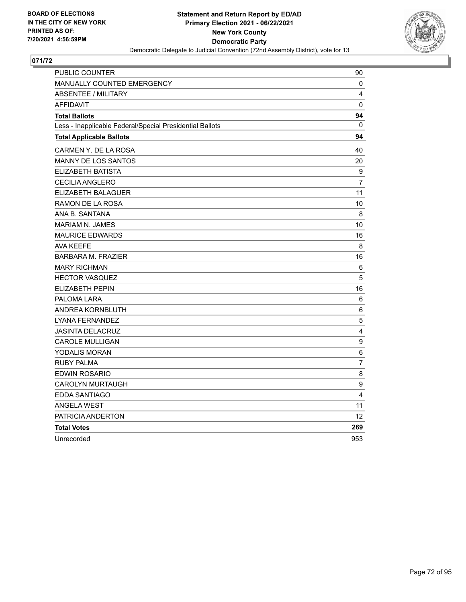

| PUBLIC COUNTER                                           | 90               |
|----------------------------------------------------------|------------------|
| MANUALLY COUNTED EMERGENCY                               | 0                |
| <b>ABSENTEE / MILITARY</b>                               | 4                |
| <b>AFFIDAVIT</b>                                         | 0                |
| <b>Total Ballots</b>                                     | 94               |
| Less - Inapplicable Federal/Special Presidential Ballots | $\mathbf{0}$     |
| <b>Total Applicable Ballots</b>                          | 94               |
| CARMEN Y. DE LA ROSA                                     | 40               |
| <b>MANNY DE LOS SANTOS</b>                               | 20               |
| ELIZABETH BATISTA                                        | $\boldsymbol{9}$ |
| <b>CECILIA ANGLERO</b>                                   | 7                |
| ELIZABETH BALAGUER                                       | 11               |
| RAMON DE LA ROSA                                         | 10               |
| ANA B. SANTANA                                           | 8                |
| <b>MARIAM N. JAMES</b>                                   | 10               |
| <b>MAURICE EDWARDS</b>                                   | 16               |
| AVA KEEFE                                                | 8                |
| <b>BARBARA M. FRAZIER</b>                                | 16               |
| <b>MARY RICHMAN</b>                                      | 6                |
| <b>HECTOR VASQUEZ</b>                                    | 5                |
| <b>ELIZABETH PEPIN</b>                                   | 16               |
| PALOMA LARA                                              | 6                |
| ANDREA KORNBLUTH                                         | 6                |
| LYANA FERNANDEZ                                          | $\mathbf 5$      |
| <b>JASINTA DELACRUZ</b>                                  | 4                |
| <b>CAROLE MULLIGAN</b>                                   | 9                |
| YODALIS MORAN                                            | 6                |
| <b>RUBY PALMA</b>                                        | $\overline{7}$   |
| <b>EDWIN ROSARIO</b>                                     | 8                |
| <b>CAROLYN MURTAUGH</b>                                  | $\boldsymbol{9}$ |
| <b>EDDA SANTIAGO</b>                                     | 4                |
| <b>ANGELA WEST</b>                                       | 11               |
| PATRICIA ANDERTON                                        | 12               |
| <b>Total Votes</b>                                       | 269              |
| Unrecorded                                               | 953              |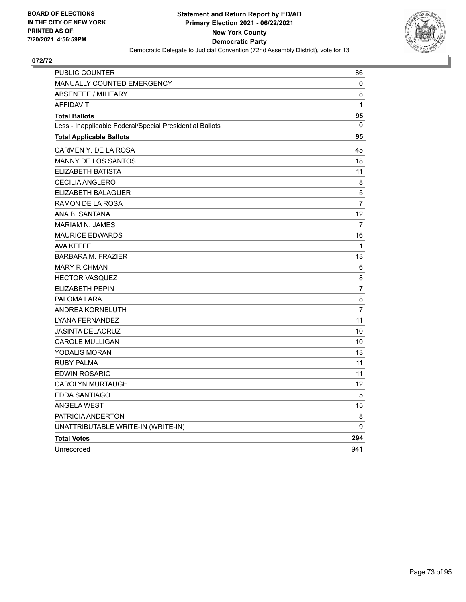

| PUBLIC COUNTER                                           | 86             |
|----------------------------------------------------------|----------------|
| <b>MANUALLY COUNTED EMERGENCY</b>                        | 0              |
| <b>ABSENTEE / MILITARY</b>                               | 8              |
| <b>AFFIDAVIT</b>                                         | 1              |
| <b>Total Ballots</b>                                     | 95             |
| Less - Inapplicable Federal/Special Presidential Ballots | 0              |
| <b>Total Applicable Ballots</b>                          | 95             |
| CARMEN Y. DE LA ROSA                                     | 45             |
| MANNY DE LOS SANTOS                                      | 18             |
| ELIZABETH BATISTA                                        | 11             |
| <b>CECILIA ANGLERO</b>                                   | 8              |
| ELIZABETH BALAGUER                                       | $\sqrt{5}$     |
| RAMON DE LA ROSA                                         | $\overline{7}$ |
| ANA B. SANTANA                                           | 12             |
| <b>MARIAM N. JAMES</b>                                   | $\overline{7}$ |
| <b>MAURICE EDWARDS</b>                                   | 16             |
| <b>AVA KEEFE</b>                                         | $\mathbf{1}$   |
| <b>BARBARA M. FRAZIER</b>                                | 13             |
| <b>MARY RICHMAN</b>                                      | 6              |
| <b>HECTOR VASQUEZ</b>                                    | 8              |
| <b>ELIZABETH PEPIN</b>                                   | $\overline{7}$ |
| PALOMA LARA                                              | 8              |
| ANDREA KORNBLUTH                                         | $\overline{7}$ |
| <b>LYANA FERNANDEZ</b>                                   | 11             |
| <b>JASINTA DELACRUZ</b>                                  | 10             |
| CAROLE MULLIGAN                                          | 10             |
| YODALIS MORAN                                            | 13             |
| <b>RUBY PALMA</b>                                        | 11             |
| <b>EDWIN ROSARIO</b>                                     | 11             |
| <b>CAROLYN MURTAUGH</b>                                  | 12             |
| EDDA SANTIAGO                                            | 5              |
| <b>ANGELA WEST</b>                                       | 15             |
| PATRICIA ANDERTON                                        | 8              |
| UNATTRIBUTABLE WRITE-IN (WRITE-IN)                       | 9              |
| <b>Total Votes</b>                                       | 294            |
| Unrecorded                                               | 941            |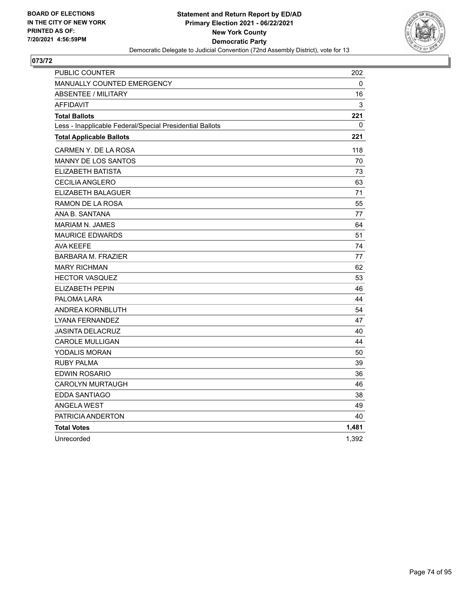

| PUBLIC COUNTER                                           | 202   |
|----------------------------------------------------------|-------|
| <b>MANUALLY COUNTED EMERGENCY</b>                        | 0     |
| <b>ABSENTEE / MILITARY</b>                               | 16    |
| <b>AFFIDAVIT</b>                                         | 3     |
| <b>Total Ballots</b>                                     | 221   |
| Less - Inapplicable Federal/Special Presidential Ballots | 0     |
| <b>Total Applicable Ballots</b>                          | 221   |
| CARMEN Y. DE LA ROSA                                     | 118   |
| <b>MANNY DE LOS SANTOS</b>                               | 70    |
| ELIZABETH BATISTA                                        | 73    |
| <b>CECILIA ANGLERO</b>                                   | 63    |
| ELIZABETH BALAGUER                                       | 71    |
| RAMON DE LA ROSA                                         | 55    |
| ANA B. SANTANA                                           | 77    |
| <b>MARIAM N. JAMES</b>                                   | 64    |
| <b>MAURICE EDWARDS</b>                                   | 51    |
| <b>AVA KEEFE</b>                                         | 74    |
| <b>BARBARA M. FRAZIER</b>                                | 77    |
| <b>MARY RICHMAN</b>                                      | 62    |
| <b>HECTOR VASQUEZ</b>                                    | 53    |
| ELIZABETH PEPIN                                          | 46    |
| PALOMA LARA                                              | 44    |
| ANDREA KORNBLUTH                                         | 54    |
| <b>LYANA FERNANDEZ</b>                                   | 47    |
| <b>JASINTA DELACRUZ</b>                                  | 40    |
| <b>CAROLE MULLIGAN</b>                                   | 44    |
| YODALIS MORAN                                            | 50    |
| <b>RUBY PALMA</b>                                        | 39    |
| <b>EDWIN ROSARIO</b>                                     | 36    |
| <b>CAROLYN MURTAUGH</b>                                  | 46    |
| <b>EDDA SANTIAGO</b>                                     | 38    |
| <b>ANGELA WEST</b>                                       | 49    |
| PATRICIA ANDERTON                                        | 40    |
| <b>Total Votes</b>                                       | 1,481 |
| Unrecorded                                               | 1,392 |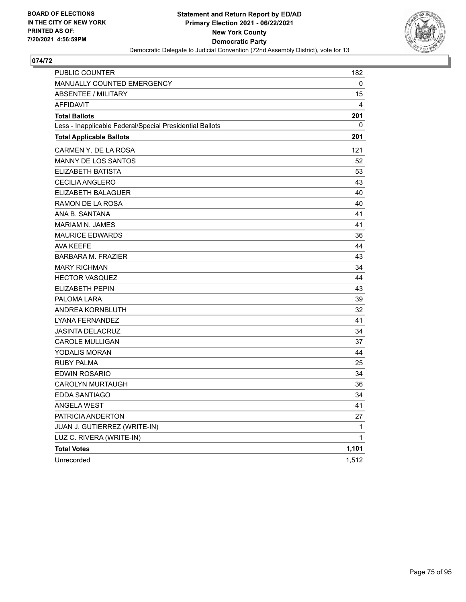

| PUBLIC COUNTER                                           | 182   |
|----------------------------------------------------------|-------|
| <b>MANUALLY COUNTED EMERGENCY</b>                        | 0     |
| <b>ABSENTEE / MILITARY</b>                               | 15    |
| <b>AFFIDAVIT</b>                                         | 4     |
| <b>Total Ballots</b>                                     | 201   |
| Less - Inapplicable Federal/Special Presidential Ballots | 0     |
| <b>Total Applicable Ballots</b>                          | 201   |
| CARMEN Y. DE LA ROSA                                     | 121   |
| MANNY DE LOS SANTOS                                      | 52    |
| ELIZABETH BATISTA                                        | 53    |
| <b>CECILIA ANGLERO</b>                                   | 43    |
| ELIZABETH BALAGUER                                       | 40    |
| RAMON DE LA ROSA                                         | 40    |
| ANA B. SANTANA                                           | 41    |
| <b>MARIAM N. JAMES</b>                                   | 41    |
| <b>MAURICE EDWARDS</b>                                   | 36    |
| <b>AVA KEEFE</b>                                         | 44    |
| <b>BARBARA M. FRAZIER</b>                                | 43    |
| <b>MARY RICHMAN</b>                                      | 34    |
| <b>HECTOR VASQUEZ</b>                                    | 44    |
| <b>ELIZABETH PEPIN</b>                                   | 43    |
| PALOMA LARA                                              | 39    |
| ANDREA KORNBLUTH                                         | 32    |
| LYANA FERNANDEZ                                          | 41    |
| <b>JASINTA DELACRUZ</b>                                  | 34    |
| <b>CAROLE MULLIGAN</b>                                   | 37    |
| YODALIS MORAN                                            | 44    |
| <b>RUBY PALMA</b>                                        | 25    |
| EDWIN ROSARIO                                            | 34    |
| <b>CAROLYN MURTAUGH</b>                                  | 36    |
| EDDA SANTIAGO                                            | 34    |
| <b>ANGELA WEST</b>                                       | 41    |
| PATRICIA ANDERTON                                        | 27    |
| JUAN J. GUTIERREZ (WRITE-IN)                             | 1     |
| LUZ C. RIVERA (WRITE-IN)                                 | 1     |
| <b>Total Votes</b>                                       | 1,101 |
| Unrecorded                                               | 1,512 |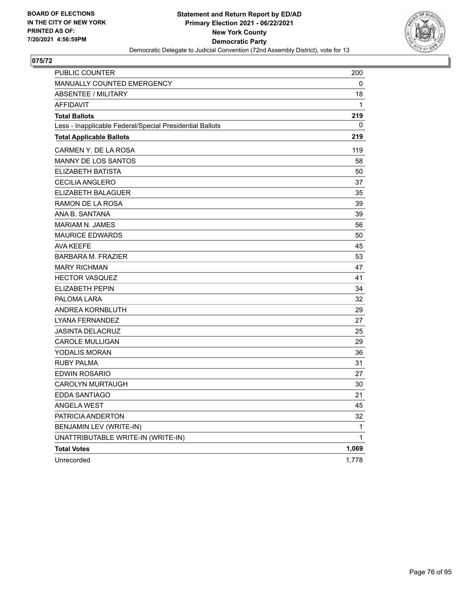

| PUBLIC COUNTER                                           | 200   |
|----------------------------------------------------------|-------|
| <b>MANUALLY COUNTED EMERGENCY</b>                        | 0     |
| <b>ABSENTEE / MILITARY</b>                               | 18    |
| <b>AFFIDAVIT</b>                                         | 1     |
| <b>Total Ballots</b>                                     | 219   |
| Less - Inapplicable Federal/Special Presidential Ballots | 0     |
| <b>Total Applicable Ballots</b>                          | 219   |
| CARMEN Y. DE LA ROSA                                     | 119   |
| <b>MANNY DE LOS SANTOS</b>                               | 58    |
| ELIZABETH BATISTA                                        | 50    |
| CECILIA ANGLERO                                          | 37    |
| ELIZABETH BALAGUER                                       | 35    |
| RAMON DE LA ROSA                                         | 39    |
| ANA B. SANTANA                                           | 39    |
| <b>MARIAM N. JAMES</b>                                   | 56    |
| <b>MAURICE EDWARDS</b>                                   | 50    |
| AVA KEEFE                                                | 45    |
| <b>BARBARA M. FRAZIER</b>                                | 53    |
| <b>MARY RICHMAN</b>                                      | 47    |
| <b>HECTOR VASQUEZ</b>                                    | 41    |
| ELIZABETH PEPIN                                          | 34    |
| PALOMA LARA                                              | 32    |
| ANDREA KORNBLUTH                                         | 29    |
| LYANA FERNANDEZ                                          | 27    |
| <b>JASINTA DELACRUZ</b>                                  | 25    |
| <b>CAROLE MULLIGAN</b>                                   | 29    |
| YODALIS MORAN                                            | 36    |
| <b>RUBY PALMA</b>                                        | 31    |
| <b>EDWIN ROSARIO</b>                                     | 27    |
| <b>CAROLYN MURTAUGH</b>                                  | 30    |
| EDDA SANTIAGO                                            | 21    |
| <b>ANGELA WEST</b>                                       | 45    |
| PATRICIA ANDERTON                                        | 32    |
| BENJAMIN LEV (WRITE-IN)                                  | 1     |
| UNATTRIBUTABLE WRITE-IN (WRITE-IN)                       | 1     |
| <b>Total Votes</b>                                       | 1,069 |
| Unrecorded                                               | 1,778 |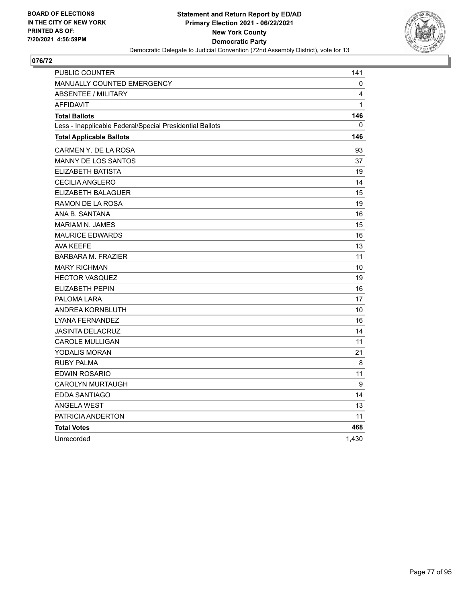

| PUBLIC COUNTER                                           | 141   |
|----------------------------------------------------------|-------|
| <b>MANUALLY COUNTED EMERGENCY</b>                        | 0     |
| <b>ABSENTEE / MILITARY</b>                               | 4     |
| <b>AFFIDAVIT</b>                                         | 1     |
| <b>Total Ballots</b>                                     | 146   |
| Less - Inapplicable Federal/Special Presidential Ballots | 0     |
| <b>Total Applicable Ballots</b>                          | 146   |
| CARMEN Y. DE LA ROSA                                     | 93    |
| <b>MANNY DE LOS SANTOS</b>                               | 37    |
| <b>ELIZABETH BATISTA</b>                                 | 19    |
| <b>CECILIA ANGLERO</b>                                   | 14    |
| ELIZABETH BALAGUER                                       | 15    |
| RAMON DE LA ROSA                                         | 19    |
| ANA B. SANTANA                                           | 16    |
| <b>MARIAM N. JAMES</b>                                   | 15    |
| <b>MAURICE EDWARDS</b>                                   | 16    |
| <b>AVA KEEFE</b>                                         | 13    |
| <b>BARBARA M. FRAZIER</b>                                | 11    |
| <b>MARY RICHMAN</b>                                      | 10    |
| <b>HECTOR VASQUEZ</b>                                    | 19    |
| <b>ELIZABETH PEPIN</b>                                   | 16    |
| PALOMA LARA                                              | 17    |
| ANDREA KORNBLUTH                                         | 10    |
| <b>LYANA FERNANDEZ</b>                                   | 16    |
| <b>JASINTA DELACRUZ</b>                                  | 14    |
| <b>CAROLE MULLIGAN</b>                                   | 11    |
| YODALIS MORAN                                            | 21    |
| <b>RUBY PALMA</b>                                        | 8     |
| <b>EDWIN ROSARIO</b>                                     | 11    |
| <b>CAROLYN MURTAUGH</b>                                  | 9     |
| EDDA SANTIAGO                                            | 14    |
| <b>ANGELA WEST</b>                                       | 13    |
| PATRICIA ANDERTON                                        | 11    |
| <b>Total Votes</b>                                       | 468   |
| Unrecorded                                               | 1,430 |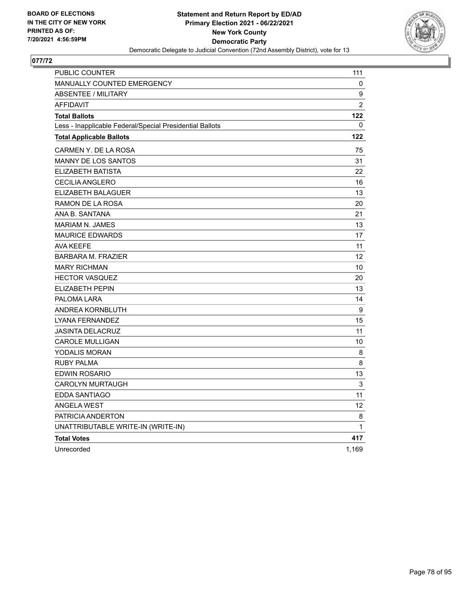

| PUBLIC COUNTER                                           | 111          |
|----------------------------------------------------------|--------------|
| MANUALLY COUNTED EMERGENCY                               | 0            |
| <b>ABSENTEE / MILITARY</b>                               | 9            |
| <b>AFFIDAVIT</b>                                         | 2            |
| <b>Total Ballots</b>                                     | 122          |
| Less - Inapplicable Federal/Special Presidential Ballots | 0            |
| <b>Total Applicable Ballots</b>                          | 122          |
| CARMEN Y. DE LA ROSA                                     | 75           |
| <b>MANNY DE LOS SANTOS</b>                               | 31           |
| ELIZABETH BATISTA                                        | 22           |
| CECILIA ANGLERO                                          | 16           |
| ELIZABETH BALAGUER                                       | 13           |
| RAMON DE LA ROSA                                         | 20           |
| ANA B. SANTANA                                           | 21           |
| <b>MARIAM N. JAMES</b>                                   | 13           |
| <b>MAURICE EDWARDS</b>                                   | 17           |
| <b>AVA KEEFE</b>                                         | 11           |
| <b>BARBARA M. FRAZIER</b>                                | 12           |
| <b>MARY RICHMAN</b>                                      | 10           |
| <b>HECTOR VASQUEZ</b>                                    | 20           |
| <b>ELIZABETH PEPIN</b>                                   | 13           |
| PALOMA LARA                                              | 14           |
| ANDREA KORNBLUTH                                         | 9            |
| LYANA FERNANDEZ                                          | 15           |
| <b>JASINTA DELACRUZ</b>                                  | 11           |
| <b>CAROLE MULLIGAN</b>                                   | 10           |
| YODALIS MORAN                                            | 8            |
| <b>RUBY PALMA</b>                                        | 8            |
| EDWIN ROSARIO                                            | 13           |
| <b>CAROLYN MURTAUGH</b>                                  | 3            |
| EDDA SANTIAGO                                            | 11           |
| <b>ANGELA WEST</b>                                       | 12           |
| PATRICIA ANDERTON                                        | 8            |
| UNATTRIBUTABLE WRITE-IN (WRITE-IN)                       | $\mathbf{1}$ |
| <b>Total Votes</b>                                       | 417          |
| Unrecorded                                               | 1,169        |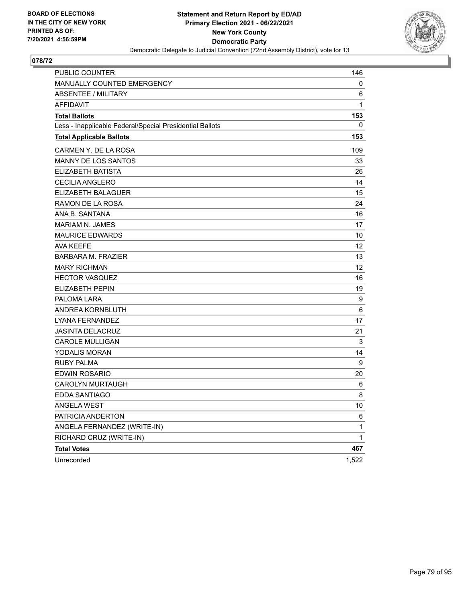

| PUBLIC COUNTER                                           | 146          |
|----------------------------------------------------------|--------------|
| MANUALLY COUNTED EMERGENCY                               | 0            |
| <b>ABSENTEE / MILITARY</b>                               | 6            |
| <b>AFFIDAVIT</b>                                         | $\mathbf{1}$ |
| <b>Total Ballots</b>                                     | 153          |
| Less - Inapplicable Federal/Special Presidential Ballots | 0            |
| <b>Total Applicable Ballots</b>                          | 153          |
| CARMEN Y. DE LA ROSA                                     | 109          |
| <b>MANNY DE LOS SANTOS</b>                               | 33           |
| ELIZABETH BATISTA                                        | 26           |
| <b>CECILIA ANGLERO</b>                                   | 14           |
| ELIZABETH BALAGUER                                       | 15           |
| RAMON DE LA ROSA                                         | 24           |
| ANA B. SANTANA                                           | 16           |
| MARIAM N. JAMES                                          | 17           |
| <b>MAURICE EDWARDS</b>                                   | 10           |
| AVA KEEFE                                                | 12           |
| <b>BARBARA M. FRAZIER</b>                                | 13           |
| <b>MARY RICHMAN</b>                                      | 12           |
| <b>HECTOR VASQUEZ</b>                                    | 16           |
| <b>ELIZABETH PEPIN</b>                                   | 19           |
| PALOMA LARA                                              | 9            |
| ANDREA KORNBLUTH                                         | 6            |
| LYANA FERNANDEZ                                          | 17           |
| <b>JASINTA DELACRUZ</b>                                  | 21           |
| <b>CAROLE MULLIGAN</b>                                   | 3            |
| YODALIS MORAN                                            | 14           |
| <b>RUBY PALMA</b>                                        | 9            |
| <b>EDWIN ROSARIO</b>                                     | 20           |
| <b>CAROLYN MURTAUGH</b>                                  | 6            |
| EDDA SANTIAGO                                            | 8            |
| <b>ANGELA WEST</b>                                       | 10           |
| PATRICIA ANDERTON                                        | 6            |
| ANGELA FERNANDEZ (WRITE-IN)                              | 1            |
| RICHARD CRUZ (WRITE-IN)                                  | $\mathbf 1$  |
| <b>Total Votes</b>                                       | 467          |
| Unrecorded                                               | 1,522        |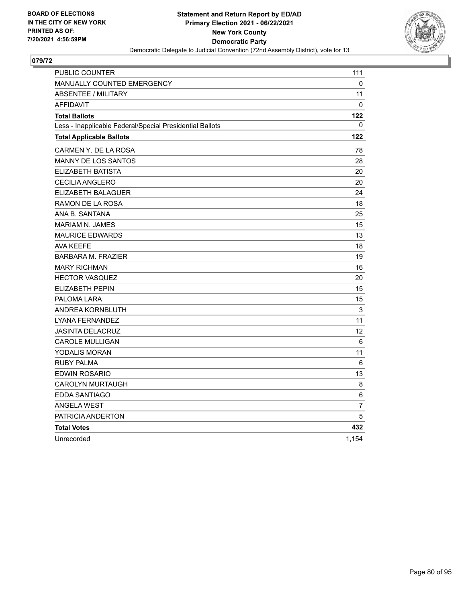

| PUBLIC COUNTER                                           | 111               |
|----------------------------------------------------------|-------------------|
| <b>MANUALLY COUNTED EMERGENCY</b>                        | 0                 |
| <b>ABSENTEE / MILITARY</b>                               | 11                |
| <b>AFFIDAVIT</b>                                         | 0                 |
| <b>Total Ballots</b>                                     | 122               |
| Less - Inapplicable Federal/Special Presidential Ballots | 0                 |
| <b>Total Applicable Ballots</b>                          | 122               |
| CARMEN Y. DE LA ROSA                                     | 78                |
| <b>MANNY DE LOS SANTOS</b>                               | 28                |
| ELIZABETH BATISTA                                        | 20                |
| <b>CECILIA ANGLERO</b>                                   | 20                |
| ELIZABETH BALAGUER                                       | 24                |
| RAMON DE LA ROSA                                         | 18                |
| ANA B. SANTANA                                           | 25                |
| <b>MARIAM N. JAMES</b>                                   | 15                |
| <b>MAURICE EDWARDS</b>                                   | 13                |
| AVA KEEFE                                                | 18                |
| <b>BARBARA M. FRAZIER</b>                                | 19                |
| <b>MARY RICHMAN</b>                                      | 16                |
| <b>HECTOR VASQUEZ</b>                                    | 20                |
| <b>ELIZABETH PEPIN</b>                                   | 15                |
| PALOMA LARA                                              | 15                |
| ANDREA KORNBLUTH                                         | $\mathsf 3$       |
| LYANA FERNANDEZ                                          | 11                |
| <b>JASINTA DELACRUZ</b>                                  | $12 \overline{ }$ |
| <b>CAROLE MULLIGAN</b>                                   | 6                 |
| YODALIS MORAN                                            | 11                |
| <b>RUBY PALMA</b>                                        | 6                 |
| <b>EDWIN ROSARIO</b>                                     | 13                |
| <b>CAROLYN MURTAUGH</b>                                  | 8                 |
| <b>EDDA SANTIAGO</b>                                     | 6                 |
| <b>ANGELA WEST</b>                                       | $\overline{7}$    |
| PATRICIA ANDERTON                                        | 5                 |
| <b>Total Votes</b>                                       | 432               |
| Unrecorded                                               | 1,154             |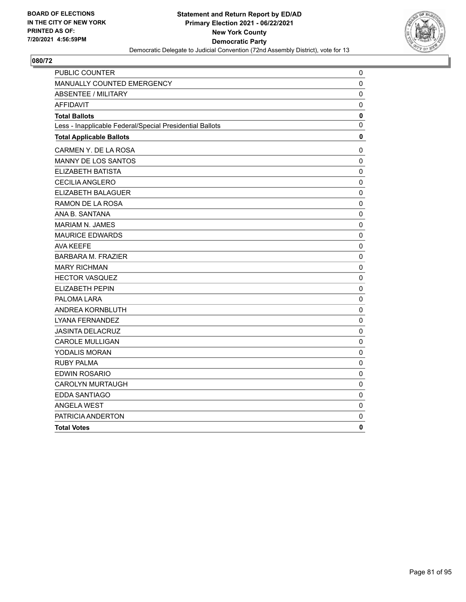

| PUBLIC COUNTER                                           | 0            |
|----------------------------------------------------------|--------------|
| MANUALLY COUNTED EMERGENCY                               | $\mathbf 0$  |
| <b>ABSENTEE / MILITARY</b>                               | 0            |
| <b>AFFIDAVIT</b>                                         | $\mathbf 0$  |
| <b>Total Ballots</b>                                     | 0            |
| Less - Inapplicable Federal/Special Presidential Ballots | 0            |
| <b>Total Applicable Ballots</b>                          | 0            |
| CARMEN Y. DE LA ROSA                                     | 0            |
| MANNY DE LOS SANTOS                                      | $\pmb{0}$    |
| ELIZABETH BATISTA                                        | $\mathbf 0$  |
| <b>CECILIA ANGLERO</b>                                   | 0            |
| ELIZABETH BALAGUER                                       | 0            |
| RAMON DE LA ROSA                                         | $\mathbf 0$  |
| ANA B. SANTANA                                           | $\pmb{0}$    |
| <b>MARIAM N. JAMES</b>                                   | 0            |
| <b>MAURICE EDWARDS</b>                                   | 0            |
| <b>AVA KEEFE</b>                                         | 0            |
| <b>BARBARA M. FRAZIER</b>                                | $\mathbf 0$  |
| <b>MARY RICHMAN</b>                                      | $\mathbf 0$  |
| <b>HECTOR VASQUEZ</b>                                    | $\pmb{0}$    |
| <b>ELIZABETH PEPIN</b>                                   | $\mathbf 0$  |
| PALOMA LARA                                              | $\mathbf{0}$ |
| ANDREA KORNBLUTH                                         | 0            |
| LYANA FERNANDEZ                                          | 0            |
| <b>JASINTA DELACRUZ</b>                                  | 0            |
| <b>CAROLE MULLIGAN</b>                                   | $\mathbf 0$  |
| YODALIS MORAN                                            | 0            |
| <b>RUBY PALMA</b>                                        | 0            |
| <b>EDWIN ROSARIO</b>                                     | 0            |
| <b>CAROLYN MURTAUGH</b>                                  | 0            |
| <b>EDDA SANTIAGO</b>                                     | $\pmb{0}$    |
| <b>ANGELA WEST</b>                                       | 0            |
| PATRICIA ANDERTON                                        | 0            |
| <b>Total Votes</b>                                       | 0            |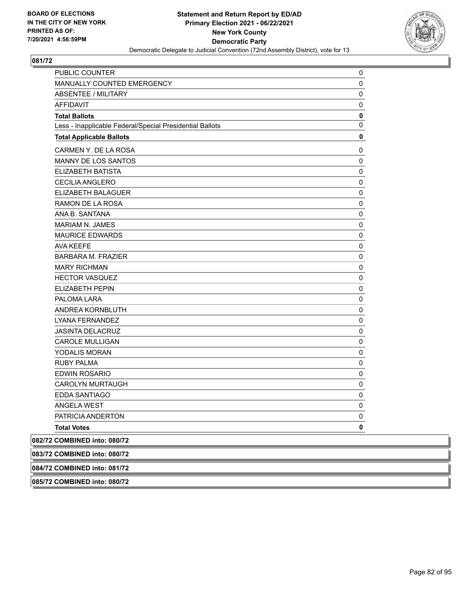

| PUBLIC COUNTER                                           | 0           |
|----------------------------------------------------------|-------------|
| MANUALLY COUNTED EMERGENCY                               | 0           |
| <b>ABSENTEE / MILITARY</b>                               | 0           |
| <b>AFFIDAVIT</b>                                         | 0           |
| <b>Total Ballots</b>                                     | 0           |
| Less - Inapplicable Federal/Special Presidential Ballots | 0           |
| <b>Total Applicable Ballots</b>                          | 0           |
| CARMEN Y. DE LA ROSA                                     | 0           |
| <b>MANNY DE LOS SANTOS</b>                               | 0           |
| ELIZABETH BATISTA                                        | 0           |
| <b>CECILIA ANGLERO</b>                                   | 0           |
| ELIZABETH BALAGUER                                       | 0           |
| RAMON DE LA ROSA                                         | 0           |
| ANA B. SANTANA                                           | 0           |
| <b>MARIAM N. JAMES</b>                                   | 0           |
| <b>MAURICE EDWARDS</b>                                   | $\mathsf 0$ |
| <b>AVA KEEFE</b>                                         | 0           |
| <b>BARBARA M. FRAZIER</b>                                | 0           |
| <b>MARY RICHMAN</b>                                      | $\mathsf 0$ |
| <b>HECTOR VASQUEZ</b>                                    | $\mathsf 0$ |
| <b>ELIZABETH PEPIN</b>                                   | $\mathsf 0$ |
| PALOMA LARA                                              | $\mathsf 0$ |
| ANDREA KORNBLUTH                                         | 0           |
| LYANA FERNANDEZ                                          | 0           |
| <b>JASINTA DELACRUZ</b>                                  | $\mathsf 0$ |
| <b>CAROLE MULLIGAN</b>                                   | 0           |
| YODALIS MORAN                                            | 0           |
| <b>RUBY PALMA</b>                                        | 0           |
| <b>EDWIN ROSARIO</b>                                     | 0           |
| <b>CAROLYN MURTAUGH</b>                                  | 0           |
| EDDA SANTIAGO                                            | 0           |
| <b>ANGELA WEST</b>                                       | 0           |
| PATRICIA ANDERTON                                        | 0           |
| <b>Total Votes</b>                                       | 0           |
| 082/72 COMBINED into: 080/72                             |             |
| 083/72 COMBINED into: 080/72                             |             |

**084/72 COMBINED into: 081/72**

**085/72 COMBINED into: 080/72**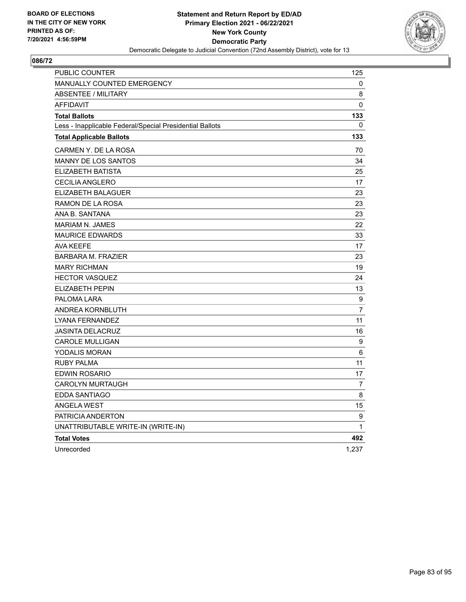

| PUBLIC COUNTER                                           | 125            |
|----------------------------------------------------------|----------------|
| MANUALLY COUNTED EMERGENCY                               | 0              |
| ABSENTEE / MILITARY                                      | 8              |
| <b>AFFIDAVIT</b>                                         | 0              |
| <b>Total Ballots</b>                                     | 133            |
| Less - Inapplicable Federal/Special Presidential Ballots | 0              |
| <b>Total Applicable Ballots</b>                          | 133            |
| CARMEN Y. DE LA ROSA                                     | 70             |
| <b>MANNY DE LOS SANTOS</b>                               | 34             |
| ELIZABETH BATISTA                                        | 25             |
| <b>CECILIA ANGLERO</b>                                   | 17             |
| ELIZABETH BALAGUER                                       | 23             |
| RAMON DE LA ROSA                                         | 23             |
| ANA B. SANTANA                                           | 23             |
| <b>MARIAM N. JAMES</b>                                   | 22             |
| <b>MAURICE EDWARDS</b>                                   | 33             |
| <b>AVA KEEFE</b>                                         | 17             |
| <b>BARBARA M. FRAZIER</b>                                | 23             |
| <b>MARY RICHMAN</b>                                      | 19             |
| <b>HECTOR VASQUEZ</b>                                    | 24             |
| ELIZABETH PEPIN                                          | 13             |
| PALOMA LARA                                              | 9              |
| ANDREA KORNBLUTH                                         | $\overline{7}$ |
| LYANA FERNANDEZ                                          | 11             |
| <b>JASINTA DELACRUZ</b>                                  | 16             |
| <b>CAROLE MULLIGAN</b>                                   | 9              |
| YODALIS MORAN                                            | 6              |
| <b>RUBY PALMA</b>                                        | 11             |
| <b>EDWIN ROSARIO</b>                                     | 17             |
| <b>CAROLYN MURTAUGH</b>                                  | 7              |
| EDDA SANTIAGO                                            | 8              |
| <b>ANGELA WEST</b>                                       | 15             |
| PATRICIA ANDERTON                                        | 9              |
| UNATTRIBUTABLE WRITE-IN (WRITE-IN)                       | $\mathbf{1}$   |
| <b>Total Votes</b>                                       | 492            |
| Unrecorded                                               | 1,237          |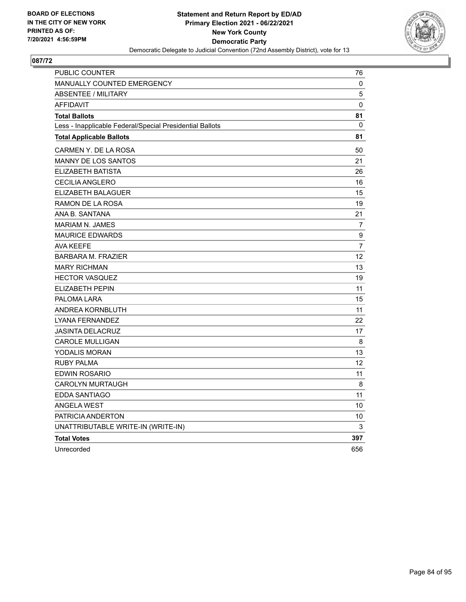

| PUBLIC COUNTER                                           | 76               |
|----------------------------------------------------------|------------------|
| <b>MANUALLY COUNTED EMERGENCY</b>                        | 0                |
| <b>ABSENTEE / MILITARY</b>                               | 5                |
| <b>AFFIDAVIT</b>                                         | 0                |
| <b>Total Ballots</b>                                     | 81               |
| Less - Inapplicable Federal/Special Presidential Ballots | 0                |
| <b>Total Applicable Ballots</b>                          | 81               |
| CARMEN Y. DE LA ROSA                                     | 50               |
| MANNY DE LOS SANTOS                                      | 21               |
| ELIZABETH BATISTA                                        | 26               |
| <b>CECILIA ANGLERO</b>                                   | 16               |
| ELIZABETH BALAGUER                                       | 15               |
| RAMON DE LA ROSA                                         | 19               |
| ANA B. SANTANA                                           | 21               |
| <b>MARIAM N. JAMES</b>                                   | $\overline{7}$   |
| <b>MAURICE EDWARDS</b>                                   | $\boldsymbol{9}$ |
| <b>AVA KEEFE</b>                                         | 7                |
| <b>BARBARA M. FRAZIER</b>                                | 12               |
| <b>MARY RICHMAN</b>                                      | 13               |
| <b>HECTOR VASQUEZ</b>                                    | 19               |
| <b>ELIZABETH PEPIN</b>                                   | 11               |
| PALOMA LARA                                              | 15               |
| ANDREA KORNBLUTH                                         | 11               |
| LYANA FERNANDEZ                                          | 22               |
| <b>JASINTA DELACRUZ</b>                                  | 17               |
| CAROLE MULLIGAN                                          | 8                |
| YODALIS MORAN                                            | 13               |
| <b>RUBY PALMA</b>                                        | 12               |
| <b>EDWIN ROSARIO</b>                                     | 11               |
| <b>CAROLYN MURTAUGH</b>                                  | 8                |
| EDDA SANTIAGO                                            | 11               |
| <b>ANGELA WEST</b>                                       | 10               |
| PATRICIA ANDERTON                                        | 10               |
| UNATTRIBUTABLE WRITE-IN (WRITE-IN)                       | 3                |
| <b>Total Votes</b>                                       | 397              |
| Unrecorded                                               | 656              |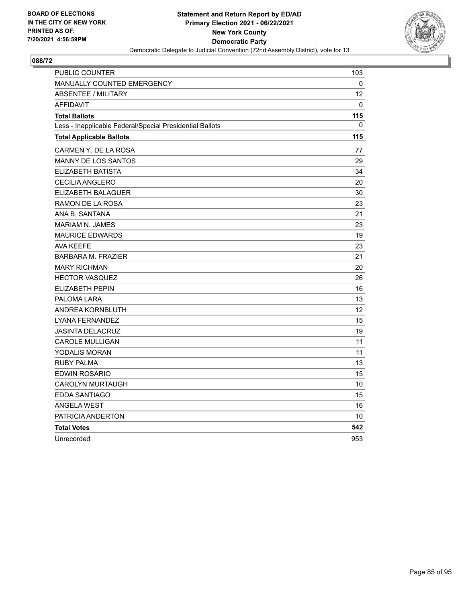

| PUBLIC COUNTER                                           | 103 |
|----------------------------------------------------------|-----|
| MANUALLY COUNTED EMERGENCY                               | 0   |
| <b>ABSENTEE / MILITARY</b>                               | 12  |
| <b>AFFIDAVIT</b>                                         | 0   |
| <b>Total Ballots</b>                                     | 115 |
| Less - Inapplicable Federal/Special Presidential Ballots | 0   |
| <b>Total Applicable Ballots</b>                          | 115 |
| CARMEN Y. DE LA ROSA                                     | 77  |
| MANNY DE LOS SANTOS                                      | 29  |
| <b>ELIZABETH BATISTA</b>                                 | 34  |
| <b>CECILIA ANGLERO</b>                                   | 20  |
| ELIZABETH BALAGUER                                       | 30  |
| RAMON DE LA ROSA                                         | 23  |
| ANA B. SANTANA                                           | 21  |
| <b>MARIAM N. JAMES</b>                                   | 23  |
| <b>MAURICE EDWARDS</b>                                   | 19  |
| <b>AVA KEEFE</b>                                         | 23  |
| <b>BARBARA M. FRAZIER</b>                                | 21  |
| <b>MARY RICHMAN</b>                                      | 20  |
| <b>HECTOR VASQUEZ</b>                                    | 26  |
| <b>ELIZABETH PEPIN</b>                                   | 16  |
| PALOMA LARA                                              | 13  |
| ANDREA KORNBLUTH                                         | 12  |
| LYANA FERNANDEZ                                          | 15  |
| <b>JASINTA DELACRUZ</b>                                  | 19  |
| <b>CAROLE MULLIGAN</b>                                   | 11  |
| YODALIS MORAN                                            | 11  |
| <b>RUBY PALMA</b>                                        | 13  |
| <b>EDWIN ROSARIO</b>                                     | 15  |
| <b>CAROLYN MURTAUGH</b>                                  | 10  |
| EDDA SANTIAGO                                            | 15  |
| <b>ANGELA WEST</b>                                       | 16  |
| PATRICIA ANDERTON                                        | 10  |
| <b>Total Votes</b>                                       | 542 |
| Unrecorded                                               | 953 |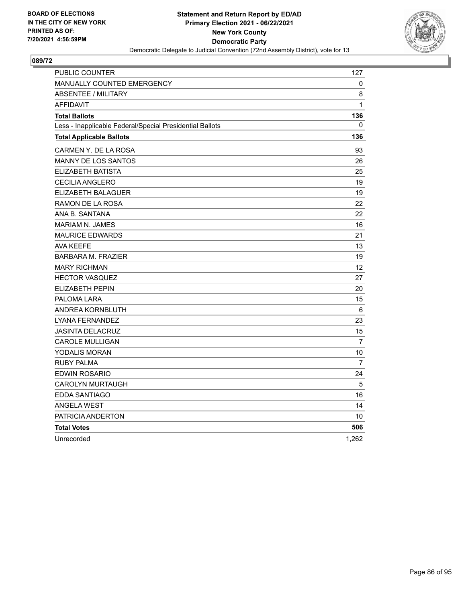

| PUBLIC COUNTER                                           | 127            |
|----------------------------------------------------------|----------------|
| MANUALLY COUNTED EMERGENCY                               | 0              |
| <b>ABSENTEE / MILITARY</b>                               | 8              |
| <b>AFFIDAVIT</b>                                         | $\mathbf{1}$   |
| <b>Total Ballots</b>                                     | 136            |
| Less - Inapplicable Federal/Special Presidential Ballots | 0              |
| <b>Total Applicable Ballots</b>                          | 136            |
| CARMEN Y. DE LA ROSA                                     | 93             |
| MANNY DE LOS SANTOS                                      | 26             |
| <b>ELIZABETH BATISTA</b>                                 | 25             |
| <b>CECILIA ANGLERO</b>                                   | 19             |
| ELIZABETH BALAGUER                                       | 19             |
| RAMON DE LA ROSA                                         | 22             |
| ANA B. SANTANA                                           | 22             |
| <b>MARIAM N. JAMES</b>                                   | 16             |
| <b>MAURICE EDWARDS</b>                                   | 21             |
| <b>AVA KEEFE</b>                                         | 13             |
| <b>BARBARA M. FRAZIER</b>                                | 19             |
| <b>MARY RICHMAN</b>                                      | 12             |
| <b>HECTOR VASQUEZ</b>                                    | 27             |
| <b>ELIZABETH PEPIN</b>                                   | 20             |
| PALOMA LARA                                              | 15             |
| ANDREA KORNBLUTH                                         | 6              |
| LYANA FERNANDEZ                                          | 23             |
| <b>JASINTA DELACRUZ</b>                                  | 15             |
| <b>CAROLE MULLIGAN</b>                                   | $\overline{7}$ |
| YODALIS MORAN                                            | 10             |
| <b>RUBY PALMA</b>                                        | $\overline{7}$ |
| <b>EDWIN ROSARIO</b>                                     | 24             |
| <b>CAROLYN MURTAUGH</b>                                  | 5              |
| EDDA SANTIAGO                                            | 16             |
| <b>ANGELA WEST</b>                                       | 14             |
| PATRICIA ANDERTON                                        | 10             |
| <b>Total Votes</b>                                       | 506            |
| Unrecorded                                               | 1,262          |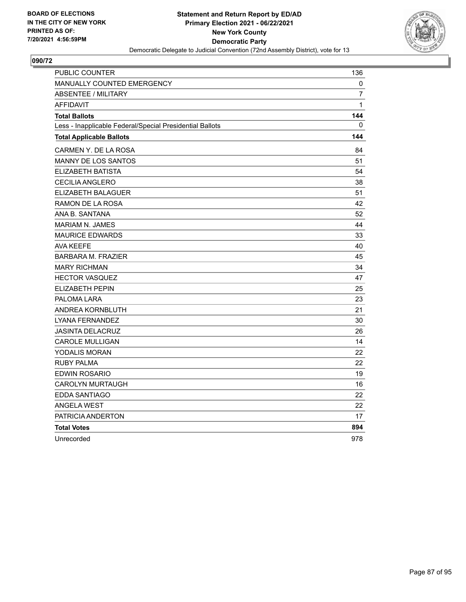

| PUBLIC COUNTER                                           | 136          |
|----------------------------------------------------------|--------------|
| MANUALLY COUNTED EMERGENCY                               | 0            |
| <b>ABSENTEE / MILITARY</b>                               | 7            |
| <b>AFFIDAVIT</b>                                         | $\mathbf{1}$ |
| <b>Total Ballots</b>                                     | 144          |
| Less - Inapplicable Federal/Special Presidential Ballots | 0            |
| <b>Total Applicable Ballots</b>                          | 144          |
| CARMEN Y. DE LA ROSA                                     | 84           |
| MANNY DE LOS SANTOS                                      | 51           |
| <b>ELIZABETH BATISTA</b>                                 | 54           |
| <b>CECILIA ANGLERO</b>                                   | 38           |
| ELIZABETH BALAGUER                                       | 51           |
| RAMON DE LA ROSA                                         | 42           |
| ANA B. SANTANA                                           | 52           |
| <b>MARIAM N. JAMES</b>                                   | 44           |
| <b>MAURICE EDWARDS</b>                                   | 33           |
| <b>AVA KEEFE</b>                                         | 40           |
| <b>BARBARA M. FRAZIER</b>                                | 45           |
| <b>MARY RICHMAN</b>                                      | 34           |
| <b>HECTOR VASQUEZ</b>                                    | 47           |
| <b>ELIZABETH PEPIN</b>                                   | 25           |
| PALOMA LARA                                              | 23           |
| ANDREA KORNBLUTH                                         | 21           |
| LYANA FERNANDEZ                                          | 30           |
| <b>JASINTA DELACRUZ</b>                                  | 26           |
| <b>CAROLE MULLIGAN</b>                                   | 14           |
| YODALIS MORAN                                            | 22           |
| <b>RUBY PALMA</b>                                        | 22           |
| <b>EDWIN ROSARIO</b>                                     | 19           |
| <b>CAROLYN MURTAUGH</b>                                  | 16           |
| EDDA SANTIAGO                                            | 22           |
| <b>ANGELA WEST</b>                                       | 22           |
| PATRICIA ANDERTON                                        | 17           |
| <b>Total Votes</b>                                       | 894          |
| Unrecorded                                               | 978          |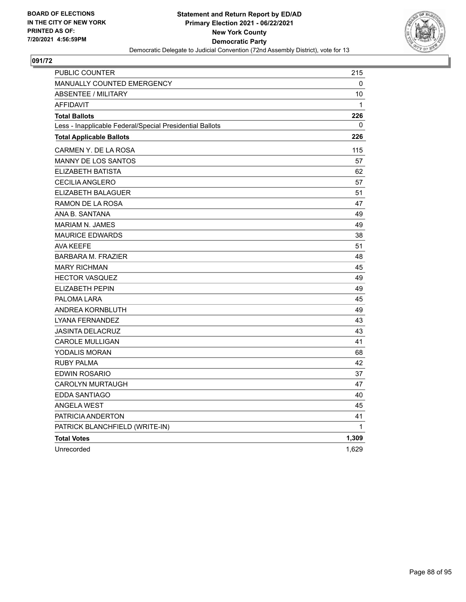

| PUBLIC COUNTER                                           | 215   |
|----------------------------------------------------------|-------|
| <b>MANUALLY COUNTED EMERGENCY</b>                        | 0     |
| <b>ABSENTEE / MILITARY</b>                               | 10    |
| <b>AFFIDAVIT</b>                                         | 1     |
| <b>Total Ballots</b>                                     | 226   |
| Less - Inapplicable Federal/Special Presidential Ballots | 0     |
| <b>Total Applicable Ballots</b>                          | 226   |
| CARMEN Y. DE LA ROSA                                     | 115   |
| MANNY DE LOS SANTOS                                      | 57    |
| ELIZABETH BATISTA                                        | 62    |
| <b>CECILIA ANGLERO</b>                                   | 57    |
| ELIZABETH BALAGUER                                       | 51    |
| RAMON DE LA ROSA                                         | 47    |
| ANA B. SANTANA                                           | 49    |
| <b>MARIAM N. JAMES</b>                                   | 49    |
| <b>MAURICE EDWARDS</b>                                   | 38    |
| <b>AVA KEEFE</b>                                         | 51    |
| <b>BARBARA M. FRAZIER</b>                                | 48    |
| <b>MARY RICHMAN</b>                                      | 45    |
| <b>HECTOR VASQUEZ</b>                                    | 49    |
| <b>ELIZABETH PEPIN</b>                                   | 49    |
| PALOMA LARA                                              | 45    |
| ANDREA KORNBLUTH                                         | 49    |
| <b>LYANA FERNANDEZ</b>                                   | 43    |
| <b>JASINTA DELACRUZ</b>                                  | 43    |
| CAROLE MULLIGAN                                          | 41    |
| YODALIS MORAN                                            | 68    |
| <b>RUBY PALMA</b>                                        | 42    |
| <b>EDWIN ROSARIO</b>                                     | 37    |
| <b>CAROLYN MURTAUGH</b>                                  | 47    |
| EDDA SANTIAGO                                            | 40    |
| <b>ANGELA WEST</b>                                       | 45    |
| PATRICIA ANDERTON                                        | 41    |
| PATRICK BLANCHFIELD (WRITE-IN)                           | 1     |
| <b>Total Votes</b>                                       | 1,309 |
| Unrecorded                                               | 1,629 |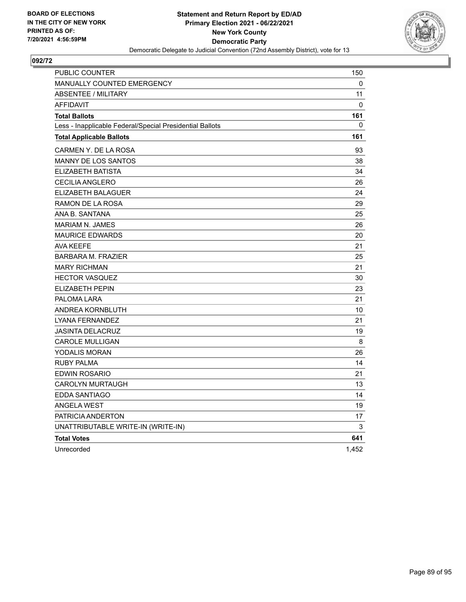

| PUBLIC COUNTER                                           | 150   |
|----------------------------------------------------------|-------|
| MANUALLY COUNTED EMERGENCY                               | 0     |
| <b>ABSENTEE / MILITARY</b>                               | 11    |
| <b>AFFIDAVIT</b>                                         | 0     |
| <b>Total Ballots</b>                                     | 161   |
| Less - Inapplicable Federal/Special Presidential Ballots | 0     |
| <b>Total Applicable Ballots</b>                          | 161   |
| CARMEN Y. DE LA ROSA                                     | 93    |
| <b>MANNY DE LOS SANTOS</b>                               | 38    |
| ELIZABETH BATISTA                                        | 34    |
| <b>CECILIA ANGLERO</b>                                   | 26    |
| ELIZABETH BALAGUER                                       | 24    |
| RAMON DE LA ROSA                                         | 29    |
| ANA B. SANTANA                                           | 25    |
| <b>MARIAM N. JAMES</b>                                   | 26    |
| <b>MAURICE EDWARDS</b>                                   | 20    |
| <b>AVA KEEFE</b>                                         | 21    |
| <b>BARBARA M. FRAZIER</b>                                | 25    |
| <b>MARY RICHMAN</b>                                      | 21    |
| <b>HECTOR VASQUEZ</b>                                    | 30    |
| <b>ELIZABETH PEPIN</b>                                   | 23    |
| PALOMA LARA                                              | 21    |
| ANDREA KORNBLUTH                                         | 10    |
| LYANA FERNANDEZ                                          | 21    |
| <b>JASINTA DELACRUZ</b>                                  | 19    |
| <b>CAROLE MULLIGAN</b>                                   | 8     |
| YODALIS MORAN                                            | 26    |
| RUBY PALMA                                               | 14    |
| EDWIN ROSARIO                                            | 21    |
| CAROLYN MURTAUGH                                         | 13    |
| EDDA SANTIAGO                                            | 14    |
| <b>ANGELA WEST</b>                                       | 19    |
| PATRICIA ANDERTON                                        | 17    |
| UNATTRIBUTABLE WRITE-IN (WRITE-IN)                       | 3     |
| <b>Total Votes</b>                                       | 641   |
| Unrecorded                                               | 1,452 |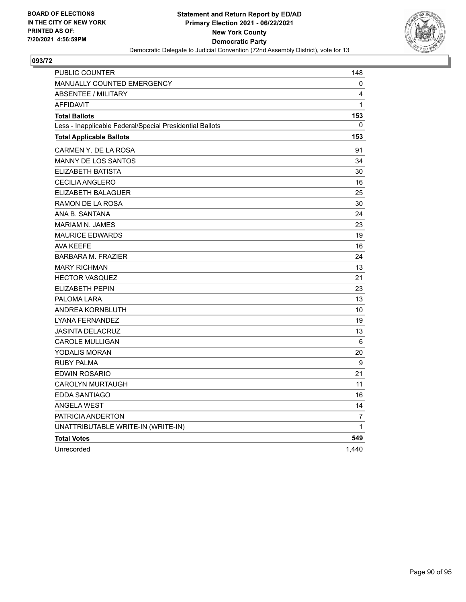

| PUBLIC COUNTER                                           | 148            |
|----------------------------------------------------------|----------------|
| <b>MANUALLY COUNTED EMERGENCY</b>                        | 0              |
| ABSENTEE / MILITARY                                      | 4              |
| <b>AFFIDAVIT</b>                                         | 1              |
| <b>Total Ballots</b>                                     | 153            |
| Less - Inapplicable Federal/Special Presidential Ballots | 0              |
| <b>Total Applicable Ballots</b>                          | 153            |
| CARMEN Y. DE LA ROSA                                     | 91             |
| MANNY DE LOS SANTOS                                      | 34             |
| ELIZABETH BATISTA                                        | 30             |
| CECILIA ANGLERO                                          | 16             |
| ELIZABETH BALAGUER                                       | 25             |
| RAMON DE LA ROSA                                         | 30             |
| ANA B. SANTANA                                           | 24             |
| <b>MARIAM N. JAMES</b>                                   | 23             |
| <b>MAURICE EDWARDS</b>                                   | 19             |
| <b>AVA KEEFE</b>                                         | 16             |
| <b>BARBARA M. FRAZIER</b>                                | 24             |
| <b>MARY RICHMAN</b>                                      | 13             |
| <b>HECTOR VASQUEZ</b>                                    | 21             |
| <b>ELIZABETH PEPIN</b>                                   | 23             |
| PALOMA LARA                                              | 13             |
| ANDREA KORNBLUTH                                         | 10             |
| LYANA FERNANDEZ                                          | 19             |
| JASINTA DELACRUZ                                         | 13             |
| <b>CAROLE MULLIGAN</b>                                   | 6              |
| <b>YODALIS MORAN</b>                                     | 20             |
| RUBY PALMA                                               | 9              |
| EDWIN ROSARIO                                            | 21             |
| <b>CAROLYN MURTAUGH</b>                                  | 11             |
| EDDA SANTIAGO                                            | 16             |
| <b>ANGELA WEST</b>                                       | 14             |
| PATRICIA ANDERTON                                        | $\overline{7}$ |
| UNATTRIBUTABLE WRITE-IN (WRITE-IN)                       | 1              |
| <b>Total Votes</b>                                       | 549            |
| Unrecorded                                               | 1,440          |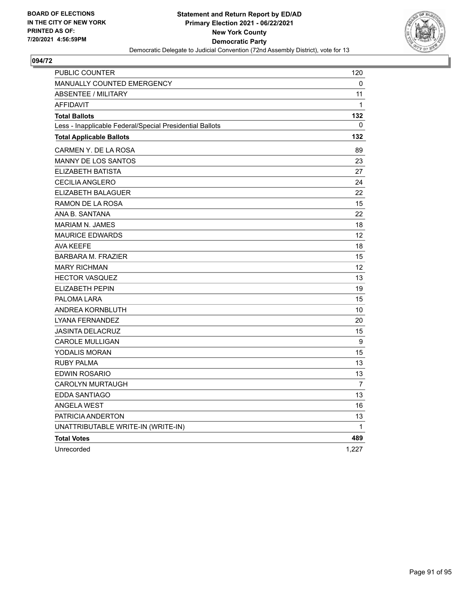

| PUBLIC COUNTER                                           | 120            |
|----------------------------------------------------------|----------------|
| <b>MANUALLY COUNTED EMERGENCY</b>                        | 0              |
| <b>ABSENTEE / MILITARY</b>                               | 11             |
| <b>AFFIDAVIT</b>                                         | 1              |
| <b>Total Ballots</b>                                     | 132            |
| Less - Inapplicable Federal/Special Presidential Ballots | 0              |
| <b>Total Applicable Ballots</b>                          | 132            |
| CARMEN Y. DE LA ROSA                                     | 89             |
| <b>MANNY DE LOS SANTOS</b>                               | 23             |
| ELIZABETH BATISTA                                        | 27             |
| <b>CECILIA ANGLERO</b>                                   | 24             |
| ELIZABETH BALAGUER                                       | 22             |
| RAMON DE LA ROSA                                         | 15             |
| ANA B. SANTANA                                           | 22             |
| <b>MARIAM N. JAMES</b>                                   | 18             |
| <b>MAURICE EDWARDS</b>                                   | 12             |
| <b>AVA KEEFE</b>                                         | 18             |
| <b>BARBARA M. FRAZIER</b>                                | 15             |
| <b>MARY RICHMAN</b>                                      | 12             |
| <b>HECTOR VASQUEZ</b>                                    | 13             |
| ELIZABETH PEPIN                                          | 19             |
| PALOMA LARA                                              | 15             |
| ANDREA KORNBLUTH                                         | 10             |
| LYANA FERNANDEZ                                          | 20             |
| <b>JASINTA DELACRUZ</b>                                  | 15             |
| <b>CAROLE MULLIGAN</b>                                   | 9              |
| <b>YODALIS MORAN</b>                                     | 15             |
| RUBY PALMA                                               | 13             |
| EDWIN ROSARIO                                            | 13             |
| <b>CAROLYN MURTAUGH</b>                                  | $\overline{7}$ |
| EDDA SANTIAGO                                            | 13             |
| <b>ANGELA WEST</b>                                       | 16             |
| PATRICIA ANDERTON                                        | 13             |
| UNATTRIBUTABLE WRITE-IN (WRITE-IN)                       | 1              |
| <b>Total Votes</b>                                       | 489            |
| Unrecorded                                               | 1,227          |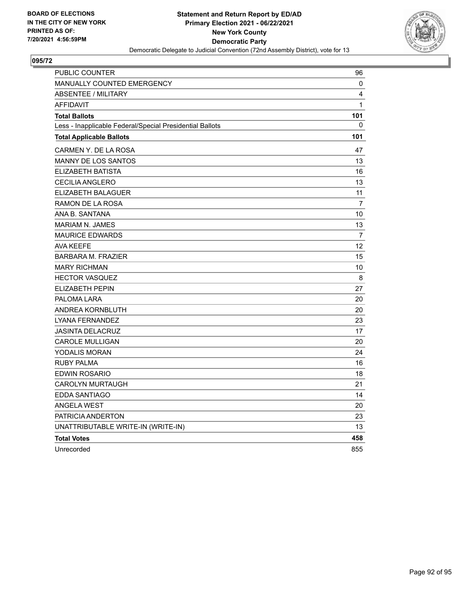

| PUBLIC COUNTER                                           | 96             |
|----------------------------------------------------------|----------------|
| <b>MANUALLY COUNTED EMERGENCY</b>                        | 0              |
| <b>ABSENTEE / MILITARY</b>                               | 4              |
| <b>AFFIDAVIT</b>                                         | $\mathbf{1}$   |
| <b>Total Ballots</b>                                     | 101            |
| Less - Inapplicable Federal/Special Presidential Ballots | 0              |
| <b>Total Applicable Ballots</b>                          | 101            |
| CARMEN Y. DE LA ROSA                                     | 47             |
| MANNY DE LOS SANTOS                                      | 13             |
| ELIZABETH BATISTA                                        | 16             |
| <b>CECILIA ANGLERO</b>                                   | 13             |
| ELIZABETH BALAGUER                                       | 11             |
| RAMON DE LA ROSA                                         | $\overline{7}$ |
| ANA B. SANTANA                                           | 10             |
| <b>MARIAM N. JAMES</b>                                   | 13             |
| <b>MAURICE EDWARDS</b>                                   | $\overline{7}$ |
| <b>AVA KEEFE</b>                                         | 12             |
| <b>BARBARA M. FRAZIER</b>                                | 15             |
| <b>MARY RICHMAN</b>                                      | 10             |
| <b>HECTOR VASQUEZ</b>                                    | 8              |
| <b>ELIZABETH PEPIN</b>                                   | 27             |
| PALOMA LARA                                              | 20             |
| ANDREA KORNBLUTH                                         | 20             |
| LYANA FERNANDEZ                                          | 23             |
| <b>JASINTA DELACRUZ</b>                                  | 17             |
| <b>CAROLE MULLIGAN</b>                                   | 20             |
| YODALIS MORAN                                            | 24             |
| <b>RUBY PALMA</b>                                        | 16             |
| <b>EDWIN ROSARIO</b>                                     | 18             |
| <b>CAROLYN MURTAUGH</b>                                  | 21             |
| EDDA SANTIAGO                                            | 14             |
| <b>ANGELA WEST</b>                                       | 20             |
| PATRICIA ANDERTON                                        | 23             |
| UNATTRIBUTABLE WRITE-IN (WRITE-IN)                       | 13             |
| <b>Total Votes</b>                                       | 458            |
| Unrecorded                                               | 855            |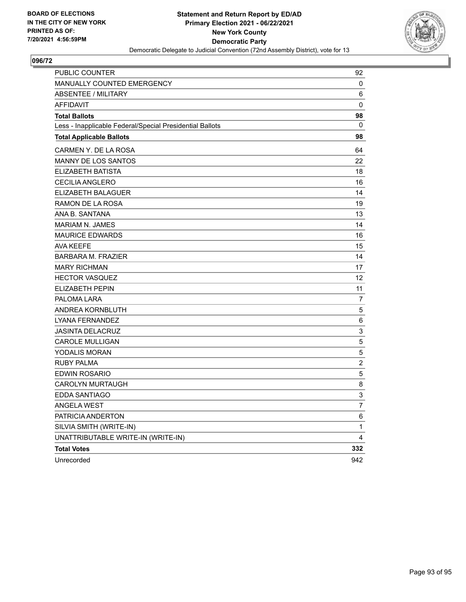

| PUBLIC COUNTER                                           | 92  |
|----------------------------------------------------------|-----|
| <b>MANUALLY COUNTED EMERGENCY</b>                        | 0   |
| <b>ABSENTEE / MILITARY</b>                               | 6   |
| <b>AFFIDAVIT</b>                                         | 0   |
| <b>Total Ballots</b>                                     | 98  |
| Less - Inapplicable Federal/Special Presidential Ballots | 0   |
| <b>Total Applicable Ballots</b>                          | 98  |
| CARMEN Y. DE LA ROSA                                     | 64  |
| MANNY DE LOS SANTOS                                      | 22  |
| <b>ELIZABETH BATISTA</b>                                 | 18  |
| <b>CECILIA ANGLERO</b>                                   | 16  |
| ELIZABETH BALAGUER                                       | 14  |
| RAMON DE LA ROSA                                         | 19  |
| ANA B. SANTANA                                           | 13  |
| <b>MARIAM N. JAMES</b>                                   | 14  |
| <b>MAURICE EDWARDS</b>                                   | 16  |
| AVA KEEFE                                                | 15  |
| <b>BARBARA M. FRAZIER</b>                                | 14  |
| <b>MARY RICHMAN</b>                                      | 17  |
| <b>HECTOR VASQUEZ</b>                                    | 12  |
| ELIZABETH PEPIN                                          | 11  |
| PALOMA LARA                                              | 7   |
| ANDREA KORNBLUTH                                         | 5   |
| LYANA FERNANDEZ                                          | 6   |
| <b>JASINTA DELACRUZ</b>                                  | 3   |
| <b>CAROLE MULLIGAN</b>                                   | 5   |
| YODALIS MORAN                                            | 5   |
| <b>RUBY PALMA</b>                                        | 2   |
| EDWIN ROSARIO                                            | 5   |
| <b>CAROLYN MURTAUGH</b>                                  | 8   |
| <b>EDDA SANTIAGO</b>                                     | 3   |
| <b>ANGELA WEST</b>                                       | 7   |
| PATRICIA ANDERTON                                        | 6   |
| SILVIA SMITH (WRITE-IN)                                  | 1   |
| UNATTRIBUTABLE WRITE-IN (WRITE-IN)                       | 4   |
| <b>Total Votes</b>                                       | 332 |
| Unrecorded                                               | 942 |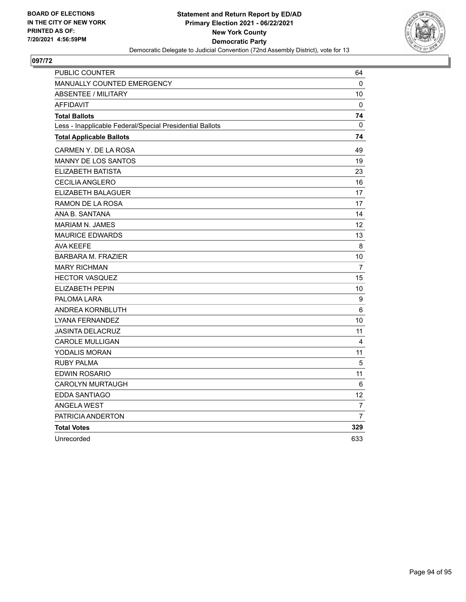

| PUBLIC COUNTER                                           | 64             |
|----------------------------------------------------------|----------------|
| MANUALLY COUNTED EMERGENCY                               | $\mathbf{0}$   |
| <b>ABSENTEE / MILITARY</b>                               | 10             |
| <b>AFFIDAVIT</b>                                         | 0              |
| <b>Total Ballots</b>                                     | 74             |
| Less - Inapplicable Federal/Special Presidential Ballots | $\Omega$       |
| <b>Total Applicable Ballots</b>                          | 74             |
| CARMEN Y. DE LA ROSA                                     | 49             |
| MANNY DE LOS SANTOS                                      | 19             |
| ELIZABETH BATISTA                                        | 23             |
| <b>CECILIA ANGLERO</b>                                   | 16             |
| ELIZABETH BALAGUER                                       | 17             |
| RAMON DE LA ROSA                                         | 17             |
| ANA B. SANTANA                                           | 14             |
| <b>MARIAM N. JAMES</b>                                   | 12             |
| <b>MAURICE EDWARDS</b>                                   | 13             |
| AVA KEEFE                                                | 8              |
| <b>BARBARA M. FRAZIER</b>                                | 10             |
| <b>MARY RICHMAN</b>                                      | 7              |
| <b>HECTOR VASQUEZ</b>                                    | 15             |
| <b>ELIZABETH PEPIN</b>                                   | 10             |
| PALOMA LARA                                              | 9              |
| ANDREA KORNBLUTH                                         | 6              |
| <b>LYANA FERNANDEZ</b>                                   | 10             |
| <b>JASINTA DELACRUZ</b>                                  | 11             |
| <b>CAROLE MULLIGAN</b>                                   | 4              |
| YODALIS MORAN                                            | 11             |
| <b>RUBY PALMA</b>                                        | 5              |
| <b>EDWIN ROSARIO</b>                                     | 11             |
| <b>CAROLYN MURTAUGH</b>                                  | 6              |
| EDDA SANTIAGO                                            | 12             |
| <b>ANGELA WEST</b>                                       | 7              |
| PATRICIA ANDERTON                                        | $\overline{7}$ |
| <b>Total Votes</b>                                       | 329            |
| Unrecorded                                               | 633            |